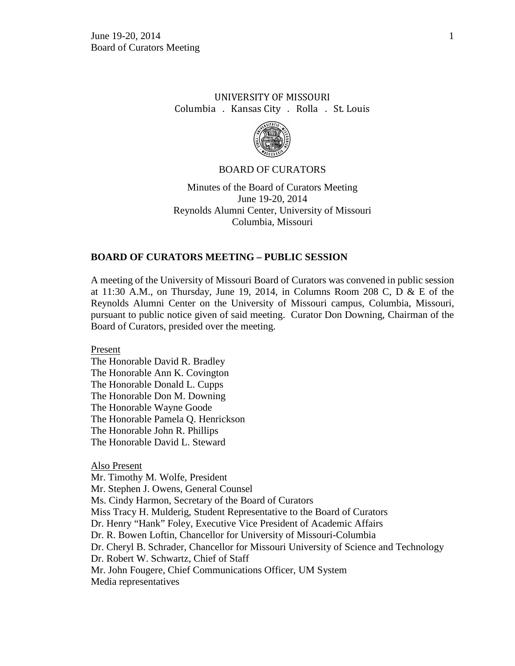# UNIVERSITY OF MISSOURI Columbia . Kansas City . Rolla . St. Louis



### BOARD OF CURATORS

Minutes of the Board of Curators Meeting June 19-20, 2014 Reynolds Alumni Center, University of Missouri Columbia, Missouri

### **BOARD OF CURATORS MEETING – PUBLIC SESSION**

A meeting of the University of Missouri Board of Curators was convened in public session at 11:30 A.M., on Thursday, June 19, 2014, in Columns Room 208 C, D & E of the Reynolds Alumni Center on the University of Missouri campus, Columbia, Missouri, pursuant to public notice given of said meeting. Curator Don Downing, Chairman of the Board of Curators, presided over the meeting.

Present

The Honorable David R. Bradley The Honorable Ann K. Covington The Honorable Donald L. Cupps The Honorable Don M. Downing The Honorable Wayne Goode The Honorable Pamela Q. Henrickson The Honorable John R. Phillips The Honorable David L. Steward

#### Also Present

Mr. Timothy M. Wolfe, President Mr. Stephen J. Owens, General Counsel Ms. Cindy Harmon, Secretary of the Board of Curators Miss Tracy H. Mulderig, Student Representative to the Board of Curators Dr. Henry "Hank" Foley, Executive Vice President of Academic Affairs Dr. R. Bowen Loftin, Chancellor for University of Missouri-Columbia Dr. Cheryl B. Schrader, Chancellor for Missouri University of Science and Technology Dr. Robert W. Schwartz, Chief of Staff Mr. John Fougere, Chief Communications Officer, UM System Media representatives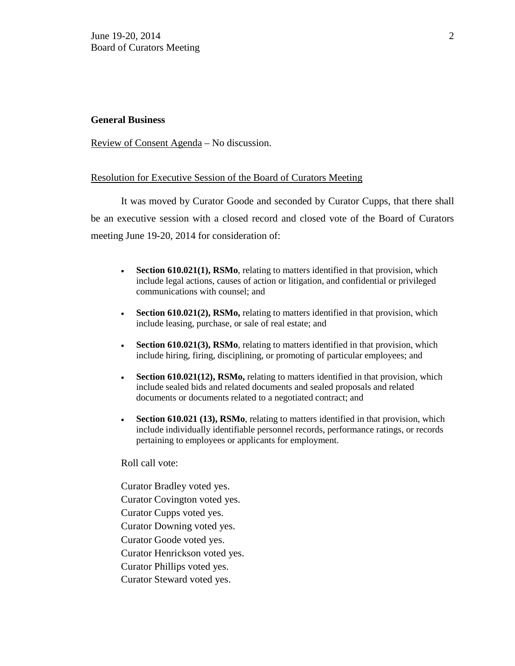## **General Business**

Review of Consent Agenda – No discussion.

## Resolution for Executive Session of the Board of Curators Meeting

It was moved by Curator Goode and seconded by Curator Cupps, that there shall be an executive session with a closed record and closed vote of the Board of Curators meeting June 19-20, 2014 for consideration of:

- **Section 610.021(1), RSMo**, relating to matters identified in that provision, which include legal actions, causes of action or litigation, and confidential or privileged communications with counsel; and
- **Section 610.021(2), RSMo,** relating to matters identified in that provision, which include leasing, purchase, or sale of real estate; and
- **Section 610.021(3), RSMo**, relating to matters identified in that provision, which include hiring, firing, disciplining, or promoting of particular employees; and
- **Section 610.021(12), RSMo,** relating to matters identified in that provision, which include sealed bids and related documents and sealed proposals and related documents or documents related to a negotiated contract; and
- **Section 610.021 (13), RSMo**, relating to matters identified in that provision, which include individually identifiable personnel records, performance ratings, or records pertaining to employees or applicants for employment.

Roll call vote:

Curator Bradley voted yes. Curator Covington voted yes. Curator Cupps voted yes. Curator Downing voted yes. Curator Goode voted yes. Curator Henrickson voted yes. Curator Phillips voted yes. Curator Steward voted yes.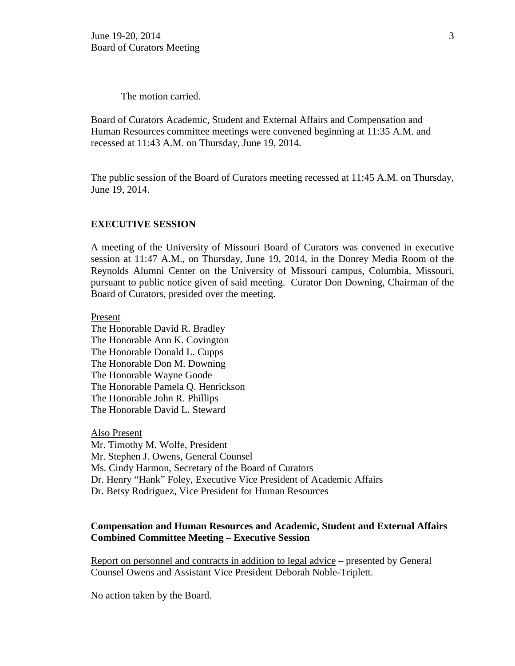The motion carried.

Board of Curators Academic, Student and External Affairs and Compensation and Human Resources committee meetings were convened beginning at 11:35 A.M. and recessed at 11:43 A.M. on Thursday, June 19, 2014.

The public session of the Board of Curators meeting recessed at 11:45 A.M. on Thursday, June 19, 2014.

#### **EXECUTIVE SESSION**

A meeting of the University of Missouri Board of Curators was convened in executive session at 11:47 A.M., on Thursday, June 19, 2014, in the Donrey Media Room of the Reynolds Alumni Center on the University of Missouri campus, Columbia, Missouri, pursuant to public notice given of said meeting. Curator Don Downing, Chairman of the Board of Curators, presided over the meeting.

Present

The Honorable David R. Bradley The Honorable Ann K. Covington The Honorable Donald L. Cupps The Honorable Don M. Downing The Honorable Wayne Goode The Honorable Pamela Q. Henrickson The Honorable John R. Phillips The Honorable David L. Steward

Also Present Mr. Timothy M. Wolfe, President Mr. Stephen J. Owens, General Counsel Ms. Cindy Harmon, Secretary of the Board of Curators Dr. Henry "Hank" Foley, Executive Vice President of Academic Affairs Dr. Betsy Rodriguez, Vice President for Human Resources

## **Compensation and Human Resources and Academic, Student and External Affairs Combined Committee Meeting – Executive Session**

Report on personnel and contracts in addition to legal advice – presented by General Counsel Owens and Assistant Vice President Deborah Noble-Triplett.

No action taken by the Board.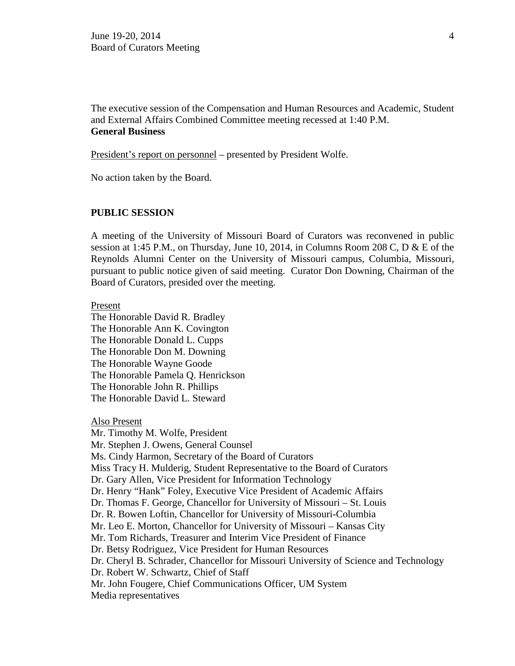The executive session of the Compensation and Human Resources and Academic, Student and External Affairs Combined Committee meeting recessed at 1:40 P.M. **General Business**

President's report on personnel – presented by President Wolfe.

No action taken by the Board.

# **PUBLIC SESSION**

A meeting of the University of Missouri Board of Curators was reconvened in public session at 1:45 P.M., on Thursday, June 10, 2014, in Columns Room 208 C, D & E of the Reynolds Alumni Center on the University of Missouri campus, Columbia, Missouri, pursuant to public notice given of said meeting. Curator Don Downing, Chairman of the Board of Curators, presided over the meeting.

#### Present

The Honorable David R. Bradley The Honorable Ann K. Covington The Honorable Donald L. Cupps The Honorable Don M. Downing The Honorable Wayne Goode The Honorable Pamela Q. Henrickson The Honorable John R. Phillips The Honorable David L. Steward

Also Present Mr. Timothy M. Wolfe, President Mr. Stephen J. Owens, General Counsel Ms. Cindy Harmon, Secretary of the Board of Curators Miss Tracy H. Mulderig, Student Representative to the Board of Curators Dr. Gary Allen, Vice President for Information Technology Dr. Henry "Hank" Foley, Executive Vice President of Academic Affairs Dr. Thomas F. George, Chancellor for University of Missouri – St. Louis Dr. R. Bowen Loftin, Chancellor for University of Missouri-Columbia Mr. Leo E. Morton, Chancellor for University of Missouri – Kansas City Mr. Tom Richards, Treasurer and Interim Vice President of Finance Dr. Betsy Rodriguez, Vice President for Human Resources Dr. Cheryl B. Schrader, Chancellor for Missouri University of Science and Technology Dr. Robert W. Schwartz, Chief of Staff Mr. John Fougere, Chief Communications Officer, UM System Media representatives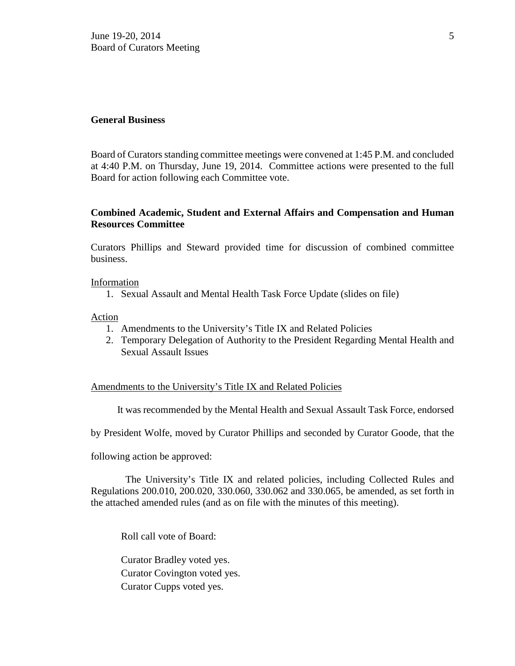### **General Business**

Board of Curators standing committee meetings were convened at 1:45 P.M. and concluded at 4:40 P.M. on Thursday, June 19, 2014. Committee actions were presented to the full Board for action following each Committee vote.

# **Combined Academic, Student and External Affairs and Compensation and Human Resources Committee**

Curators Phillips and Steward provided time for discussion of combined committee business.

### Information

1. Sexual Assault and Mental Health Task Force Update (slides on file)

### Action

- 1. Amendments to the University's Title IX and Related Policies
- 2. Temporary Delegation of Authority to the President Regarding Mental Health and Sexual Assault Issues

### Amendments to the University's Title IX and Related Policies

It was recommended by the Mental Health and Sexual Assault Task Force, endorsed

by President Wolfe, moved by Curator Phillips and seconded by Curator Goode, that the

following action be approved:

 The University's Title IX and related policies, including Collected Rules and Regulations 200.010, 200.020, 330.060, 330.062 and 330.065, be amended, as set forth in the attached amended rules (and as on file with the minutes of this meeting).

Roll call vote of Board:

Curator Bradley voted yes. Curator Covington voted yes. Curator Cupps voted yes.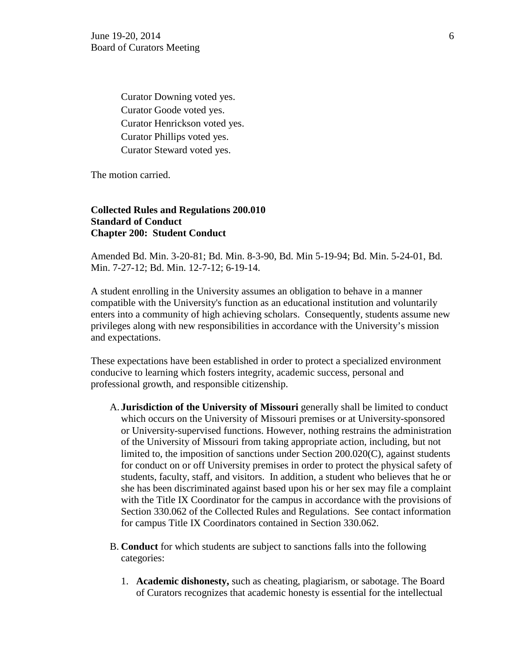Curator Downing voted yes. Curator Goode voted yes. Curator Henrickson voted yes. Curator Phillips voted yes. Curator Steward voted yes.

The motion carried.

# **Collected Rules and Regulations 200.010 Standard of Conduct Chapter 200: Student Conduct**

Amended Bd. Min. 3-20-81; Bd. Min. 8-3-90, Bd. Min 5-19-94; Bd. Min. 5-24-01, Bd. Min. 7-27-12; Bd. Min. 12-7-12; 6-19-14.

A student enrolling in the University assumes an obligation to behave in a manner compatible with the University's function as an educational institution and voluntarily enters into a community of high achieving scholars. Consequently, students assume new privileges along with new responsibilities in accordance with the University's mission and expectations.

These expectations have been established in order to protect a specialized environment conducive to learning which fosters integrity, academic success, personal and professional growth, and responsible citizenship.

- A. **Jurisdiction of the University of Missouri** generally shall be limited to conduct which occurs on the University of Missouri premises or at University-sponsored or University-supervised functions. However, nothing restrains the administration of the University of Missouri from taking appropriate action, including, but not limited to, the imposition of sanctions under Section 200.020(C), against students for conduct on or off University premises in order to protect the physical safety of students, faculty, staff, and visitors. In addition, a student who believes that he or she has been discriminated against based upon his or her sex may file a complaint with the Title IX Coordinator for the campus in accordance with the provisions of Section 330.062 of the Collected Rules and Regulations. See contact information for campus Title IX Coordinators contained in Section 330.062.
- B. **Conduct** for which students are subject to sanctions falls into the following categories:
	- 1. **Academic dishonesty,** such as cheating, plagiarism, or sabotage. The Board of Curators recognizes that academic honesty is essential for the intellectual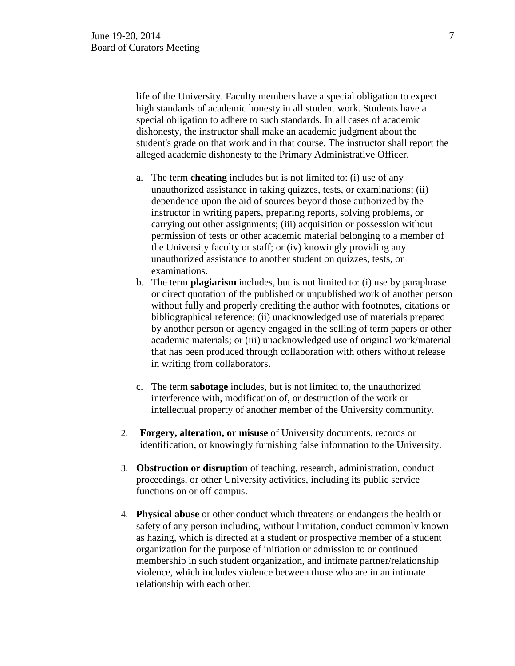life of the University. Faculty members have a special obligation to expect high standards of academic honesty in all student work. Students have a special obligation to adhere to such standards. In all cases of academic dishonesty, the instructor shall make an academic judgment about the student's grade on that work and in that course. The instructor shall report the alleged academic dishonesty to the Primary Administrative Officer.

- a. The term **cheating** includes but is not limited to: (i) use of any unauthorized assistance in taking quizzes, tests, or examinations; (ii) dependence upon the aid of sources beyond those authorized by the instructor in writing papers, preparing reports, solving problems, or carrying out other assignments; (iii) acquisition or possession without permission of tests or other academic material belonging to a member of the University faculty or staff; or (iv) knowingly providing any unauthorized assistance to another student on quizzes, tests, or examinations.
- b. The term **plagiarism** includes, but is not limited to: (i) use by paraphrase or direct quotation of the published or unpublished work of another person without fully and properly crediting the author with footnotes, citations or bibliographical reference; (ii) unacknowledged use of materials prepared by another person or agency engaged in the selling of term papers or other academic materials; or (iii) unacknowledged use of original work/material that has been produced through collaboration with others without release in writing from collaborators.
- c. The term **sabotage** includes, but is not limited to, the unauthorized interference with, modification of, or destruction of the work or intellectual property of another member of the University community.
- 2. **Forgery, alteration, or misuse** of University documents, records or identification, or knowingly furnishing false information to the University.
- 3. **Obstruction or disruption** of teaching, research, administration, conduct proceedings, or other University activities, including its public service functions on or off campus.
- 4. **Physical abuse** or other conduct which threatens or endangers the health or safety of any person including, without limitation, conduct commonly known as hazing, which is directed at a student or prospective member of a student organization for the purpose of initiation or admission to or continued membership in such student organization, and intimate partner/relationship violence, which includes violence between those who are in an intimate relationship with each other.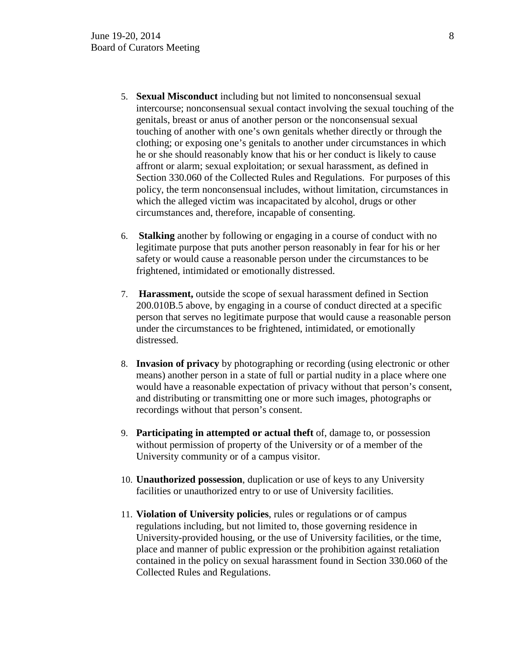- 5. **Sexual Misconduct** including but not limited to nonconsensual sexual intercourse; nonconsensual sexual contact involving the sexual touching of the genitals, breast or anus of another person or the nonconsensual sexual touching of another with one's own genitals whether directly or through the clothing; or exposing one's genitals to another under circumstances in which he or she should reasonably know that his or her conduct is likely to cause affront or alarm; sexual exploitation; or sexual harassment, as defined in Section 330.060 of the Collected Rules and Regulations. For purposes of this policy, the term nonconsensual includes, without limitation, circumstances in which the alleged victim was incapacitated by alcohol, drugs or other circumstances and, therefore, incapable of consenting.
- 6. **Stalking** another by following or engaging in a course of conduct with no legitimate purpose that puts another person reasonably in fear for his or her safety or would cause a reasonable person under the circumstances to be frightened, intimidated or emotionally distressed.
- 7. **Harassment,** outside the scope of sexual harassment defined in Section 200.010B.5 above, by engaging in a course of conduct directed at a specific person that serves no legitimate purpose that would cause a reasonable person under the circumstances to be frightened, intimidated, or emotionally distressed.
- 8. **Invasion of privacy** by photographing or recording (using electronic or other means) another person in a state of full or partial nudity in a place where one would have a reasonable expectation of privacy without that person's consent, and distributing or transmitting one or more such images, photographs or recordings without that person's consent.
- 9. **Participating in attempted or actual theft** of, damage to, or possession without permission of property of the University or of a member of the University community or of a campus visitor.
- 10. **Unauthorized possession**, duplication or use of keys to any University facilities or unauthorized entry to or use of University facilities.
- 11. **Violation of University policies**, rules or regulations or of campus regulations including, but not limited to, those governing residence in University-provided housing, or the use of University facilities, or the time, place and manner of public expression or the prohibition against retaliation contained in the policy on sexual harassment found in Section 330.060 of the Collected Rules and Regulations.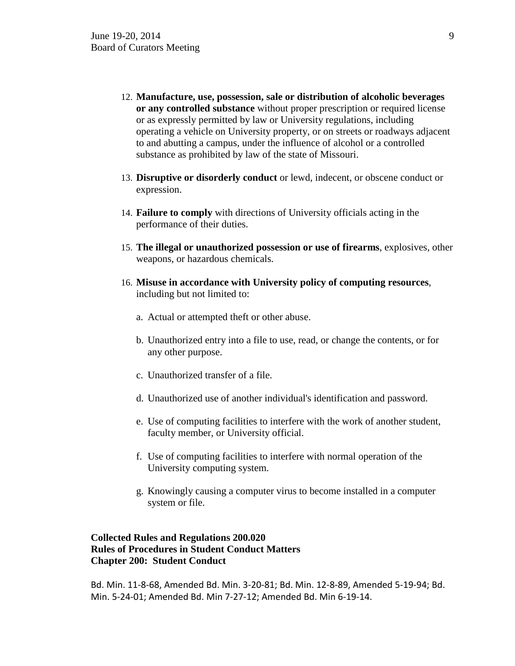- 12. **Manufacture, use, possession, sale or distribution of alcoholic beverages or any controlled substance** without proper prescription or required license or as expressly permitted by law or University regulations, including operating a vehicle on University property, or on streets or roadways adjacent to and abutting a campus, under the influence of alcohol or a controlled substance as prohibited by law of the state of Missouri.
- 13. **Disruptive or disorderly conduct** or lewd, indecent, or obscene conduct or expression.
- 14. **Failure to comply** with directions of University officials acting in the performance of their duties.
- 15. **The illegal or unauthorized possession or use of firearms**, explosives, other weapons, or hazardous chemicals.
- 16. **Misuse in accordance with University policy of computing resources**, including but not limited to:
	- a. Actual or attempted theft or other abuse.
	- b. Unauthorized entry into a file to use, read, or change the contents, or for any other purpose.
	- c. Unauthorized transfer of a file.
	- d. Unauthorized use of another individual's identification and password.
	- e. Use of computing facilities to interfere with the work of another student, faculty member, or University official.
	- f. Use of computing facilities to interfere with normal operation of the University computing system.
	- g. Knowingly causing a computer virus to become installed in a computer system or file.

# **Collected Rules and Regulations 200.020 Rules of Procedures in Student Conduct Matters Chapter 200: Student Conduct**

Bd. Min. 11-8-68, Amended Bd. Min. 3-20-81; Bd. Min. 12-8-89, Amended 5-19-94; Bd. Min. 5-24-01; Amended Bd. Min 7-27-12; Amended Bd. Min 6-19-14.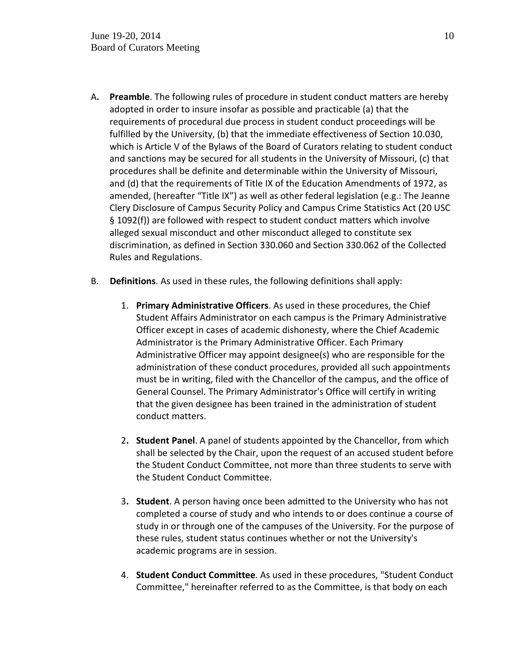- A**. Preamble**. The following rules of procedure in student conduct matters are hereby adopted in order to insure insofar as possible and practicable (a) that the requirements of procedural due process in student conduct proceedings will be fulfilled by the University, (b) that the immediate effectiveness of Section 10.030, which is Article V of the Bylaws of the Board of Curators relating to student conduct and sanctions may be secured for all students in the University of Missouri, (c) that procedures shall be definite and determinable within the University of Missouri, and (d) that the requirements of Title IX of the Education Amendments of 1972, as amended, (hereafter "Title IX") as well as other federal legislation (e.g.: The Jeanne Clery Disclosure of Campus Security Policy and Campus Crime Statistics Act (20 USC § 1092(f)) are followed with respect to student conduct matters which involve alleged sexual misconduct and other misconduct alleged to constitute sex discrimination, as defined in Section 330.060 and Section 330.062 of the Collected Rules and Regulations.
- B. **Definitions**. As used in these rules, the following definitions shall apply:
	- 1. **Primary Administrative Officers**. As used in these procedures, the Chief Student Affairs Administrator on each campus is the Primary Administrative Officer except in cases of academic dishonesty, where the Chief Academic Administrator is the Primary Administrative Officer. Each Primary Administrative Officer may appoint designee(s) who are responsible for the administration of these conduct procedures, provided all such appointments must be in writing, filed with the Chancellor of the campus, and the office of General Counsel. The Primary Administrator's Office will certify in writing that the given designee has been trained in the administration of student conduct matters.
	- 2**. Student Panel**. A panel of students appointed by the Chancellor, from which shall be selected by the Chair, upon the request of an accused student before the Student Conduct Committee, not more than three students to serve with the Student Conduct Committee.
	- 3**. Student**. A person having once been admitted to the University who has not completed a course of study and who intends to or does continue a course of study in or through one of the campuses of the University. For the purpose of these rules, student status continues whether or not the University's academic programs are in session.
	- 4. **Student Conduct Committee**. As used in these procedures, "Student Conduct Committee," hereinafter referred to as the Committee, is that body on each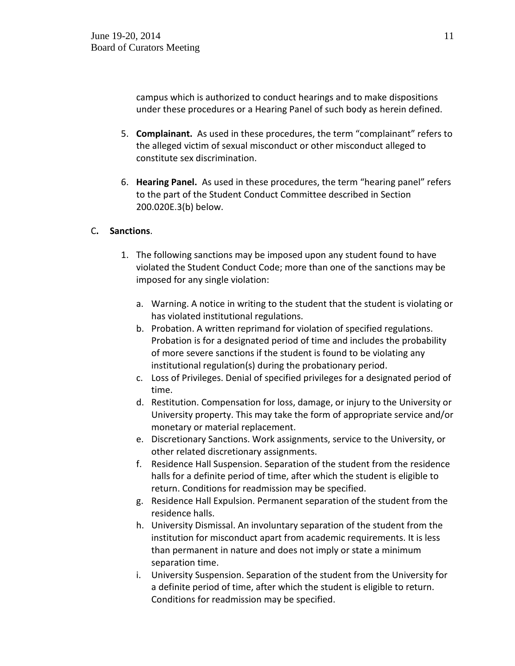campus which is authorized to conduct hearings and to make dispositions under these procedures or a Hearing Panel of such body as herein defined.

- 5. **Complainant.** As used in these procedures, the term "complainant" refers to the alleged victim of sexual misconduct or other misconduct alleged to constitute sex discrimination.
- 6. **Hearing Panel.** As used in these procedures, the term "hearing panel" refers to the part of the Student Conduct Committee described in Section 200.020E.3(b) below.

# C**. Sanctions**.

- 1. The following sanctions may be imposed upon any student found to have violated the Student Conduct Code; more than one of the sanctions may be imposed for any single violation:
	- a. Warning. A notice in writing to the student that the student is violating or has violated institutional regulations.
	- b. Probation. A written reprimand for violation of specified regulations. Probation is for a designated period of time and includes the probability of more severe sanctions if the student is found to be violating any institutional regulation(s) during the probationary period.
	- c. Loss of Privileges. Denial of specified privileges for a designated period of time.
	- d. Restitution. Compensation for loss, damage, or injury to the University or University property. This may take the form of appropriate service and/or monetary or material replacement.
	- e. Discretionary Sanctions. Work assignments, service to the University, or other related discretionary assignments.
	- f. Residence Hall Suspension. Separation of the student from the residence halls for a definite period of time, after which the student is eligible to return. Conditions for readmission may be specified.
	- g. Residence Hall Expulsion. Permanent separation of the student from the residence halls.
	- h. University Dismissal. An involuntary separation of the student from the institution for misconduct apart from academic requirements. It is less than permanent in nature and does not imply or state a minimum separation time.
	- i. University Suspension. Separation of the student from the University for a definite period of time, after which the student is eligible to return. Conditions for readmission may be specified.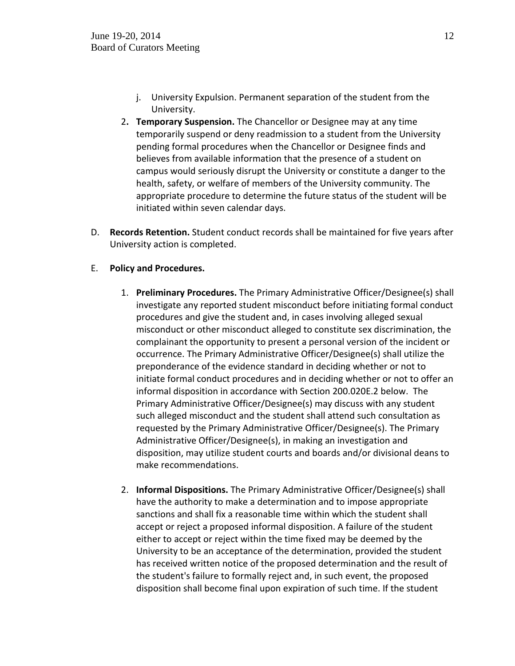- j. University Expulsion. Permanent separation of the student from the University.
- 2**. Temporary Suspension.** The Chancellor or Designee may at any time temporarily suspend or deny readmission to a student from the University pending formal procedures when the Chancellor or Designee finds and believes from available information that the presence of a student on campus would seriously disrupt the University or constitute a danger to the health, safety, or welfare of members of the University community. The appropriate procedure to determine the future status of the student will be initiated within seven calendar days.
- D. **Records Retention.** Student conduct records shall be maintained for five years after University action is completed.

# E. **Policy and Procedures.**

- 1. **Preliminary Procedures.** The Primary Administrative Officer/Designee(s) shall investigate any reported student misconduct before initiating formal conduct procedures and give the student and, in cases involving alleged sexual misconduct or other misconduct alleged to constitute sex discrimination, the complainant the opportunity to present a personal version of the incident or occurrence. The Primary Administrative Officer/Designee(s) shall utilize the preponderance of the evidence standard in deciding whether or not to initiate formal conduct procedures and in deciding whether or not to offer an informal disposition in accordance with Section 200.020E.2 below. The Primary Administrative Officer/Designee(s) may discuss with any student such alleged misconduct and the student shall attend such consultation as requested by the Primary Administrative Officer/Designee(s). The Primary Administrative Officer/Designee(s), in making an investigation and disposition, may utilize student courts and boards and/or divisional deans to make recommendations.
- 2. **Informal Dispositions.** The Primary Administrative Officer/Designee(s) shall have the authority to make a determination and to impose appropriate sanctions and shall fix a reasonable time within which the student shall accept or reject a proposed informal disposition. A failure of the student either to accept or reject within the time fixed may be deemed by the University to be an acceptance of the determination, provided the student has received written notice of the proposed determination and the result of the student's failure to formally reject and, in such event, the proposed disposition shall become final upon expiration of such time. If the student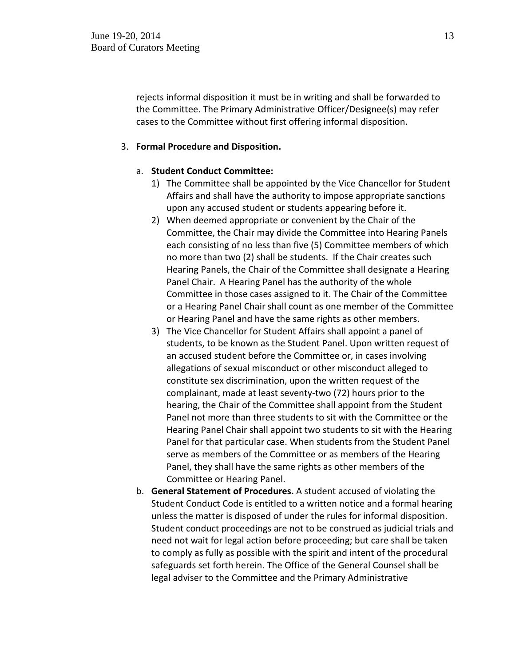rejects informal disposition it must be in writing and shall be forwarded to the Committee. The Primary Administrative Officer/Designee(s) may refer cases to the Committee without first offering informal disposition.

## 3. **Formal Procedure and Disposition.**

## a. **Student Conduct Committee:**

- 1) The Committee shall be appointed by the Vice Chancellor for Student Affairs and shall have the authority to impose appropriate sanctions upon any accused student or students appearing before it.
- 2) When deemed appropriate or convenient by the Chair of the Committee, the Chair may divide the Committee into Hearing Panels each consisting of no less than five (5) Committee members of which no more than two (2) shall be students. If the Chair creates such Hearing Panels, the Chair of the Committee shall designate a Hearing Panel Chair. A Hearing Panel has the authority of the whole Committee in those cases assigned to it. The Chair of the Committee or a Hearing Panel Chair shall count as one member of the Committee or Hearing Panel and have the same rights as other members.
- 3) The Vice Chancellor for Student Affairs shall appoint a panel of students, to be known as the Student Panel. Upon written request of an accused student before the Committee or, in cases involving allegations of sexual misconduct or other misconduct alleged to constitute sex discrimination, upon the written request of the complainant, made at least seventy-two (72) hours prior to the hearing, the Chair of the Committee shall appoint from the Student Panel not more than three students to sit with the Committee or the Hearing Panel Chair shall appoint two students to sit with the Hearing Panel for that particular case. When students from the Student Panel serve as members of the Committee or as members of the Hearing Panel, they shall have the same rights as other members of the Committee or Hearing Panel.
- b. **General Statement of Procedures.** A student accused of violating the Student Conduct Code is entitled to a written notice and a formal hearing unless the matter is disposed of under the rules for informal disposition. Student conduct proceedings are not to be construed as judicial trials and need not wait for legal action before proceeding; but care shall be taken to comply as fully as possible with the spirit and intent of the procedural safeguards set forth herein. The Office of the General Counsel shall be legal adviser to the Committee and the Primary Administrative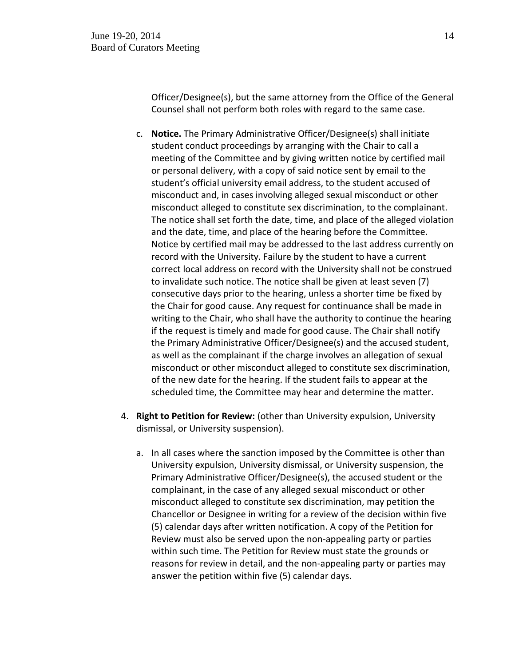Officer/Designee(s), but the same attorney from the Office of the General Counsel shall not perform both roles with regard to the same case.

- c. **Notice.** The Primary Administrative Officer/Designee(s) shall initiate student conduct proceedings by arranging with the Chair to call a meeting of the Committee and by giving written notice by certified mail or personal delivery, with a copy of said notice sent by email to the student's official university email address, to the student accused of misconduct and, in cases involving alleged sexual misconduct or other misconduct alleged to constitute sex discrimination, to the complainant. The notice shall set forth the date, time, and place of the alleged violation and the date, time, and place of the hearing before the Committee. Notice by certified mail may be addressed to the last address currently on record with the University. Failure by the student to have a current correct local address on record with the University shall not be construed to invalidate such notice. The notice shall be given at least seven (7) consecutive days prior to the hearing, unless a shorter time be fixed by the Chair for good cause. Any request for continuance shall be made in writing to the Chair, who shall have the authority to continue the hearing if the request is timely and made for good cause. The Chair shall notify the Primary Administrative Officer/Designee(s) and the accused student, as well as the complainant if the charge involves an allegation of sexual misconduct or other misconduct alleged to constitute sex discrimination, of the new date for the hearing. If the student fails to appear at the scheduled time, the Committee may hear and determine the matter.
- 4. **Right to Petition for Review:** (other than University expulsion, University dismissal, or University suspension).
	- a. In all cases where the sanction imposed by the Committee is other than University expulsion, University dismissal, or University suspension, the Primary Administrative Officer/Designee(s), the accused student or the complainant, in the case of any alleged sexual misconduct or other misconduct alleged to constitute sex discrimination, may petition the Chancellor or Designee in writing for a review of the decision within five (5) calendar days after written notification. A copy of the Petition for Review must also be served upon the non-appealing party or parties within such time. The Petition for Review must state the grounds or reasons for review in detail, and the non-appealing party or parties may answer the petition within five (5) calendar days.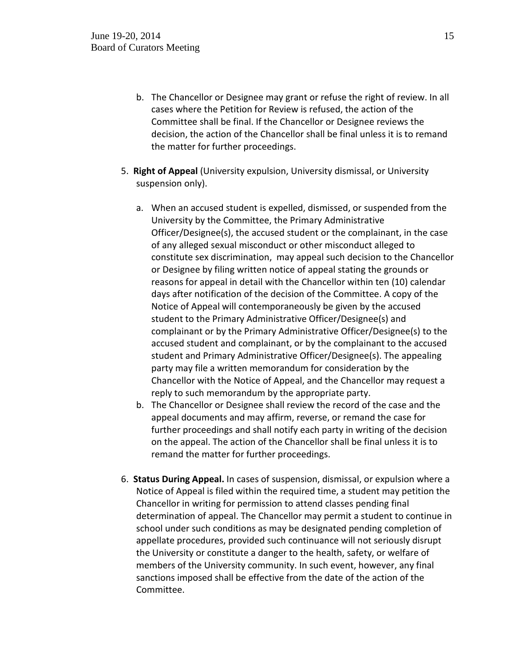- b. The Chancellor or Designee may grant or refuse the right of review. In all cases where the Petition for Review is refused, the action of the Committee shall be final. If the Chancellor or Designee reviews the decision, the action of the Chancellor shall be final unless it is to remand the matter for further proceedings.
- 5. **Right of Appeal** (University expulsion, University dismissal, or University suspension only).
	- a. When an accused student is expelled, dismissed, or suspended from the University by the Committee, the Primary Administrative Officer/Designee(s), the accused student or the complainant, in the case of any alleged sexual misconduct or other misconduct alleged to constitute sex discrimination, may appeal such decision to the Chancellor or Designee by filing written notice of appeal stating the grounds or reasons for appeal in detail with the Chancellor within ten (10) calendar days after notification of the decision of the Committee. A copy of the Notice of Appeal will contemporaneously be given by the accused student to the Primary Administrative Officer/Designee(s) and complainant or by the Primary Administrative Officer/Designee(s) to the accused student and complainant, or by the complainant to the accused student and Primary Administrative Officer/Designee(s). The appealing party may file a written memorandum for consideration by the Chancellor with the Notice of Appeal, and the Chancellor may request a reply to such memorandum by the appropriate party.
	- b. The Chancellor or Designee shall review the record of the case and the appeal documents and may affirm, reverse, or remand the case for further proceedings and shall notify each party in writing of the decision on the appeal. The action of the Chancellor shall be final unless it is to remand the matter for further proceedings.
- 6. **Status During Appeal.** In cases of suspension, dismissal, or expulsion where a Notice of Appeal is filed within the required time, a student may petition the Chancellor in writing for permission to attend classes pending final determination of appeal. The Chancellor may permit a student to continue in school under such conditions as may be designated pending completion of appellate procedures, provided such continuance will not seriously disrupt the University or constitute a danger to the health, safety, or welfare of members of the University community. In such event, however, any final sanctions imposed shall be effective from the date of the action of the Committee.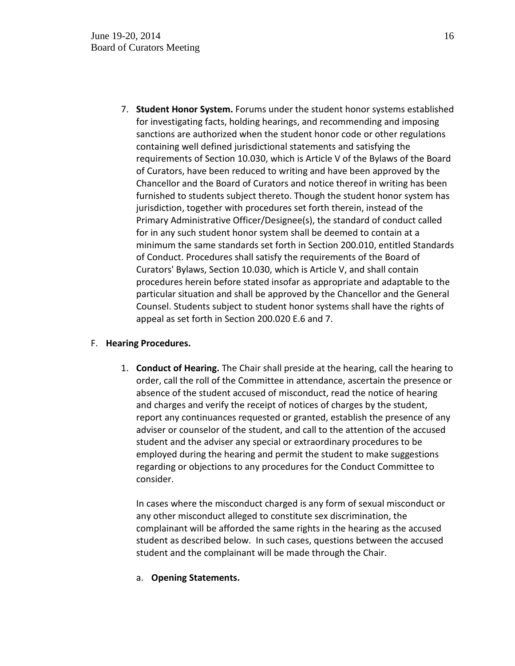7. **Student Honor System.** Forums under the student honor systems established for investigating facts, holding hearings, and recommending and imposing sanctions are authorized when the student honor code or other regulations containing well defined jurisdictional statements and satisfying the requirements of Section 10.030, which is Article V of the Bylaws of the Board of Curators, have been reduced to writing and have been approved by the Chancellor and the Board of Curators and notice thereof in writing has been furnished to students subject thereto. Though the student honor system has jurisdiction, together with procedures set forth therein, instead of the Primary Administrative Officer/Designee(s), the standard of conduct called for in any such student honor system shall be deemed to contain at a minimum the same standards set forth in Section 200.010, entitled Standards of Conduct. Procedures shall satisfy the requirements of the Board of Curators' Bylaws, Section 10.030, which is Article V, and shall contain procedures herein before stated insofar as appropriate and adaptable to the particular situation and shall be approved by the Chancellor and the General Counsel. Students subject to student honor systems shall have the rights of appeal as set forth in Section 200.020 E.6 and 7.

# F. **Hearing Procedures.**

1. **Conduct of Hearing.** The Chair shall preside at the hearing, call the hearing to order, call the roll of the Committee in attendance, ascertain the presence or absence of the student accused of misconduct, read the notice of hearing and charges and verify the receipt of notices of charges by the student, report any continuances requested or granted, establish the presence of any adviser or counselor of the student, and call to the attention of the accused student and the adviser any special or extraordinary procedures to be employed during the hearing and permit the student to make suggestions regarding or objections to any procedures for the Conduct Committee to consider.

In cases where the misconduct charged is any form of sexual misconduct or any other misconduct alleged to constitute sex discrimination, the complainant will be afforded the same rights in the hearing as the accused student as described below. In such cases, questions between the accused student and the complainant will be made through the Chair.

# a. **Opening Statements.**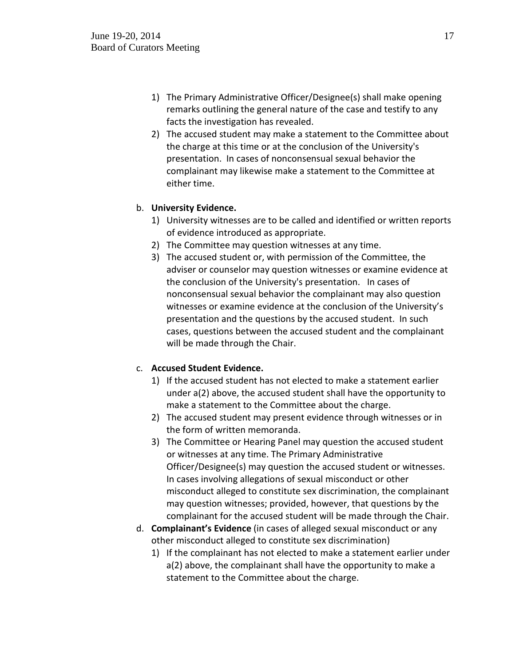- 1) The Primary Administrative Officer/Designee(s) shall make opening remarks outlining the general nature of the case and testify to any facts the investigation has revealed.
- 2) The accused student may make a statement to the Committee about the charge at this time or at the conclusion of the University's presentation. In cases of nonconsensual sexual behavior the complainant may likewise make a statement to the Committee at either time.

# b. **University Evidence.**

- 1) University witnesses are to be called and identified or written reports of evidence introduced as appropriate.
- 2) The Committee may question witnesses at any time.
- 3) The accused student or, with permission of the Committee, the adviser or counselor may question witnesses or examine evidence at the conclusion of the University's presentation. In cases of nonconsensual sexual behavior the complainant may also question witnesses or examine evidence at the conclusion of the University's presentation and the questions by the accused student. In such cases, questions between the accused student and the complainant will be made through the Chair.

# c. **Accused Student Evidence.**

- 1) If the accused student has not elected to make a statement earlier under a(2) above, the accused student shall have the opportunity to make a statement to the Committee about the charge.
- 2) The accused student may present evidence through witnesses or in the form of written memoranda.
- 3) The Committee or Hearing Panel may question the accused student or witnesses at any time. The Primary Administrative Officer/Designee(s) may question the accused student or witnesses. In cases involving allegations of sexual misconduct or other misconduct alleged to constitute sex discrimination, the complainant may question witnesses; provided, however, that questions by the complainant for the accused student will be made through the Chair.
- d. **Complainant's Evidence** (in cases of alleged sexual misconduct or any other misconduct alleged to constitute sex discrimination)
	- 1) If the complainant has not elected to make a statement earlier under a(2) above, the complainant shall have the opportunity to make a statement to the Committee about the charge.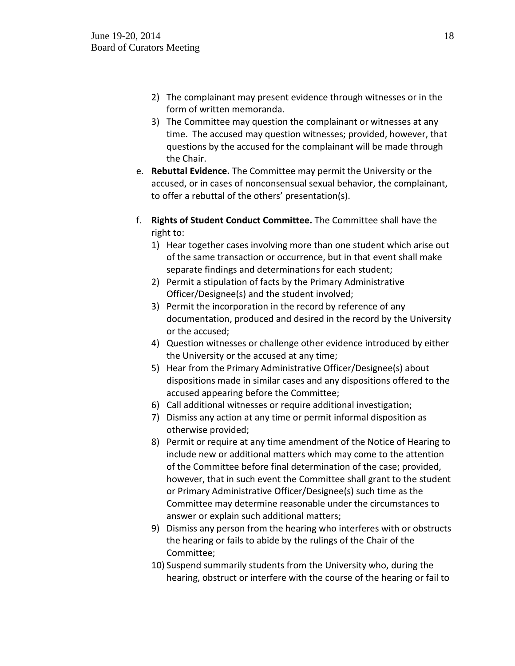- 2) The complainant may present evidence through witnesses or in the form of written memoranda.
- 3) The Committee may question the complainant or witnesses at any time. The accused may question witnesses; provided, however, that questions by the accused for the complainant will be made through the Chair.
- e. **Rebuttal Evidence.** The Committee may permit the University or the accused, or in cases of nonconsensual sexual behavior, the complainant, to offer a rebuttal of the others' presentation(s).
- f. **Rights of Student Conduct Committee.** The Committee shall have the right to:
	- 1) Hear together cases involving more than one student which arise out of the same transaction or occurrence, but in that event shall make separate findings and determinations for each student;
	- 2) Permit a stipulation of facts by the Primary Administrative Officer/Designee(s) and the student involved;
	- 3) Permit the incorporation in the record by reference of any documentation, produced and desired in the record by the University or the accused;
	- 4) Question witnesses or challenge other evidence introduced by either the University or the accused at any time;
	- 5) Hear from the Primary Administrative Officer/Designee(s) about dispositions made in similar cases and any dispositions offered to the accused appearing before the Committee;
	- 6) Call additional witnesses or require additional investigation;
	- 7) Dismiss any action at any time or permit informal disposition as otherwise provided;
	- 8) Permit or require at any time amendment of the Notice of Hearing to include new or additional matters which may come to the attention of the Committee before final determination of the case; provided, however, that in such event the Committee shall grant to the student or Primary Administrative Officer/Designee(s) such time as the Committee may determine reasonable under the circumstances to answer or explain such additional matters;
	- 9) Dismiss any person from the hearing who interferes with or obstructs the hearing or fails to abide by the rulings of the Chair of the Committee;
	- 10) Suspend summarily students from the University who, during the hearing, obstruct or interfere with the course of the hearing or fail to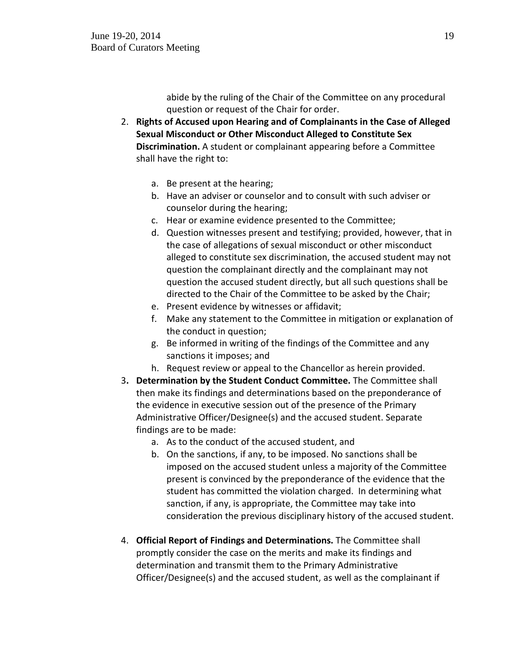abide by the ruling of the Chair of the Committee on any procedural question or request of the Chair for order.

- 2. **Rights of Accused upon Hearing and of Complainants in the Case of Alleged Sexual Misconduct or Other Misconduct Alleged to Constitute Sex Discrimination.** A student or complainant appearing before a Committee shall have the right to:
	- a. Be present at the hearing;
	- b. Have an adviser or counselor and to consult with such adviser or counselor during the hearing;
	- c. Hear or examine evidence presented to the Committee;
	- d. Question witnesses present and testifying; provided, however, that in the case of allegations of sexual misconduct or other misconduct alleged to constitute sex discrimination, the accused student may not question the complainant directly and the complainant may not question the accused student directly, but all such questions shall be directed to the Chair of the Committee to be asked by the Chair;
	- e. Present evidence by witnesses or affidavit;
	- f. Make any statement to the Committee in mitigation or explanation of the conduct in question;
	- g. Be informed in writing of the findings of the Committee and any sanctions it imposes; and
	- h. Request review or appeal to the Chancellor as herein provided.
- 3**. Determination by the Student Conduct Committee.** The Committee shall then make its findings and determinations based on the preponderance of the evidence in executive session out of the presence of the Primary Administrative Officer/Designee(s) and the accused student. Separate findings are to be made:
	- a. As to the conduct of the accused student, and
	- b. On the sanctions, if any, to be imposed. No sanctions shall be imposed on the accused student unless a majority of the Committee present is convinced by the preponderance of the evidence that the student has committed the violation charged. In determining what sanction, if any, is appropriate, the Committee may take into consideration the previous disciplinary history of the accused student.
- 4. **Official Report of Findings and Determinations.** The Committee shall promptly consider the case on the merits and make its findings and determination and transmit them to the Primary Administrative Officer/Designee(s) and the accused student, as well as the complainant if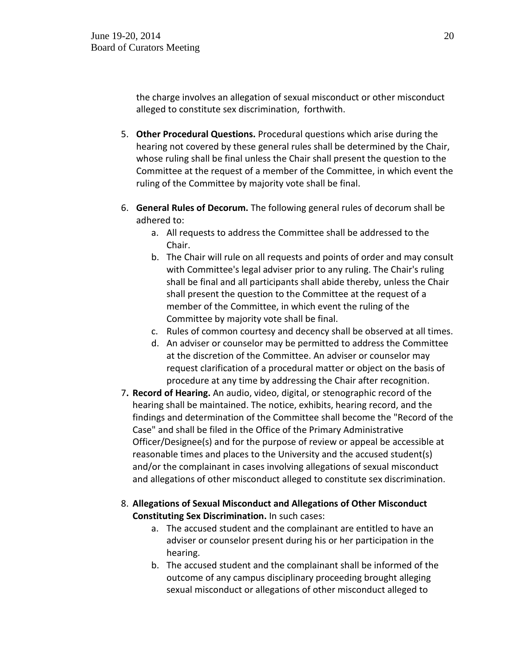the charge involves an allegation of sexual misconduct or other misconduct alleged to constitute sex discrimination, forthwith.

- 5. **Other Procedural Questions.** Procedural questions which arise during the hearing not covered by these general rules shall be determined by the Chair, whose ruling shall be final unless the Chair shall present the question to the Committee at the request of a member of the Committee, in which event the ruling of the Committee by majority vote shall be final.
- 6. **General Rules of Decorum.** The following general rules of decorum shall be adhered to:
	- a. All requests to address the Committee shall be addressed to the Chair.
	- b. The Chair will rule on all requests and points of order and may consult with Committee's legal adviser prior to any ruling. The Chair's ruling shall be final and all participants shall abide thereby, unless the Chair shall present the question to the Committee at the request of a member of the Committee, in which event the ruling of the Committee by majority vote shall be final.
	- c. Rules of common courtesy and decency shall be observed at all times.
	- d. An adviser or counselor may be permitted to address the Committee at the discretion of the Committee. An adviser or counselor may request clarification of a procedural matter or object on the basis of procedure at any time by addressing the Chair after recognition.
- 7**. Record of Hearing.** An audio, video, digital, or stenographic record of the hearing shall be maintained. The notice, exhibits, hearing record, and the findings and determination of the Committee shall become the "Record of the Case" and shall be filed in the Office of the Primary Administrative Officer/Designee(s) and for the purpose of review or appeal be accessible at reasonable times and places to the University and the accused student(s) and/or the complainant in cases involving allegations of sexual misconduct and allegations of other misconduct alleged to constitute sex discrimination.
- 8. **Allegations of Sexual Misconduct and Allegations of Other Misconduct Constituting Sex Discrimination.** In such cases:
	- a. The accused student and the complainant are entitled to have an adviser or counselor present during his or her participation in the hearing.
	- b. The accused student and the complainant shall be informed of the outcome of any campus disciplinary proceeding brought alleging sexual misconduct or allegations of other misconduct alleged to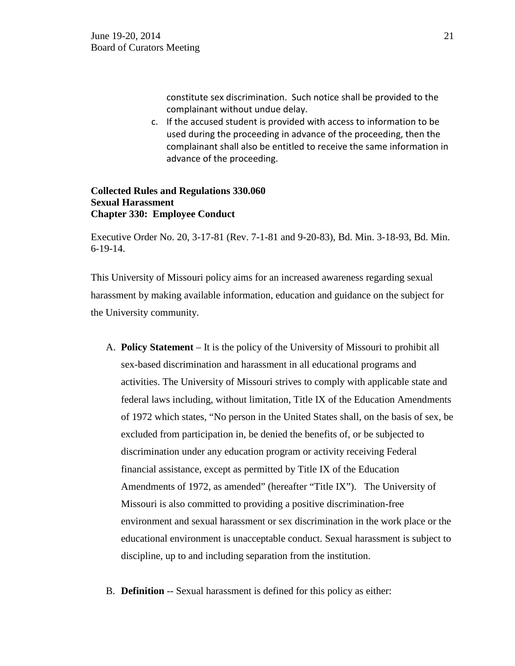constitute sex discrimination. Such notice shall be provided to the complainant without undue delay.

c. If the accused student is provided with access to information to be used during the proceeding in advance of the proceeding, then the complainant shall also be entitled to receive the same information in advance of the proceeding.

## **Collected Rules and Regulations 330.060 Sexual Harassment Chapter 330: Employee Conduct**

Executive Order No. 20, 3-17-81 (Rev. 7-1-81 and 9-20-83), Bd. Min. 3-18-93, Bd. Min. 6-19-14.

This University of Missouri policy aims for an increased awareness regarding sexual harassment by making available information, education and guidance on the subject for the University community.

- A. **Policy Statement**  It is the policy of the University of Missouri to prohibit all sex-based discrimination and harassment in all educational programs and activities. The University of Missouri strives to comply with applicable state and federal laws including, without limitation, Title IX of the Education Amendments of 1972 which states, "No person in the United States shall, on the basis of sex, be excluded from participation in, be denied the benefits of, or be subjected to discrimination under any education program or activity receiving Federal financial assistance, except as permitted by Title IX of the Education Amendments of 1972, as amended" (hereafter "Title IX"). The University of Missouri is also committed to providing a positive discrimination-free environment and sexual harassment or sex discrimination in the work place or the educational environment is unacceptable conduct. Sexual harassment is subject to discipline, up to and including separation from the institution.
- B. **Definition** -- Sexual harassment is defined for this policy as either: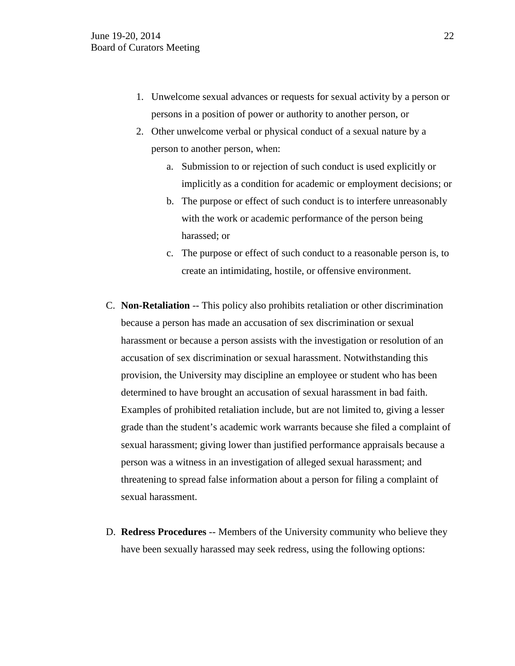- 1. Unwelcome sexual advances or requests for sexual activity by a person or persons in a position of power or authority to another person, or
- 2. Other unwelcome verbal or physical conduct of a sexual nature by a person to another person, when:
	- a. Submission to or rejection of such conduct is used explicitly or implicitly as a condition for academic or employment decisions; or
	- b. The purpose or effect of such conduct is to interfere unreasonably with the work or academic performance of the person being harassed; or
	- c. The purpose or effect of such conduct to a reasonable person is, to create an intimidating, hostile, or offensive environment.
- C. **Non-Retaliation** -- This policy also prohibits retaliation or other discrimination because a person has made an accusation of sex discrimination or sexual harassment or because a person assists with the investigation or resolution of an accusation of sex discrimination or sexual harassment. Notwithstanding this provision, the University may discipline an employee or student who has been determined to have brought an accusation of sexual harassment in bad faith. Examples of prohibited retaliation include, but are not limited to, giving a lesser grade than the student's academic work warrants because she filed a complaint of sexual harassment; giving lower than justified performance appraisals because a person was a witness in an investigation of alleged sexual harassment; and threatening to spread false information about a person for filing a complaint of sexual harassment.
- D. **Redress Procedures** -- Members of the University community who believe they have been sexually harassed may seek redress, using the following options: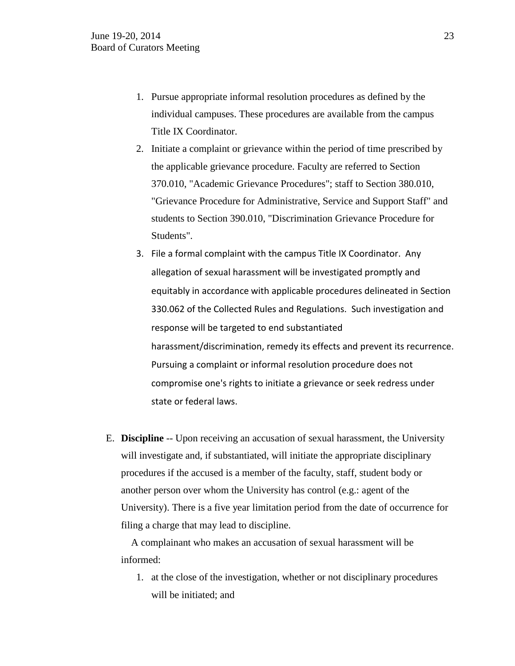- 1. Pursue appropriate informal resolution procedures as defined by the individual campuses. These procedures are available from the campus Title IX Coordinator.
- 2. Initiate a complaint or grievance within the period of time prescribed by the applicable grievance procedure. Faculty are referred to Section 370.010, "Academic Grievance Procedures"; staff to [Section 380.010,](http://www.umsystem.edu/ums/departments/gc/rules/grievance/380/010.shtml) "Grievance Procedure for Administrative, Service and Support Staff" and students to [Section 390.010,](http://www.umsystem.edu/ums/departments/gc/rules/grievance/390/010.shtml) "Discrimination Grievance Procedure for Students".
- 3. File a formal complaint with the campus Title IX Coordinator. Any allegation of sexual harassment will be investigated promptly and equitably in accordance with applicable procedures delineated in Section 330.062 of the Collected Rules and Regulations. Such investigation and response will be targeted to end substantiated harassment/discrimination, remedy its effects and prevent its recurrence. Pursuing a complaint or informal resolution procedure does not compromise one's rights to initiate a grievance or seek redress under state or federal laws.
- E. **Discipline** -- Upon receiving an accusation of sexual harassment, the University will investigate and, if substantiated, will initiate the appropriate disciplinary procedures if the accused is a member of the faculty, staff, student body or another person over whom the University has control (e.g.: agent of the University). There is a five year limitation period from the date of occurrence for filing a charge that may lead to discipline.

 A complainant who makes an accusation of sexual harassment will be informed:

1. at the close of the investigation, whether or not disciplinary procedures will be initiated; and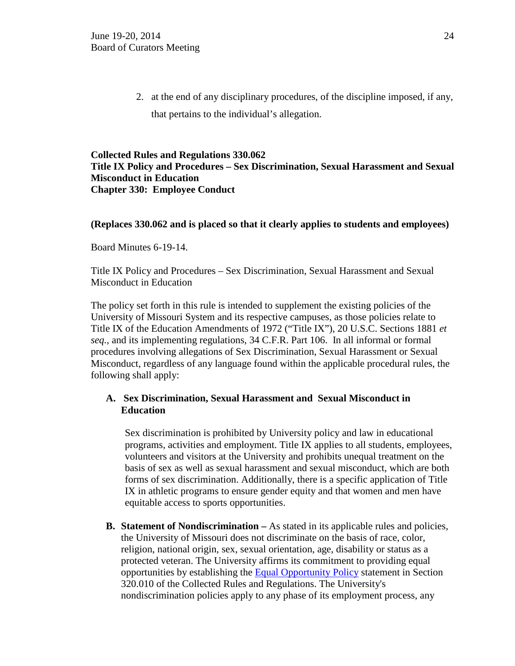2. at the end of any disciplinary procedures, of the discipline imposed, if any, that pertains to the individual's allegation.

# **Collected Rules and Regulations 330.062 Title IX Policy and Procedures – Sex Discrimination, Sexual Harassment and Sexual Misconduct in Education Chapter 330: Employee Conduct**

## **(Replaces 330.062 and is placed so that it clearly applies to students and employees)**

Board Minutes 6-19-14.

Title IX Policy and Procedures – Sex Discrimination, Sexual Harassment and Sexual Misconduct in Education

The policy set forth in this rule is intended to supplement the existing policies of the University of Missouri System and its respective campuses, as those policies relate to Title IX of the Education Amendments of 1972 ("Title IX"), 20 U.S.C. Sections 1881 *et seq.,* and its implementing regulations, 34 C.F.R. Part 106. In all informal or formal procedures involving allegations of Sex Discrimination, Sexual Harassment or Sexual Misconduct, regardless of any language found within the applicable procedural rules, the following shall apply:

# **A. Sex Discrimination, Sexual Harassment and Sexual Misconduct in Education**

Sex discrimination is prohibited by University policy and law in educational programs, activities and employment. Title IX applies to all students, employees, volunteers and visitors at the University and prohibits unequal treatment on the basis of sex as well as sexual harassment and sexual misconduct, which are both forms of sex discrimination. Additionally, there is a specific application of Title IX in athletic programs to ensure gender equity and that women and men have equitable access to sports opportunities.

**B. Statement of Nondiscrimination –** As stated in its applicable rules and policies, the University of Missouri does not discriminate on the basis of race, color, religion, national origin, sex, sexual orientation, age, disability or status as a protected veteran. The University affirms its commitment to providing equal opportunities by establishing the [Equal Opportunity Policy](http://www.umsystem.edu/ums/rules/collected_rules/personnel/ch320/320.010_Equal_Employment_Opportunity_Program/) statement in Section 320.010 of the Collected Rules and Regulations. The University's nondiscrimination policies apply to any phase of its employment process, any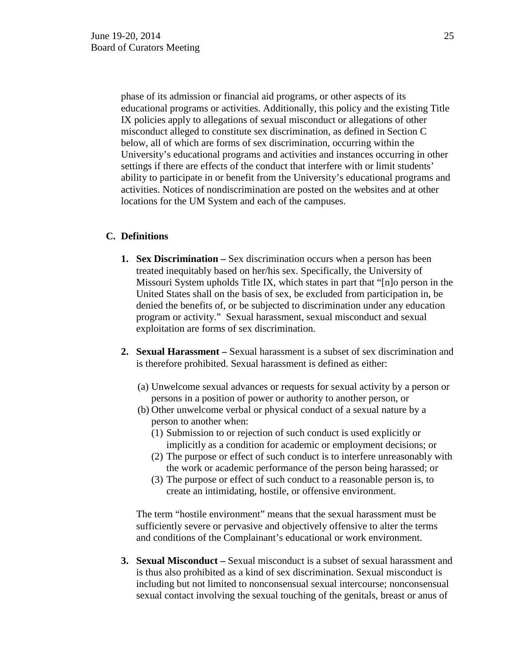phase of its admission or financial aid programs, or other aspects of its educational programs or activities. Additionally, this policy and the existing Title IX policies apply to allegations of sexual misconduct or allegations of other misconduct alleged to constitute sex discrimination, as defined in Section C below, all of which are forms of sex discrimination, occurring within the University's educational programs and activities and instances occurring in other settings if there are effects of the conduct that interfere with or limit students' ability to participate in or benefit from the University's educational programs and activities. Notices of nondiscrimination are posted on the websites and at other locations for the UM System and each of the campuses.

# **C. Definitions**

- **1. [Sex Discrimination](http://equity.missouri.edu/resource-library/sex-discrimination.php) –** Sex discrimination occurs when a person has been treated inequitably based on her/his sex. Specifically, the University of Missouri System upholds Title IX, which states in part that "[n]o person in the United States shall on the basis of sex, be excluded from participation in, be denied the benefits of, or be subjected to discrimination under any education program or activity." Sexual harassment, sexual misconduct and sexual exploitation are forms of sex discrimination.
- **2. [Sexual Harassment](http://equity.missouri.edu/resource-library/sexual-harassment.php) –** Sexual harassment is a subset of sex discrimination and is therefore prohibited. Sexual harassment is defined as either:
	- (a) Unwelcome sexual advances or requests for sexual activity by a person or persons in a position of power or authority to another person, or
	- (b) Other unwelcome verbal or physical conduct of a sexual nature by a person to another when:
		- (1) Submission to or rejection of such conduct is used explicitly or implicitly as a condition for academic or employment decisions; or
		- (2) The purpose or effect of such conduct is to interfere unreasonably with the work or academic performance of the person being harassed; or
		- (3) The purpose or effect of such conduct to a reasonable person is, to create an intimidating, hostile, or offensive environment.

The term "hostile environment" means that the sexual harassment must be sufficiently severe or pervasive and objectively offensive to alter the terms and conditions of the Complainant's educational or work environment.

**3. [Sexual Misconduct](http://equity.missouri.edu/resource-library/sexual-violence.php) –** Sexual misconduct is a subset of sexual harassment and is thus also prohibited as a kind of sex discrimination. Sexual misconduct is including but not limited to nonconsensual sexual intercourse; nonconsensual sexual contact involving the sexual touching of the genitals, breast or anus of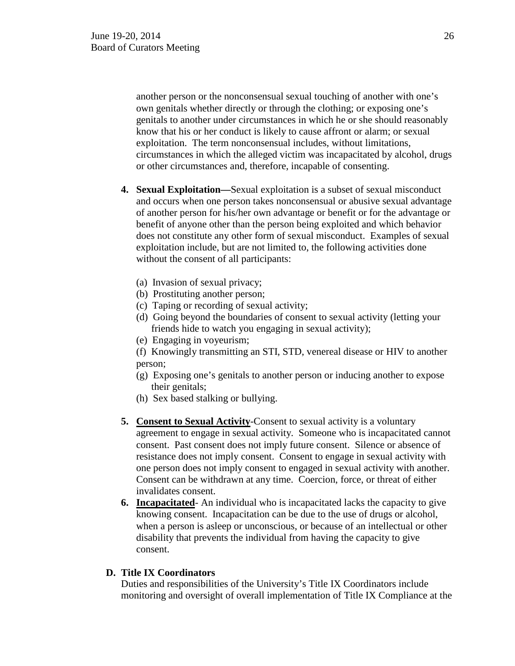another person or the nonconsensual sexual touching of another with one's own genitals whether directly or through the clothing; or exposing one's genitals to another under circumstances in which he or she should reasonably know that his or her conduct is likely to cause affront or alarm; or sexual exploitation. The term nonconsensual includes, without limitations, circumstances in which the alleged victim was incapacitated by alcohol, drugs or other circumstances and, therefore, incapable of consenting.

- **4. Sexual Exploitation—**Sexual exploitation is a subset of sexual misconduct and occurs when one person takes nonconsensual or abusive sexual advantage of another person for his/her own advantage or benefit or for the advantage or benefit of anyone other than the person being exploited and which behavior does not constitute any other form of sexual misconduct. Examples of sexual exploitation include, but are not limited to, the following activities done without the consent of all participants:
	- (a) Invasion of sexual privacy;
	- (b) Prostituting another person;
	- (c) Taping or recording of sexual activity;
	- (d) Going beyond the boundaries of consent to sexual activity (letting your friends hide to watch you engaging in sexual activity);
	- (e) Engaging in voyeurism;

(f) Knowingly transmitting an STI, STD, venereal disease or HIV to another person;

- (g) Exposing one's genitals to another person or inducing another to expose their genitals;
- (h) Sex based stalking or bullying.
- **5. Consent to Sexual Activity**-Consent to sexual activity is a voluntary agreement to engage in sexual activity. Someone who is incapacitated cannot consent. Past consent does not imply future consent. Silence or absence of resistance does not imply consent. Consent to engage in sexual activity with one person does not imply consent to engaged in sexual activity with another. Consent can be withdrawn at any time. Coercion, force, or threat of either invalidates consent.
- **6. Incapacitated** An individual who is incapacitated lacks the capacity to give knowing consent. Incapacitation can be due to the use of drugs or alcohol, when a person is asleep or unconscious, or because of an intellectual or other disability that prevents the individual from having the capacity to give consent.

#### **D. Title IX Coordinators**

Duties and responsibilities of the University's Title IX Coordinators include monitoring and oversight of overall implementation of Title IX Compliance at the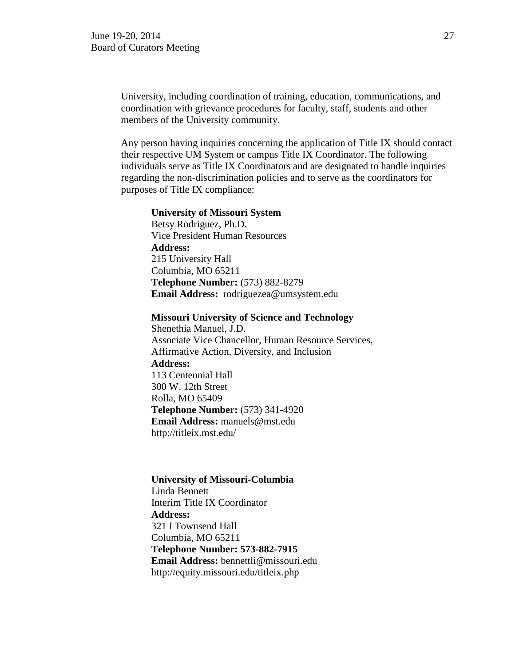University, including coordination of training, education, communications, and coordination with grievance procedures for faculty, staff, students and other members of the University community.

Any person having inquiries concerning the application of Title IX should contact their respective UM System or campus Title IX Coordinator. The following individuals serve as Title IX Coordinators and are designated to handle inquiries regarding the non-discrimination policies and to serve as the coordinators for purposes of Title IX compliance:

#### **University of Missouri System**

 Betsy Rodriguez, Ph.D. Vice President Human Resources **Address:** 215 University Hall Columbia, MO 65211 **Telephone Number:** (573) 882-8279 **Email Address:** rodriguezea@umsystem.edu

 **Missouri University of Science and Technology**

 Shenethia Manuel, J.D. Associate Vice Chancellor, Human Resource Services, Affirmative Action, Diversity, and Inclusion  **Address:**  113 Centennial Hall 300 W. 12th Street Rolla, MO 65409  **Telephone Number:** (573) 341-4920  **Email Address:** manuels@mst.edu http://titleix.mst.edu/

#### **University of Missouri-Columbia**

Linda Bennett Interim Title IX Coordinator **Address:**  321 I Townsend Hall Columbia, MO 65211 **Telephone Number: 573-882-7915 Email Address:** bennettli@missouri.edu http://equity.missouri.edu/titleix.php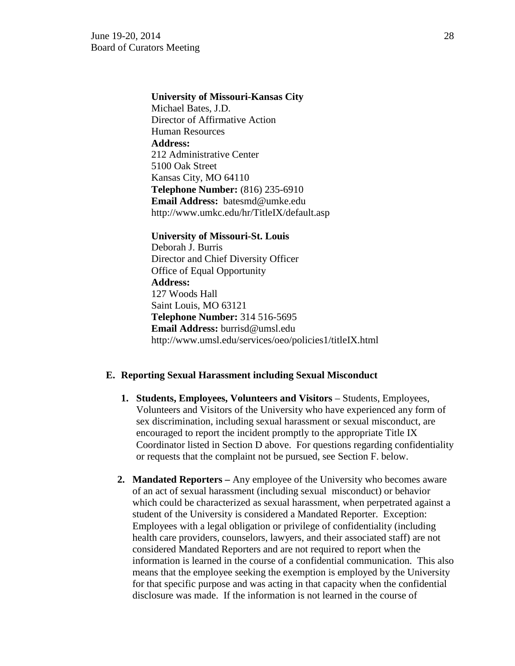## **University of Missouri-Kansas City**

 Michael Bates, J.D. Director of Affirmative Action Human Resources  **Address:** 212 Administrative Center 5100 Oak Street Kansas City, MO 64110  **Telephone Number:** (816) 235-6910  **Email Address:** batesmd@umke.edu http://www.umkc.edu/hr/TitleIX/default.asp

 **University of Missouri-St. Louis** Deborah J. Burris Director and Chief Diversity Officer Office of Equal Opportunity  **Address:**  127 Woods Hall Saint Louis, MO 63121  **Telephone Number:** 314 516-5695  **Email Address:** burrisd@umsl.edu http://www.umsl.edu/services/oeo/policies1/titleIX.html

#### **E. Reporting Sexual Harassment including Sexual Misconduct**

- **1. Students, Employees, Volunteers and Visitors** Students, Employees, Volunteers and Visitors of the University who have experienced any form of sex discrimination, including sexual harassment or sexual misconduct, are encouraged to report the incident promptly to the appropriate Title IX Coordinator listed in Section D above. For questions regarding confidentiality or requests that the complaint not be pursued, see Section F. below.
- **2. Mandated Reporters –** Any employee of the University who becomes aware of an act of sexual harassment (including sexual misconduct) or behavior which could be characterized as sexual harassment, when perpetrated against a student of the University is considered a Mandated Reporter. Exception: Employees with a legal obligation or privilege of confidentiality (including health care providers, counselors, lawyers, and their associated staff) are not considered Mandated Reporters and are not required to report when the information is learned in the course of a confidential communication. This also means that the employee seeking the exemption is employed by the University for that specific purpose and was acting in that capacity when the confidential disclosure was made. If the information is not learned in the course of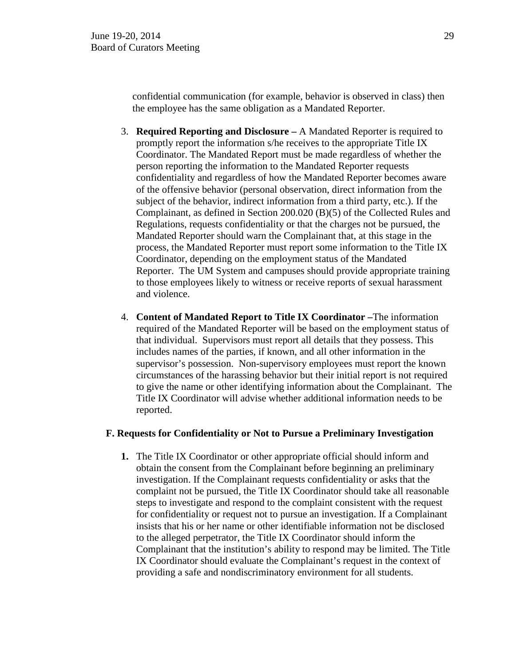confidential communication (for example, behavior is observed in class) then the employee has the same obligation as a Mandated Reporter.

- 3. **Required Reporting and Disclosure –** A Mandated Reporter is required to promptly report the information s/he receives to the appropriate Title IX Coordinator. The Mandated Report must be made regardless of whether the person reporting the information to the Mandated Reporter requests confidentiality and regardless of how the Mandated Reporter becomes aware of the offensive behavior (personal observation, direct information from the subject of the behavior, indirect information from a third party, etc.). If the Complainant, as defined in Section 200.020 (B)(5) of the Collected Rules and Regulations, requests confidentiality or that the charges not be pursued, the Mandated Reporter should warn the Complainant that, at this stage in the process, the Mandated Reporter must report some information to the Title IX Coordinator, depending on the employment status of the Mandated Reporter. The UM System and campuses should provide appropriate training to those employees likely to witness or receive reports of sexual harassment and violence.
- 4. **Content of Mandated Report to Title IX Coordinator –**The information required of the Mandated Reporter will be based on the employment status of that individual. Supervisors must report all details that they possess. This includes names of the parties, if known, and all other information in the supervisor's possession. Non-supervisory employees must report the known circumstances of the harassing behavior but their initial report is not required to give the name or other identifying information about the Complainant. The Title IX Coordinator will advise whether additional information needs to be reported.

### **F. Requests for Confidentiality or Not to Pursue a Preliminary Investigation**

**1.** The Title IX Coordinator or other appropriate official should inform and obtain the consent from the Complainant before beginning an preliminary investigation. If the Complainant requests confidentiality or asks that the complaint not be pursued, the Title IX Coordinator should take all reasonable steps to investigate and respond to the complaint consistent with the request for confidentiality or request not to pursue an investigation. If a Complainant insists that his or her name or other identifiable information not be disclosed to the alleged perpetrator, the Title IX Coordinator should inform the Complainant that the institution's ability to respond may be limited. The Title IX Coordinator should evaluate the Complainant's request in the context of providing a safe and nondiscriminatory environment for all students.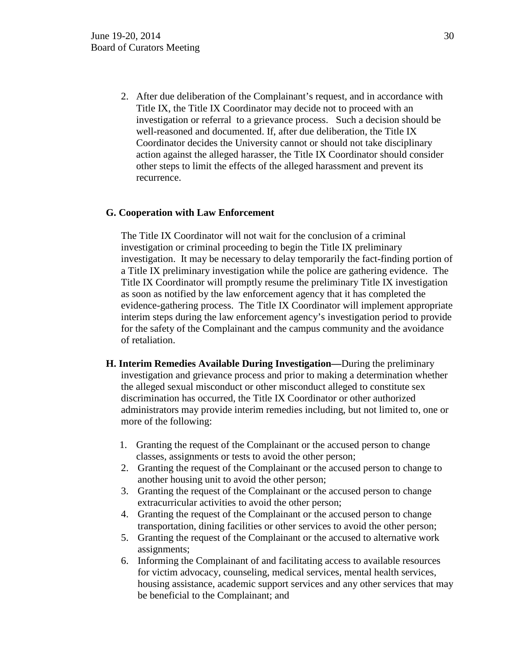2. After due deliberation of the Complainant's request, and in accordance with Title IX, the Title IX Coordinator may decide not to proceed with an investigation or referral to a grievance process. Such a decision should be well-reasoned and documented. If, after due deliberation, the Title IX Coordinator decides the University cannot or should not take disciplinary action against the alleged harasser, the Title IX Coordinator should consider other steps to limit the effects of the alleged harassment and prevent its recurrence.

## **G. Cooperation with Law Enforcement**

The Title IX Coordinator will not wait for the conclusion of a criminal investigation or criminal proceeding to begin the Title IX preliminary investigation. It may be necessary to delay temporarily the fact-finding portion of a Title IX preliminary investigation while the police are gathering evidence. The Title IX Coordinator will promptly resume the preliminary Title IX investigation as soon as notified by the law enforcement agency that it has completed the evidence-gathering process. The Title IX Coordinator will implement appropriate interim steps during the law enforcement agency's investigation period to provide for the safety of the Complainant and the campus community and the avoidance of retaliation.

- **H. Interim Remedies Available During Investigation—**During the preliminary investigation and grievance process and prior to making a determination whether the alleged sexual misconduct or other misconduct alleged to constitute sex discrimination has occurred, the Title IX Coordinator or other authorized administrators may provide interim remedies including, but not limited to, one or more of the following:
	- 1. Granting the request of the Complainant or the accused person to change classes, assignments or tests to avoid the other person;
	- 2. Granting the request of the Complainant or the accused person to change to another housing unit to avoid the other person;
	- 3. Granting the request of the Complainant or the accused person to change extracurricular activities to avoid the other person;
	- 4. Granting the request of the Complainant or the accused person to change transportation, dining facilities or other services to avoid the other person;
	- 5. Granting the request of the Complainant or the accused to alternative work assignments;
	- 6. Informing the Complainant of and facilitating access to available resources for victim advocacy, counseling, medical services, mental health services, housing assistance, academic support services and any other services that may be beneficial to the Complainant; and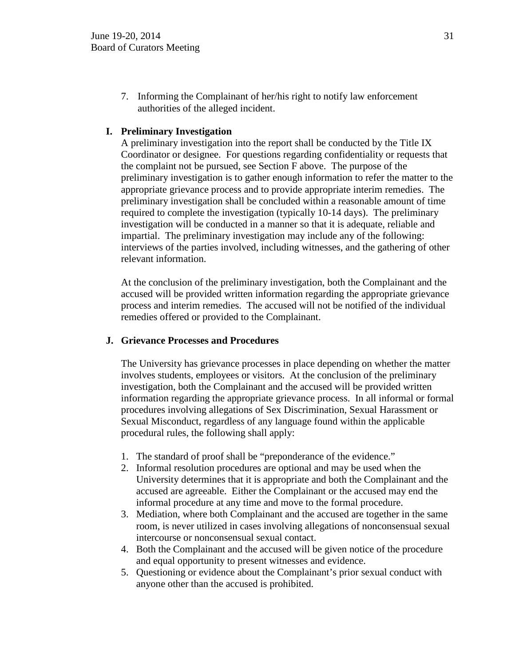7. Informing the Complainant of her/his right to notify law enforcement authorities of the alleged incident.

# **I. Preliminary Investigation**

A preliminary investigation into the report shall be conducted by the Title IX Coordinator or designee. For questions regarding confidentiality or requests that the complaint not be pursued, see Section F above. The purpose of the preliminary investigation is to gather enough information to refer the matter to the appropriate grievance process and to provide appropriate interim remedies. The preliminary investigation shall be concluded within a reasonable amount of time required to complete the investigation (typically 10-14 days). The preliminary investigation will be conducted in a manner so that it is adequate, reliable and impartial. The preliminary investigation may include any of the following: interviews of the parties involved, including witnesses, and the gathering of other relevant information.

At the conclusion of the preliminary investigation, both the Complainant and the accused will be provided written information regarding the appropriate grievance process and interim remedies. The accused will not be notified of the individual remedies offered or provided to the Complainant.

# **J. Grievance Processes and Procedures**

The University has grievance processes in place depending on whether the matter involves students, employees or visitors. At the conclusion of the preliminary investigation, both the Complainant and the accused will be provided written information regarding the appropriate grievance process. In all informal or formal procedures involving allegations of Sex Discrimination, Sexual Harassment or Sexual Misconduct, regardless of any language found within the applicable procedural rules, the following shall apply:

- 1. The standard of proof shall be "preponderance of the evidence."
- 2. Informal resolution procedures are optional and may be used when the University determines that it is appropriate and both the Complainant and the accused are agreeable. Either the Complainant or the accused may end the informal procedure at any time and move to the formal procedure.
- 3. Mediation, where both Complainant and the accused are together in the same room, is never utilized in cases involving allegations of nonconsensual sexual intercourse or nonconsensual sexual contact.
- 4. Both the Complainant and the accused will be given notice of the procedure and equal opportunity to present witnesses and evidence.
- 5. Questioning or evidence about the Complainant's prior sexual conduct with anyone other than the accused is prohibited.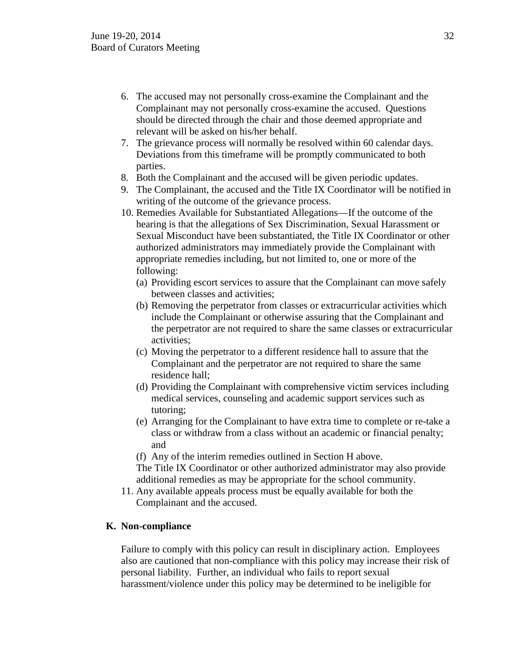- 6. The accused may not personally cross-examine the Complainant and the Complainant may not personally cross-examine the accused. Questions should be directed through the chair and those deemed appropriate and relevant will be asked on his/her behalf.
- 7. The grievance process will normally be resolved within 60 calendar days. Deviations from this timeframe will be promptly communicated to both parties.
- 8. Both the Complainant and the accused will be given periodic updates.
- 9. The Complainant, the accused and the Title IX Coordinator will be notified in writing of the outcome of the grievance process.
- 10. Remedies Available for Substantiated Allegations—If the outcome of the hearing is that the allegations of Sex Discrimination, Sexual Harassment or Sexual Misconduct have been substantiated, the Title IX Coordinator or other authorized administrators may immediately provide the Complainant with appropriate remedies including, but not limited to, one or more of the following:
	- (a) Providing escort services to assure that the Complainant can move safely between classes and activities;
	- (b) Removing the perpetrator from classes or extracurricular activities which include the Complainant or otherwise assuring that the Complainant and the perpetrator are not required to share the same classes or extracurricular activities;
	- (c) Moving the perpetrator to a different residence hall to assure that the Complainant and the perpetrator are not required to share the same residence hall;
	- (d) Providing the Complainant with comprehensive victim services including medical services, counseling and academic support services such as tutoring;
	- (e) Arranging for the Complainant to have extra time to complete or re-take a class or withdraw from a class without an academic or financial penalty; and
	- (f) Any of the interim remedies outlined in Section H above.

The Title IX Coordinator or other authorized administrator may also provide additional remedies as may be appropriate for the school community.

11. Any available appeals process must be equally available for both the Complainant and the accused.

# **K. Non-compliance**

Failure to comply with this policy can result in disciplinary action. Employees also are cautioned that non-compliance with this policy may increase their risk of personal liability. Further, an individual who fails to report sexual harassment/violence under this policy may be determined to be ineligible for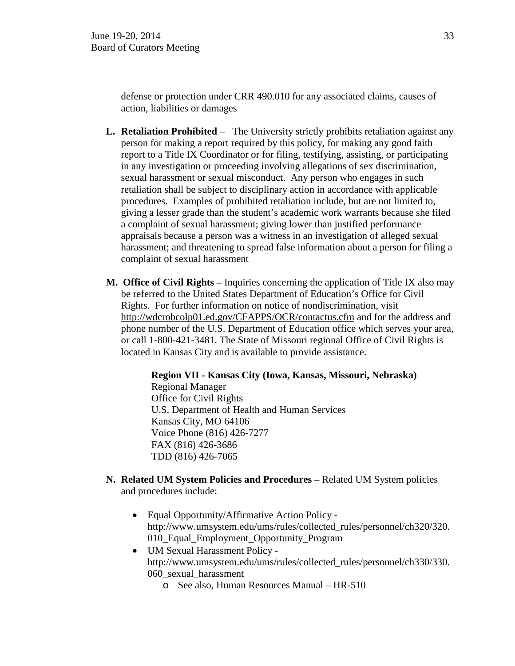defense or protection under CRR 490.010 for any associated claims, causes of action, liabilities or damages

- **L. Retaliation Prohibited** The University strictly prohibits retaliation against any person for making a report required by this policy, for making any good faith report to a Title IX Coordinator or for filing, testifying, assisting, or participating in any investigation or proceeding involving allegations of sex discrimination, sexual harassment or sexual misconduct. Any person who engages in such retaliation shall be subject to disciplinary action in accordance with applicable procedures. Examples of prohibited retaliation include, but are not limited to, giving a lesser grade than the student's academic work warrants because she filed a complaint of sexual harassment; giving lower than justified performance appraisals because a person was a witness in an investigation of alleged sexual harassment; and threatening to spread false information about a person for filing a complaint of sexual harassment
- **M. Office of Civil Rights –** Inquiries concerning the application of Title IX also may be referred to the United States Department of Education's Office for Civil Rights. For further information on notice of nondiscrimination, visit http://wdcrobcolp01.ed.gov/CFAPPS/OCR/contactus.cfm and for the address and phone number of the U.S. Department of Education office which serves your area, or call 1-800-421-3481. The State of Missouri regional Office of Civil Rights is located in Kansas City and is available to provide assistance.

 **Region VII - Kansas City (Iowa, Kansas, Missouri, Nebraska)** Regional Manager Office for Civil Rights U.S. Department of Health and Human Services Kansas City, MO 64106 Voice Phone (816) 426-7277 FAX (816) 426-3686 TDD (816) 426-7065

- **N. Related UM System Policies and Procedures –** Related UM System policies and procedures include:
	- Equal Opportunity/Affirmative Action Policy http://www.umsystem.edu/ums/rules/collected\_rules/personnel/ch320/320. 010\_Equal\_Employment\_Opportunity\_Program
	- UM Sexual Harassment Policy http://www.umsystem.edu/ums/rules/collected\_rules/personnel/ch330/330. 060\_sexual\_harassment
		- o See also, Human Resources Manual HR-510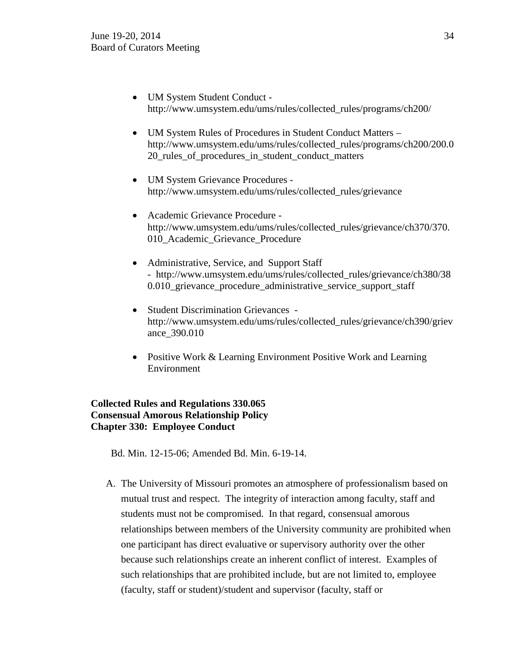- UM System Student Conduct http://www.umsystem.edu/ums/rules/collected\_rules/programs/ch200/
- UM System Rules of Procedures in Student Conduct Matters http://www.umsystem.edu/ums/rules/collected\_rules/programs/ch200/200.0 20\_rules\_of\_procedures\_in\_student\_conduct\_matters
- UM System Grievance Procedures http://www.umsystem.edu/ums/rules/collected\_rules/grievance
- Academic Grievance Procedure http://www.umsystem.edu/ums/rules/collected\_rules/grievance/ch370/370. 010 Academic Grievance Procedure
- Administrative, Service, and Support Staff - http://www.umsystem.edu/ums/rules/collected\_rules/grievance/ch380/38 0.010\_grievance\_procedure\_administrative\_service\_support\_staff
- Student Discrimination Grievances http://www.umsystem.edu/ums/rules/collected\_rules/grievance/ch390/griev ance\_390.010
- Positive Work & Learning Environment Positive Work and Learning Environment

# **Collected Rules and Regulations 330.065 Consensual Amorous Relationship Policy Chapter 330: Employee Conduct**

Bd. Min. 12-15-06; Amended Bd. Min. 6-19-14.

A. The University of Missouri promotes an atmosphere of professionalism based on mutual trust and respect. The integrity of interaction among faculty, staff and students must not be compromised. In that regard, consensual amorous relationships between members of the University community are prohibited when one participant has direct evaluative or supervisory authority over the other because such relationships create an inherent conflict of interest. Examples of such relationships that are prohibited include, but are not limited to, employee (faculty, staff or student)/student and supervisor (faculty, staff or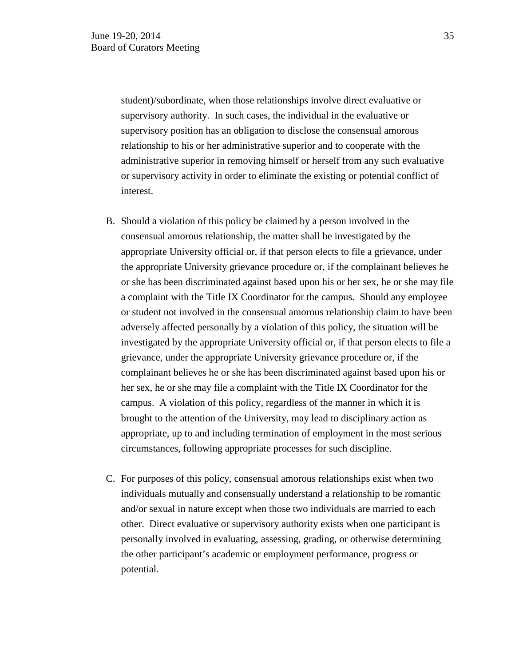student)/subordinate, when those relationships involve direct evaluative or supervisory authority. In such cases, the individual in the evaluative or supervisory position has an obligation to disclose the consensual amorous relationship to his or her administrative superior and to cooperate with the administrative superior in removing himself or herself from any such evaluative or supervisory activity in order to eliminate the existing or potential conflict of interest.

- B. Should a violation of this policy be claimed by a person involved in the consensual amorous relationship, the matter shall be investigated by the appropriate University official or, if that person elects to file a grievance, under the appropriate University grievance procedure or, if the complainant believes he or she has been discriminated against based upon his or her sex, he or she may file a complaint with the Title IX Coordinator for the campus. Should any employee or student not involved in the consensual amorous relationship claim to have been adversely affected personally by a violation of this policy, the situation will be investigated by the appropriate University official or, if that person elects to file a grievance, under the appropriate University grievance procedure or, if the complainant believes he or she has been discriminated against based upon his or her sex, he or she may file a complaint with the Title IX Coordinator for the campus. A violation of this policy, regardless of the manner in which it is brought to the attention of the University, may lead to disciplinary action as appropriate, up to and including termination of employment in the most serious circumstances, following appropriate processes for such discipline.
- C. For purposes of this policy, consensual amorous relationships exist when two individuals mutually and consensually understand a relationship to be romantic and/or sexual in nature except when those two individuals are married to each other. Direct evaluative or supervisory authority exists when one participant is personally involved in evaluating, assessing, grading, or otherwise determining the other participant's academic or employment performance, progress or potential.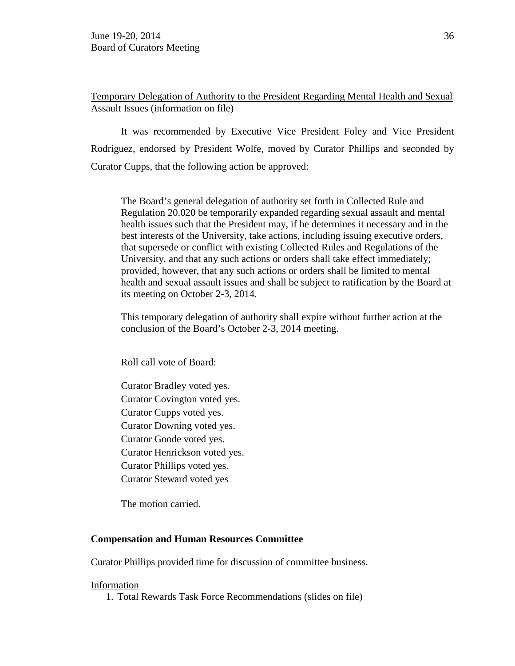Temporary Delegation of Authority to the President Regarding Mental Health and Sexual Assault Issues (information on file)

It was recommended by Executive Vice President Foley and Vice President Rodriguez, endorsed by President Wolfe, moved by Curator Phillips and seconded by Curator Cupps, that the following action be approved:

The Board's general delegation of authority set forth in Collected Rule and Regulation 20.020 be temporarily expanded regarding sexual assault and mental health issues such that the President may, if he determines it necessary and in the best interests of the University, take actions, including issuing executive orders, that supersede or conflict with existing Collected Rules and Regulations of the University, and that any such actions or orders shall take effect immediately; provided, however, that any such actions or orders shall be limited to mental health and sexual assault issues and shall be subject to ratification by the Board at its meeting on October 2-3, 2014.

This temporary delegation of authority shall expire without further action at the conclusion of the Board's October 2-3, 2014 meeting.

Roll call vote of Board:

Curator Bradley voted yes. Curator Covington voted yes. Curator Cupps voted yes. Curator Downing voted yes. Curator Goode voted yes. Curator Henrickson voted yes. Curator Phillips voted yes. Curator Steward voted yes

The motion carried.

# **Compensation and Human Resources Committee**

Curator Phillips provided time for discussion of committee business.

### Information

1. Total Rewards Task Force Recommendations (slides on file)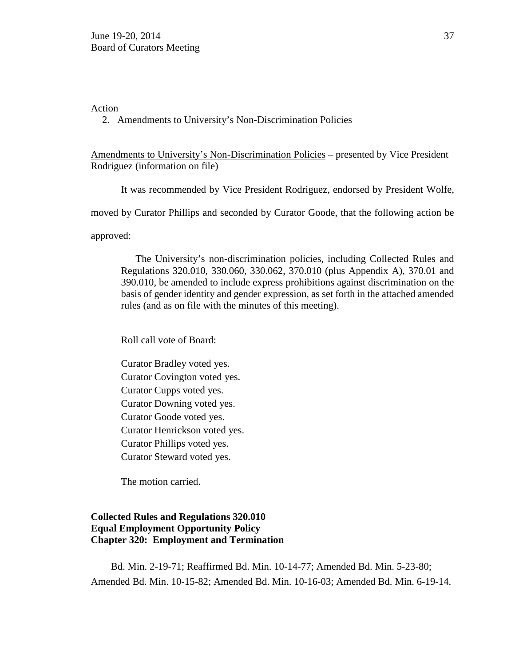#### Action

2. Amendments to University's Non-Discrimination Policies

Amendments to University's Non-Discrimination Policies – presented by Vice President Rodriguez (information on file)

It was recommended by Vice President Rodriguez, endorsed by President Wolfe,

moved by Curator Phillips and seconded by Curator Goode, that the following action be

approved:

The University's non-discrimination policies, including Collected Rules and Regulations 320.010, 330.060, 330.062, 370.010 (plus Appendix A), 370.01 and 390.010, be amended to include express prohibitions against discrimination on the basis of gender identity and gender expression, as set forth in the attached amended rules (and as on file with the minutes of this meeting).

Roll call vote of Board:

Curator Bradley voted yes. Curator Covington voted yes. Curator Cupps voted yes. Curator Downing voted yes. Curator Goode voted yes. Curator Henrickson voted yes. Curator Phillips voted yes. Curator Steward voted yes.

The motion carried.

## **Collected Rules and Regulations 320.010 Equal Employment Opportunity Policy Chapter 320: Employment and Termination**

Bd. Min. 2-19-71; Reaffirmed Bd. Min. 10-14-77; Amended Bd. Min. 5-23-80; Amended Bd. Min. 10-15-82; Amended Bd. Min. 10-16-03; Amended Bd. Min. 6-19-14.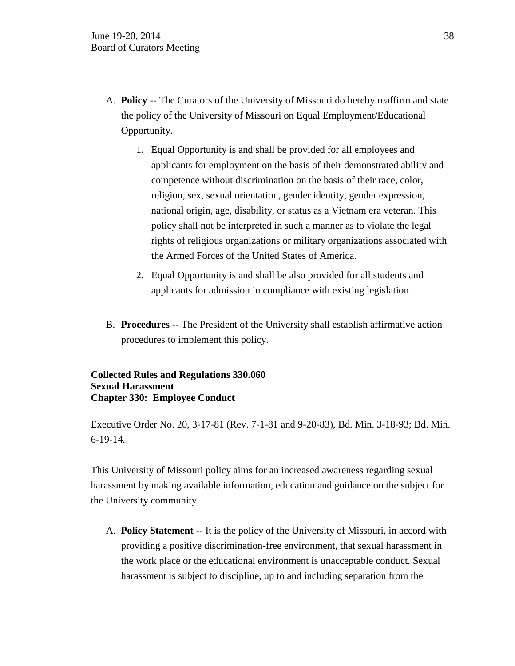- A. **Policy** -- The Curators of the University of Missouri do hereby reaffirm and state the policy of the University of Missouri on Equal Employment/Educational Opportunity.
	- 1. Equal Opportunity is and shall be provided for all employees and applicants for employment on the basis of their demonstrated ability and competence without discrimination on the basis of their race, color, religion, sex, sexual orientation, gender identity, gender expression, national origin, age, disability, or status as a Vietnam era veteran. This policy shall not be interpreted in such a manner as to violate the legal rights of religious organizations or military organizations associated with the Armed Forces of the United States of America.
	- 2. Equal Opportunity is and shall be also provided for all students and applicants for admission in compliance with existing legislation.
- B. **Procedures** -- The President of the University shall establish affirmative action procedures to implement this policy.

### **Collected Rules and Regulations 330.060 Sexual Harassment Chapter 330: Employee Conduct**

Executive Order No. 20, 3-17-81 (Rev. 7-1-81 and 9-20-83), Bd. Min. 3-18-93; Bd. Min. 6-19-14.

This University of Missouri policy aims for an increased awareness regarding sexual harassment by making available information, education and guidance on the subject for the University community.

A. **Policy Statement** -- It is the policy of the University of Missouri, in accord with providing a positive discrimination-free environment, that sexual harassment in the work place or the educational environment is unacceptable conduct. Sexual harassment is subject to discipline, up to and including separation from the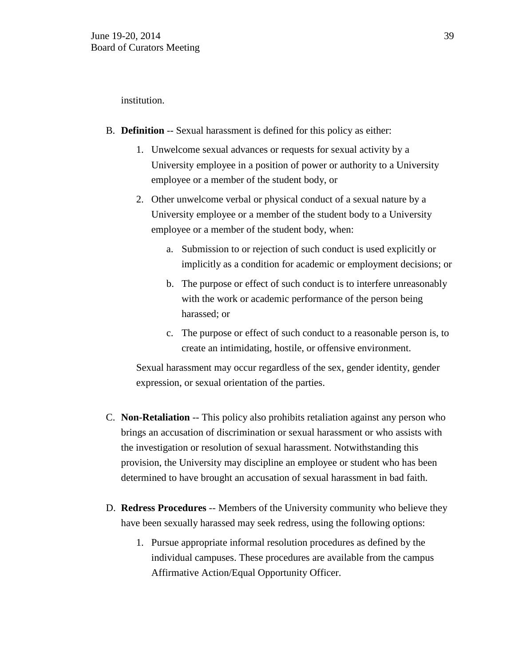institution.

- B. **Definition** -- Sexual harassment is defined for this policy as either:
	- 1. Unwelcome sexual advances or requests for sexual activity by a University employee in a position of power or authority to a University employee or a member of the student body, or
	- 2. Other unwelcome verbal or physical conduct of a sexual nature by a University employee or a member of the student body to a University employee or a member of the student body, when:
		- a. Submission to or rejection of such conduct is used explicitly or implicitly as a condition for academic or employment decisions; or
		- b. The purpose or effect of such conduct is to interfere unreasonably with the work or academic performance of the person being harassed; or
		- c. The purpose or effect of such conduct to a reasonable person is, to create an intimidating, hostile, or offensive environment.

Sexual harassment may occur regardless of the sex, gender identity, gender expression, or sexual orientation of the parties.

- C. **Non-Retaliation** -- This policy also prohibits retaliation against any person who brings an accusation of discrimination or sexual harassment or who assists with the investigation or resolution of sexual harassment. Notwithstanding this provision, the University may discipline an employee or student who has been determined to have brought an accusation of sexual harassment in bad faith.
- D. **Redress Procedures** -- Members of the University community who believe they have been sexually harassed may seek redress, using the following options:
	- 1. Pursue appropriate informal resolution procedures as defined by the individual campuses. These procedures are available from the campus Affirmative Action/Equal Opportunity Officer.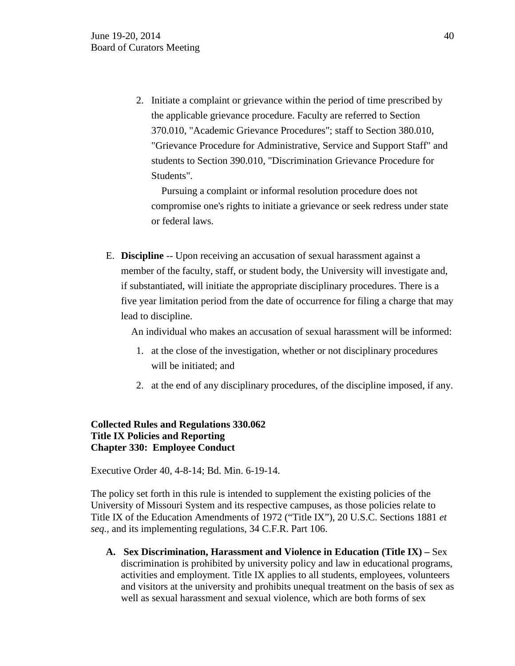2. Initiate a complaint or grievance within the period of time prescribed by the applicable grievance procedure. Faculty are referred to Section 370.010, "Academic Grievance Procedures"; staff to [Section 380.010,](http://www.umsystem.edu/ums/departments/gc/rules/grievance/380/010.shtml) "Grievance Procedure for Administrative, Service and Support Staff" and students to [Section 390.010,](http://www.umsystem.edu/ums/departments/gc/rules/grievance/390/010.shtml) "Discrimination Grievance Procedure for Students".

 Pursuing a complaint or informal resolution procedure does not compromise one's rights to initiate a grievance or seek redress under state or federal laws.

E. **Discipline** -- Upon receiving an accusation of sexual harassment against a member of the faculty, staff, or student body, the University will investigate and, if substantiated, will initiate the appropriate disciplinary procedures. There is a five year limitation period from the date of occurrence for filing a charge that may lead to discipline.

An individual who makes an accusation of sexual harassment will be informed:

- 1. at the close of the investigation, whether or not disciplinary procedures will be initiated; and
- 2. at the end of any disciplinary procedures, of the discipline imposed, if any.

## **Collected Rules and Regulations 330.062 Title IX Policies and Reporting Chapter 330: Employee Conduct**

Executive Order 40, 4-8-14; Bd. Min. 6-19-14.

The policy set forth in this rule is intended to supplement the existing policies of the University of Missouri System and its respective campuses, as those policies relate to Title IX of the Education Amendments of 1972 ("Title IX"), 20 U.S.C. Sections 1881 *et seq.,* and its implementing regulations, 34 C.F.R. Part 106.

**A. Sex Discrimination, Harassment and Violence in Education (Title IX) –** Sex discrimination is prohibited by university policy and law in educational programs, activities and employment. Title IX applies to all students, employees, volunteers and visitors at the university and prohibits unequal treatment on the basis of sex as well as sexual harassment and sexual violence, which are both forms of sex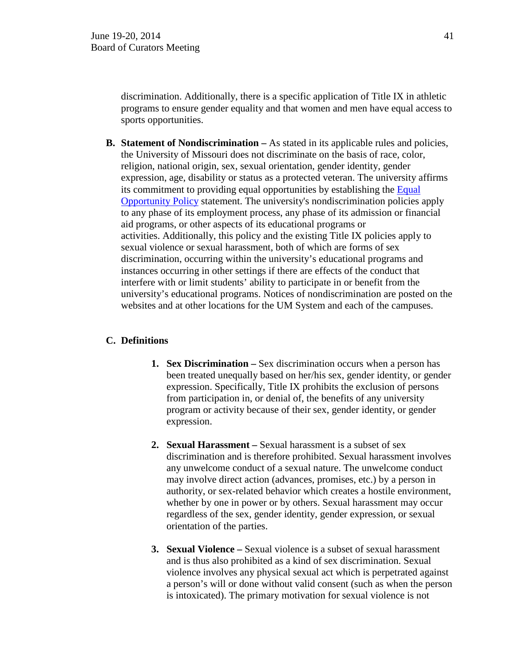discrimination. Additionally, there is a specific application of Title IX in athletic programs to ensure gender equality and that women and men have equal access to sports opportunities.

**B. Statement of Nondiscrimination –** As stated in its applicable rules and policies, the University of Missouri does not discriminate on the basis of race, color, religion, national origin, sex, sexual orientation, gender identity, gender expression, age, disability or status as a protected veteran. The university affirms its commitment to providing equal opportunities by establishing the [Equal](http://www.umsystem.edu/ums/rules/collected_rules/personnel/ch320/320.010_Equal_Employment_Opportunity_Program/)  [Opportunity Policy](http://www.umsystem.edu/ums/rules/collected_rules/personnel/ch320/320.010_Equal_Employment_Opportunity_Program/) statement. The university's nondiscrimination policies apply to any phase of its employment process, any phase of its admission or financial aid programs, or other aspects of its educational programs or activities. Additionally, this policy and the existing Title IX policies apply to sexual violence or sexual harassment, both of which are forms of sex discrimination, occurring within the university's educational programs and instances occurring in other settings if there are effects of the conduct that interfere with or limit students' ability to participate in or benefit from the university's educational programs. Notices of nondiscrimination are posted on the websites and at other locations for the UM System and each of the campuses.

## **C. Definitions**

- **1. [Sex Discrimination](http://equity.missouri.edu/resource-library/sex-discrimination.php) –** Sex discrimination occurs when a person has been treated unequally based on her/his sex, gender identity, or gender expression. Specifically, Title IX prohibits the exclusion of persons from participation in, or denial of, the benefits of any university program or activity because of their sex, gender identity, or gender expression.
- **2. [Sexual Harassment](http://equity.missouri.edu/resource-library/sexual-harassment.php) –** Sexual harassment is a subset of sex discrimination and is therefore prohibited. Sexual harassment involves any unwelcome conduct of a sexual nature. The unwelcome conduct may involve direct action (advances, promises, etc.) by a person in authority, or sex-related behavior which creates a hostile environment, whether by one in power or by others. Sexual harassment may occur regardless of the sex, gender identity, gender expression, or sexual orientation of the parties.
- **3. [Sexual Violence](http://equity.missouri.edu/resource-library/sexual-violence.php) –** Sexual violence is a subset of sexual harassment and is thus also prohibited as a kind of sex discrimination. Sexual violence involves any physical sexual act which is perpetrated against a person's will or done without valid consent (such as when the person is intoxicated). The primary motivation for sexual violence is not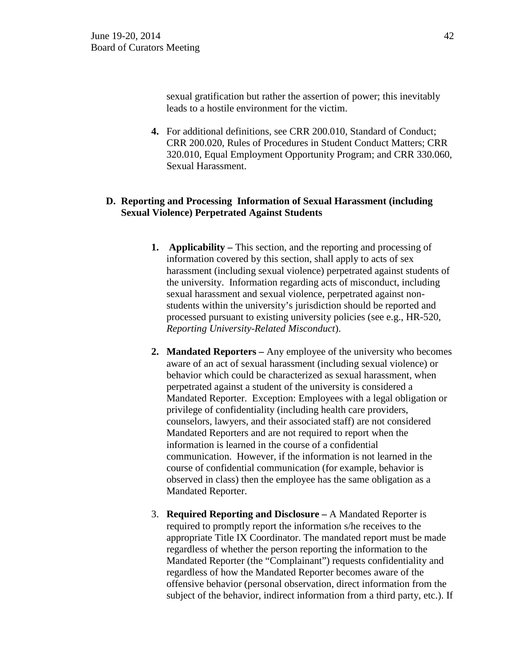sexual gratification but rather the assertion of power; this inevitably leads to a hostile environment for the victim.

**4.** For additional definitions, see CRR 200.010, Standard of Conduct; CRR 200.020, Rules of Procedures in Student Conduct Matters; CRR 320.010, Equal Employment Opportunity Program; and CRR 330.060, Sexual Harassment.

## **D. Reporting and Processing Information of Sexual Harassment (including Sexual Violence) Perpetrated Against Students**

- **1. Applicability –** This section, and the reporting and processing of information covered by this section, shall apply to acts of sex harassment (including sexual violence) perpetrated against students of the university. Information regarding acts of misconduct, including sexual harassment and sexual violence, perpetrated against nonstudents within the university's jurisdiction should be reported and processed pursuant to existing university policies (see e.g., HR-520, *Reporting University-Related Misconduct*).
- **2. Mandated Reporters –** Any employee of the university who becomes aware of an act of sexual harassment (including sexual violence) or behavior which could be characterized as sexual harassment, when perpetrated against a student of the university is considered a Mandated Reporter. Exception: Employees with a legal obligation or privilege of confidentiality (including health care providers, counselors, lawyers, and their associated staff) are not considered Mandated Reporters and are not required to report when the information is learned in the course of a confidential communication. However, if the information is not learned in the course of confidential communication (for example, behavior is observed in class) then the employee has the same obligation as a Mandated Reporter.
- 3. **Required Reporting and Disclosure –** A Mandated Reporter is required to promptly report the information s/he receives to the appropriate Title IX Coordinator. The mandated report must be made regardless of whether the person reporting the information to the Mandated Reporter (the "Complainant") requests confidentiality and regardless of how the Mandated Reporter becomes aware of the offensive behavior (personal observation, direct information from the subject of the behavior, indirect information from a third party, etc.). If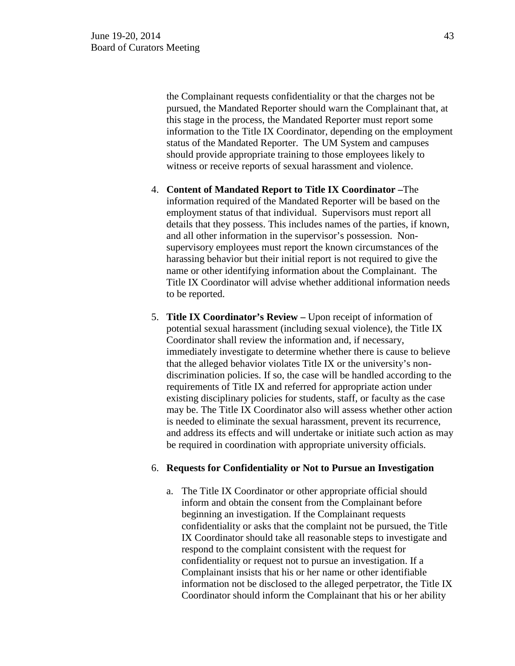the Complainant requests confidentiality or that the charges not be pursued, the Mandated Reporter should warn the Complainant that, at this stage in the process, the Mandated Reporter must report some information to the Title IX Coordinator, depending on the employment status of the Mandated Reporter. The UM System and campuses should provide appropriate training to those employees likely to witness or receive reports of sexual harassment and violence.

- 4. **Content of Mandated Report to Title IX Coordinator –**The information required of the Mandated Reporter will be based on the employment status of that individual. Supervisors must report all details that they possess. This includes names of the parties, if known, and all other information in the supervisor's possession. Nonsupervisory employees must report the known circumstances of the harassing behavior but their initial report is not required to give the name or other identifying information about the Complainant. The Title IX Coordinator will advise whether additional information needs to be reported.
- 5. **Title IX Coordinator's Review –** Upon receipt of information of potential sexual harassment (including sexual violence), the Title IX Coordinator shall review the information and, if necessary, immediately investigate to determine whether there is cause to believe that the alleged behavior violates Title IX or the university's nondiscrimination policies. If so, the case will be handled according to the requirements of Title IX and referred for appropriate action under existing disciplinary policies for students, staff, or faculty as the case may be. The Title IX Coordinator also will assess whether other action is needed to eliminate the sexual harassment, prevent its recurrence, and address its effects and will undertake or initiate such action as may be required in coordination with appropriate university officials.

#### 6. **Requests for Confidentiality or Not to Pursue an Investigation**

a. The Title IX Coordinator or other appropriate official should inform and obtain the consent from the Complainant before beginning an investigation. If the Complainant requests confidentiality or asks that the complaint not be pursued, the Title IX Coordinator should take all reasonable steps to investigate and respond to the complaint consistent with the request for confidentiality or request not to pursue an investigation. If a Complainant insists that his or her name or other identifiable information not be disclosed to the alleged perpetrator, the Title IX Coordinator should inform the Complainant that his or her ability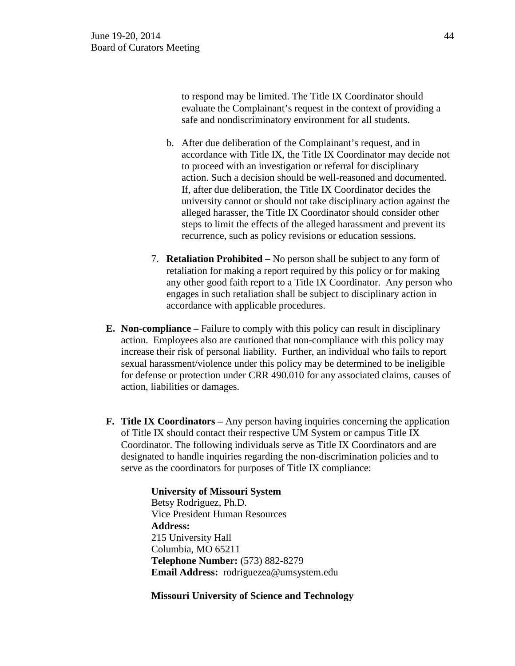to respond may be limited. The Title IX Coordinator should evaluate the Complainant's request in the context of providing a safe and nondiscriminatory environment for all students.

- b. After due deliberation of the Complainant's request, and in accordance with Title IX, the Title IX Coordinator may decide not to proceed with an investigation or referral for disciplinary action. Such a decision should be well-reasoned and documented. If, after due deliberation, the Title IX Coordinator decides the university cannot or should not take disciplinary action against the alleged harasser, the Title IX Coordinator should consider other steps to limit the effects of the alleged harassment and prevent its recurrence, such as policy revisions or education sessions.
- 7. **Retaliation Prohibited** No person shall be subject to any form of retaliation for making a report required by this policy or for making any other good faith report to a Title IX Coordinator. Any person who engages in such retaliation shall be subject to disciplinary action in accordance with applicable procedures.
- **E. Non-compliance –** Failure to comply with this policy can result in disciplinary action. Employees also are cautioned that non-compliance with this policy may increase their risk of personal liability. Further, an individual who fails to report sexual harassment/violence under this policy may be determined to be ineligible for defense or protection under CRR 490.010 for any associated claims, causes of action, liabilities or damages.
- **F. Title IX Coordinators –** Any person having inquiries concerning the application of Title IX should contact their respective UM System or campus Title IX Coordinator. The following individuals serve as Title IX Coordinators and are designated to handle inquiries regarding the non-discrimination policies and to serve as the coordinators for purposes of Title IX compliance:

 **University of Missouri System** Betsy Rodriguez, Ph.D. Vice President Human Resources **Address:** 215 University Hall Columbia, MO 65211 **Telephone Number:** (573) 882-8279 **Email Address:** rodriguezea@umsystem.edu

 **Missouri University of Science and Technology**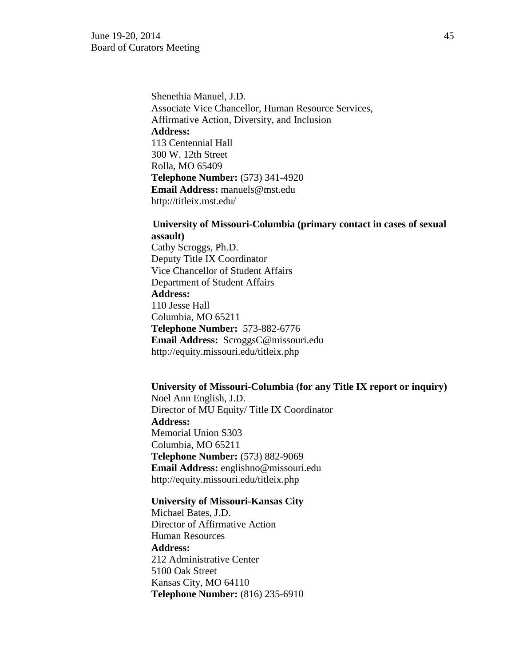Shenethia Manuel, J.D. Associate Vice Chancellor, Human Resource Services, Affirmative Action, Diversity, and Inclusion  **Address:**  113 Centennial Hall 300 W. 12th Street Rolla, MO 65409  **Telephone Number:** (573) 341-4920  **Email Address:** manuels@mst.edu http://titleix.mst.edu/

# **University of Missouri-Columbia (primary contact in cases of sexual assault)**

Cathy Scroggs, Ph.D. Deputy Title IX Coordinator Vice Chancellor of Student Affairs Department of Student Affairs **Address:** 110 Jesse Hall Columbia, MO 65211 **Telephone Number:** 573-882-6776 **Email Address:** ScroggsC@missouri.edu http://equity.missouri.edu/titleix.php

### **University of Missouri-Columbia (for any Title IX report or inquiry)**

 Noel Ann English, J.D. Director of MU Equity/ Title IX Coordinator  **Address:**  Memorial Union S303 Columbia, MO 65211  **Telephone Number:** (573) 882-9069  **Email Address:** englishno@missouri.edu http://equity.missouri.edu/titleix.php

**University of Missouri-Kansas City** Michael Bates, J.D. Director of Affirmative Action Human Resources  **Address:** 212 Administrative Center 5100 Oak Street Kansas City, MO 64110  **Telephone Number:** (816) 235-6910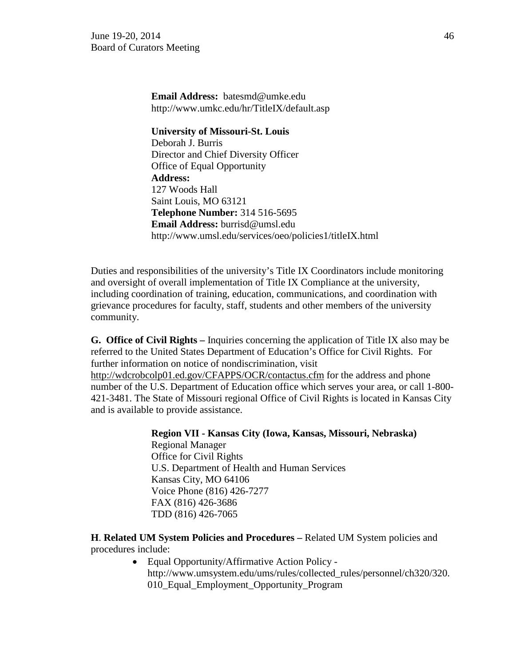**Email Address:** batesmd@umke.edu http://www.umkc.edu/hr/TitleIX/default.asp

#### **University of Missouri-St. Louis**

 Deborah J. Burris Director and Chief Diversity Officer Office of Equal Opportunity  **Address:**  127 Woods Hall Saint Louis, MO 63121  **Telephone Number:** 314 516-5695  **Email Address:** burrisd@umsl.edu http://www.umsl.edu/services/oeo/policies1/titleIX.html

Duties and responsibilities of the university's Title IX Coordinators include monitoring and oversight of overall implementation of Title IX Compliance at the university, including coordination of training, education, communications, and coordination with grievance procedures for faculty, staff, students and other members of the university community.

**G. Office of Civil Rights –** Inquiries concerning the application of Title IX also may be referred to the United States Department of Education's Office for Civil Rights. For further information on notice of nondiscrimination, visit http://wdcrobcolp01.ed.gov/CFAPPS/OCR/contactus.cfm for the address and phone number of the U.S. Department of Education office which serves your area, or call 1-800- 421-3481. The State of Missouri regional Office of Civil Rights is located in Kansas City and is available to provide assistance.

> **Region VII - Kansas City (Iowa, Kansas, Missouri, Nebraska)** Regional Manager Office for Civil Rights U.S. Department of Health and Human Services Kansas City, MO 64106 Voice Phone (816) 426-7277 FAX (816) 426-3686 TDD (816) 426-7065

**H**. **Related UM System Policies and Procedures –** Related UM System policies and procedures include:

> • Equal Opportunity/Affirmative Action Policy http://www.umsystem.edu/ums/rules/collected\_rules/personnel/ch320/320. 010\_Equal\_Employment\_Opportunity\_Program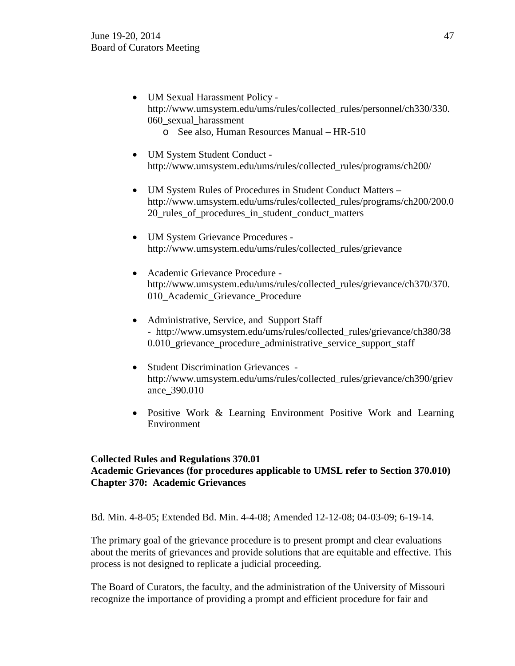- UM Sexual Harassment Policy http://www.umsystem.edu/ums/rules/collected\_rules/personnel/ch330/330. 060\_sexual\_harassment
	- o See also, Human Resources Manual HR-510
- UM System Student Conduct http://www.umsystem.edu/ums/rules/collected\_rules/programs/ch200/
- UM System Rules of Procedures in Student Conduct Matters http://www.umsystem.edu/ums/rules/collected\_rules/programs/ch200/200.0 20 rules of procedures in student conduct matters
- UM System Grievance Procedures http://www.umsystem.edu/ums/rules/collected\_rules/grievance
- Academic Grievance Procedure http://www.umsystem.edu/ums/rules/collected\_rules/grievance/ch370/370. 010\_Academic\_Grievance\_Procedure
- Administrative, Service, and Support Staff - http://www.umsystem.edu/ums/rules/collected\_rules/grievance/ch380/38 0.010 grievance procedure administrative service support staff
- Student Discrimination Grievances http://www.umsystem.edu/ums/rules/collected\_rules/grievance/ch390/griev ance\_390.010
- Positive Work & Learning Environment Positive Work and Learning Environment

# **Collected Rules and Regulations 370.01**

# **Academic Grievances (for procedures applicable to UMSL refer to Section 370.010) Chapter 370: Academic Grievances**

Bd. Min. 4-8-05; Extended Bd. Min. 4-4-08; Amended 12-12-08; 04-03-09; 6-19-14.

The primary goal of the grievance procedure is to present prompt and clear evaluations about the merits of grievances and provide solutions that are equitable and effective. This process is not designed to replicate a judicial proceeding.

The Board of Curators, the faculty, and the administration of the University of Missouri recognize the importance of providing a prompt and efficient procedure for fair and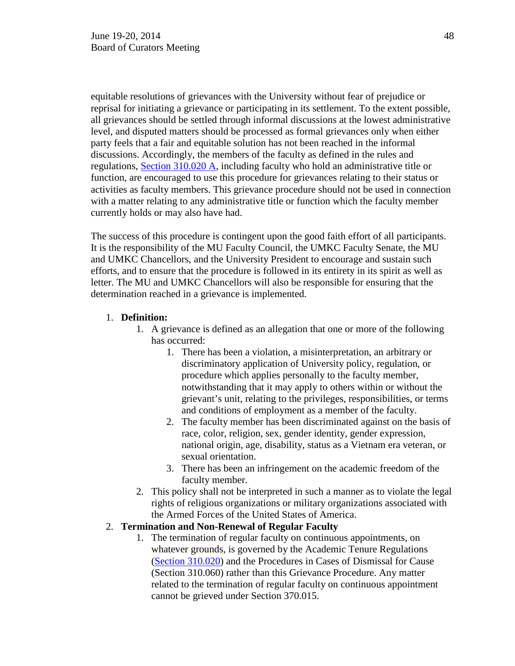equitable resolutions of grievances with the University without fear of prejudice or reprisal for initiating a grievance or participating in its settlement. To the extent possible, all grievances should be settled through informal discussions at the lowest administrative level, and disputed matters should be processed as formal grievances only when either party feels that a fair and equitable solution has not been reached in the informal discussions. Accordingly, the members of the faculty as defined in the rules and regulations, [Section 310.020 A,](http://umsystem.edu/ums/gc/rules/bylaws/310/020) including faculty who hold an administrative title or function, are encouraged to use this procedure for grievances relating to their status or activities as faculty members. This grievance procedure should not be used in connection with a matter relating to any administrative title or function which the faculty member currently holds or may also have had.

The success of this procedure is contingent upon the good faith effort of all participants. It is the responsibility of the MU Faculty Council, the UMKC Faculty Senate, the MU and UMKC Chancellors, and the University President to encourage and sustain such efforts, and to ensure that the procedure is followed in its entirety in its spirit as well as letter. The MU and UMKC Chancellors will also be responsible for ensuring that the determination reached in a grievance is implemented.

### 1. **Definition:**

- 1. A grievance is defined as an allegation that one or more of the following has occurred:
	- 1. There has been a violation, a misinterpretation, an arbitrary or discriminatory application of University policy, regulation, or procedure which applies personally to the faculty member, notwithstanding that it may apply to others within or without the grievant's unit, relating to the privileges, responsibilities, or terms and conditions of employment as a member of the faculty.
	- 2. The faculty member has been discriminated against on the basis of race, color, religion, sex, gender identity, gender expression, national origin, age, disability, status as a Vietnam era veteran, or sexual orientation.
	- 3. There has been an infringement on the academic freedom of the faculty member.
- 2. This policy shall not be interpreted in such a manner as to violate the legal rights of religious organizations or military organizations associated with the Armed Forces of the United States of America.

## 2. **Termination and Non-Renewal of Regular Faculty**

1. The termination of regular faculty on continuous appointments, on whatever grounds, is governed by the Academic Tenure Regulations [\(Section 310.020\)](http://umsystem.edu/ums/gc/rules/bylaws/310/020) and the Procedures in Cases of Dismissal for Cause (Section 310.060) rather than this Grievance Procedure. Any matter related to the termination of regular faculty on continuous appointment cannot be grieved under Section 370.015.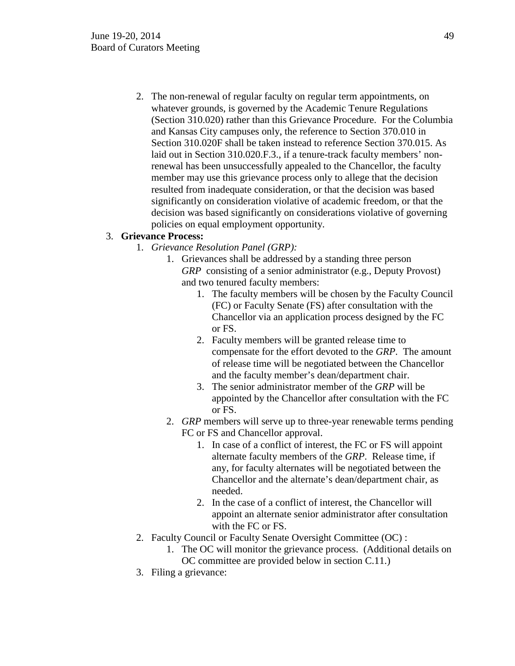2. The non-renewal of regular faculty on regular term appointments, on whatever grounds, is governed by the Academic Tenure Regulations (Section 310.020) rather than this Grievance Procedure. For the Columbia and Kansas City campuses only, the reference to Section 370.010 in Section 310.020F shall be taken instead to reference Section 370.015. As laid out in Section 310.020.F.3., if a tenure-track faculty members' nonrenewal has been unsuccessfully appealed to the Chancellor, the faculty member may use this grievance process only to allege that the decision resulted from inadequate consideration, or that the decision was based significantly on consideration violative of academic freedom, or that the decision was based significantly on considerations violative of governing policies on equal employment opportunity.

## 3. **Grievance Process:**

- 1. *Grievance Resolution Panel (GRP):*
	- 1. Grievances shall be addressed by a standing three person *GRP* consisting of a senior administrator (e.g., Deputy Provost) and two tenured faculty members:
		- 1. The faculty members will be chosen by the Faculty Council (FC) or Faculty Senate (FS) after consultation with the Chancellor via an application process designed by the FC or FS.
		- 2. Faculty members will be granted release time to compensate for the effort devoted to the *GRP*. The amount of release time will be negotiated between the Chancellor and the faculty member's dean/department chair.
		- 3. The senior administrator member of the *GRP* will be appointed by the Chancellor after consultation with the FC or FS.
	- 2. *GRP* members will serve up to three-year renewable terms pending FC or FS and Chancellor approval.
		- 1. In case of a conflict of interest, the FC or FS will appoint alternate faculty members of the *GRP*. Release time, if any, for faculty alternates will be negotiated between the Chancellor and the alternate's dean/department chair, as needed.
		- 2. In the case of a conflict of interest, the Chancellor will appoint an alternate senior administrator after consultation with the FC or FS.
- 2. Faculty Council or Faculty Senate Oversight Committee (OC) :
	- 1. The OC will monitor the grievance process. (Additional details on OC committee are provided below in section C.11.)
- 3. Filing a grievance: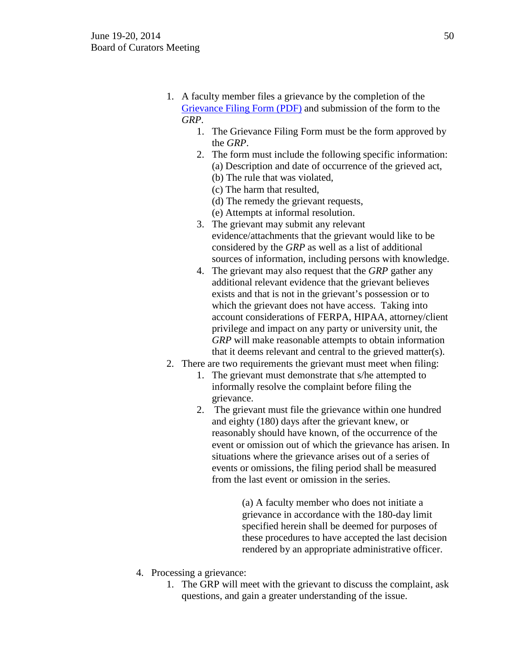- 1. A faculty member files a grievance by the completion of the [Grievance Filing Form \(PDF\)](https://uminfopoint.umsystem.edu/media/fa/grievance.pdf) and submission of the form to the *GRP*.
	- 1. The Grievance Filing Form must be the form approved by the *GRP*.
	- 2. The form must include the following specific information: (a) Description and date of occurrence of the grieved act,
		- (b) The rule that was violated,
		- (c) The harm that resulted,
		- (d) The remedy the grievant requests,
		- (e) Attempts at informal resolution.
	- 3. The grievant may submit any relevant evidence/attachments that the grievant would like to be considered by the *GRP* as well as a list of additional sources of information, including persons with knowledge.
	- 4. The grievant may also request that the *GRP* gather any additional relevant evidence that the grievant believes exists and that is not in the grievant's possession or to which the grievant does not have access. Taking into account considerations of FERPA, HIPAA, attorney/client privilege and impact on any party or university unit, the *GRP* will make reasonable attempts to obtain information that it deems relevant and central to the grieved matter(s).
- 2. There are two requirements the grievant must meet when filing:
	- 1. The grievant must demonstrate that s/he attempted to informally resolve the complaint before filing the grievance.
	- 2. The grievant must file the grievance within one hundred and eighty (180) days after the grievant knew, or reasonably should have known, of the occurrence of the event or omission out of which the grievance has arisen. In situations where the grievance arises out of a series of events or omissions, the filing period shall be measured from the last event or omission in the series.

(a) A faculty member who does not initiate a grievance in accordance with the 180-day limit specified herein shall be deemed for purposes of these procedures to have accepted the last decision rendered by an appropriate administrative officer.

- 4. Processing a grievance:
	- 1. The GRP will meet with the grievant to discuss the complaint, ask questions, and gain a greater understanding of the issue.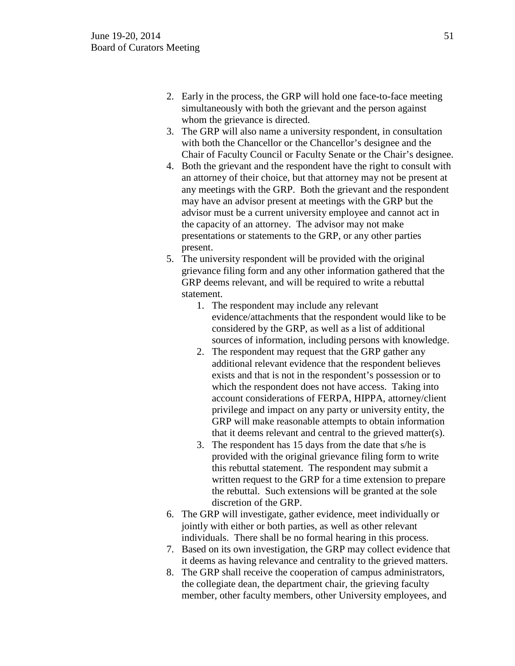- 2. Early in the process, the GRP will hold one face-to-face meeting simultaneously with both the grievant and the person against whom the grievance is directed.
- 3. The GRP will also name a university respondent, in consultation with both the Chancellor or the Chancellor's designee and the Chair of Faculty Council or Faculty Senate or the Chair's designee.
- 4. Both the grievant and the respondent have the right to consult with an attorney of their choice, but that attorney may not be present at any meetings with the GRP. Both the grievant and the respondent may have an advisor present at meetings with the GRP but the advisor must be a current university employee and cannot act in the capacity of an attorney. The advisor may not make presentations or statements to the GRP, or any other parties present.
- 5. The university respondent will be provided with the original grievance filing form and any other information gathered that the GRP deems relevant, and will be required to write a rebuttal statement.
	- 1. The respondent may include any relevant evidence/attachments that the respondent would like to be considered by the GRP, as well as a list of additional sources of information, including persons with knowledge.
	- 2. The respondent may request that the GRP gather any additional relevant evidence that the respondent believes exists and that is not in the respondent's possession or to which the respondent does not have access. Taking into account considerations of FERPA, HIPPA, attorney/client privilege and impact on any party or university entity, the GRP will make reasonable attempts to obtain information that it deems relevant and central to the grieved matter(s).
	- 3. The respondent has 15 days from the date that s/he is provided with the original grievance filing form to write this rebuttal statement. The respondent may submit a written request to the GRP for a time extension to prepare the rebuttal. Such extensions will be granted at the sole discretion of the GRP.
- 6. The GRP will investigate, gather evidence, meet individually or jointly with either or both parties, as well as other relevant individuals. There shall be no formal hearing in this process.
- 7. Based on its own investigation, the GRP may collect evidence that it deems as having relevance and centrality to the grieved matters.
- 8. The GRP shall receive the cooperation of campus administrators, the collegiate dean, the department chair, the grieving faculty member, other faculty members, other University employees, and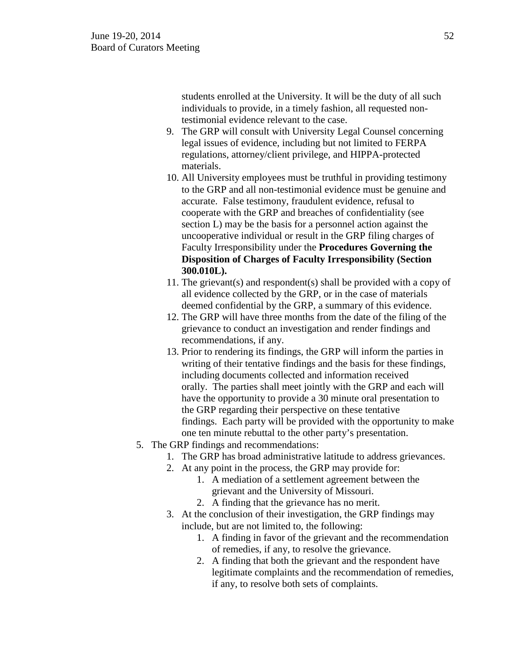students enrolled at the University. It will be the duty of all such individuals to provide, in a timely fashion, all requested nontestimonial evidence relevant to the case.

- 9. The GRP will consult with University Legal Counsel concerning legal issues of evidence, including but not limited to FERPA regulations, attorney/client privilege, and HIPPA-protected materials.
- 10. All University employees must be truthful in providing testimony to the GRP and all non-testimonial evidence must be genuine and accurate. False testimony, fraudulent evidence, refusal to cooperate with the GRP and breaches of confidentiality (see section L) may be the basis for a personnel action against the uncooperative individual or result in the GRP filing charges of Faculty Irresponsibility under the **Procedures Governing the Disposition of Charges of Faculty Irresponsibility (Section 300.010L).**
- 11. The grievant(s) and respondent(s) shall be provided with a copy of all evidence collected by the GRP, or in the case of materials deemed confidential by the GRP, a summary of this evidence.
- 12. The GRP will have three months from the date of the filing of the grievance to conduct an investigation and render findings and recommendations, if any.
- 13. Prior to rendering its findings, the GRP will inform the parties in writing of their tentative findings and the basis for these findings, including documents collected and information received orally. The parties shall meet jointly with the GRP and each will have the opportunity to provide a 30 minute oral presentation to the GRP regarding their perspective on these tentative findings. Each party will be provided with the opportunity to make one ten minute rebuttal to the other party's presentation.
- 5. The GRP findings and recommendations:
	- 1. The GRP has broad administrative latitude to address grievances.
	- 2. At any point in the process, the GRP may provide for:
		- 1. A mediation of a settlement agreement between the grievant and the University of Missouri.
		- 2. A finding that the grievance has no merit.
	- 3. At the conclusion of their investigation, the GRP findings may include, but are not limited to, the following:
		- 1. A finding in favor of the grievant and the recommendation of remedies, if any, to resolve the grievance.
		- 2. A finding that both the grievant and the respondent have legitimate complaints and the recommendation of remedies, if any, to resolve both sets of complaints.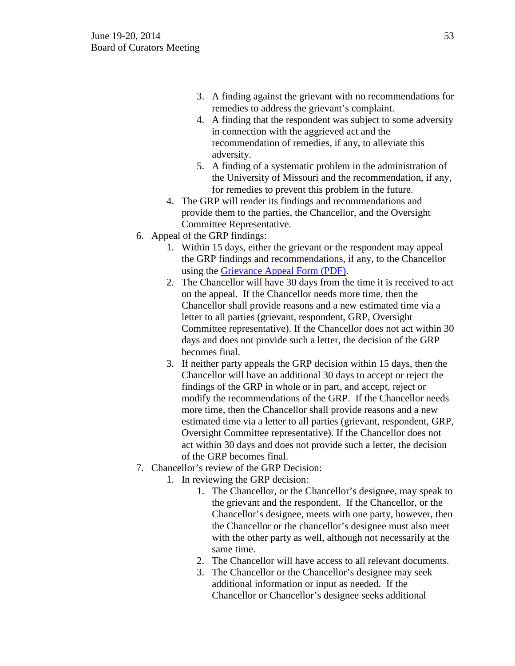- 3. A finding against the grievant with no recommendations for remedies to address the grievant's complaint.
- 4. A finding that the respondent was subject to some adversity in connection with the aggrieved act and the recommendation of remedies, if any, to alleviate this adversity.
- 5. A finding of a systematic problem in the administration of the University of Missouri and the recommendation, if any, for remedies to prevent this problem in the future.
- 4. The GRP will render its findings and recommendations and provide them to the parties, the Chancellor, and the Oversight Committee Representative.
- 6. Appeal of the GRP findings:
	- 1. Within 15 days, either the grievant or the respondent may appeal the GRP findings and recommendations, if any, to the Chancellor using the [Grievance Appeal Form \(PDF\).](https://uminfopoint.umsystem.edu/media/fa/grievanceappeal.pdf)
	- 2. The Chancellor will have 30 days from the time it is received to act on the appeal. If the Chancellor needs more time, then the Chancellor shall provide reasons and a new estimated time via a letter to all parties (grievant, respondent, GRP, Oversight Committee representative). If the Chancellor does not act within 30 days and does not provide such a letter, the decision of the GRP becomes final.
	- 3. If neither party appeals the GRP decision within 15 days, then the Chancellor will have an additional 30 days to accept or reject the findings of the GRP in whole or in part, and accept, reject or modify the recommendations of the GRP. If the Chancellor needs more time, then the Chancellor shall provide reasons and a new estimated time via a letter to all parties (grievant, respondent, GRP, Oversight Committee representative). If the Chancellor does not act within 30 days and does not provide such a letter, the decision of the GRP becomes final.
- 7. Chancellor's review of the GRP Decision:
	- 1. In reviewing the GRP decision:
		- 1. The Chancellor, or the Chancellor's designee, may speak to the grievant and the respondent. If the Chancellor, or the Chancellor's designee, meets with one party, however, then the Chancellor or the chancellor's designee must also meet with the other party as well, although not necessarily at the same time.
		- 2. The Chancellor will have access to all relevant documents.
		- 3. The Chancellor or the Chancellor's designee may seek additional information or input as needed. If the Chancellor or Chancellor's designee seeks additional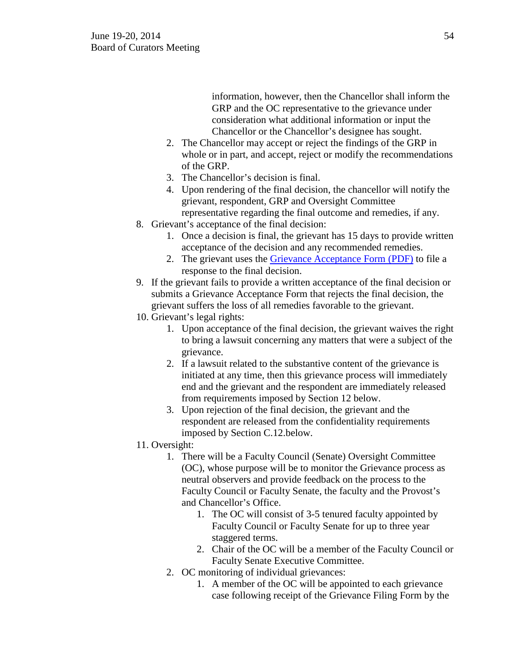information, however, then the Chancellor shall inform the GRP and the OC representative to the grievance under consideration what additional information or input the Chancellor or the Chancellor's designee has sought.

- 2. The Chancellor may accept or reject the findings of the GRP in whole or in part, and accept, reject or modify the recommendations of the GRP.
- 3. The Chancellor's decision is final.
- 4. Upon rendering of the final decision, the chancellor will notify the grievant, respondent, GRP and Oversight Committee representative regarding the final outcome and remedies, if any.
- 8. Grievant's acceptance of the final decision:
	- 1. Once a decision is final, the grievant has 15 days to provide written acceptance of the decision and any recommended remedies.
	- 2. The grievant uses the [Grievance Acceptance Form \(PDF\)](https://uminfopoint.umsystem.edu/media/fa/grievanceacceptance.pdf) to file a response to the final decision.
- 9. If the grievant fails to provide a written acceptance of the final decision or submits a Grievance Acceptance Form that rejects the final decision, the grievant suffers the loss of all remedies favorable to the grievant.
- 10. Grievant's legal rights:
	- 1. Upon acceptance of the final decision, the grievant waives the right to bring a lawsuit concerning any matters that were a subject of the grievance.
	- 2. If a lawsuit related to the substantive content of the grievance is initiated at any time, then this grievance process will immediately end and the grievant and the respondent are immediately released from requirements imposed by Section 12 below.
	- 3. Upon rejection of the final decision, the grievant and the respondent are released from the confidentiality requirements imposed by Section C.12.below.
- 11. Oversight:
	- 1. There will be a Faculty Council (Senate) Oversight Committee (OC), whose purpose will be to monitor the Grievance process as neutral observers and provide feedback on the process to the Faculty Council or Faculty Senate, the faculty and the Provost's and Chancellor's Office.
		- 1. The OC will consist of 3-5 tenured faculty appointed by Faculty Council or Faculty Senate for up to three year staggered terms.
		- 2. Chair of the OC will be a member of the Faculty Council or Faculty Senate Executive Committee.
	- 2. OC monitoring of individual grievances:
		- 1. A member of the OC will be appointed to each grievance case following receipt of the Grievance Filing Form by the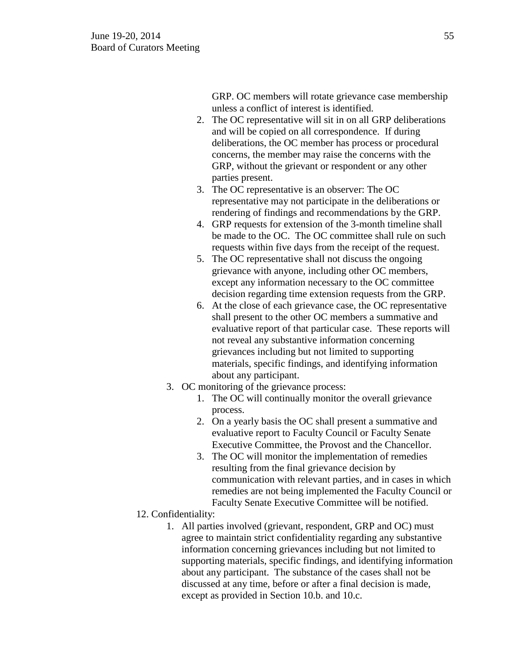GRP. OC members will rotate grievance case membership unless a conflict of interest is identified.

- 2. The OC representative will sit in on all GRP deliberations and will be copied on all correspondence. If during deliberations, the OC member has process or procedural concerns, the member may raise the concerns with the GRP, without the grievant or respondent or any other parties present.
- 3. The OC representative is an observer: The OC representative may not participate in the deliberations or rendering of findings and recommendations by the GRP.
- 4. GRP requests for extension of the 3-month timeline shall be made to the OC. The OC committee shall rule on such requests within five days from the receipt of the request.
- 5. The OC representative shall not discuss the ongoing grievance with anyone, including other OC members, except any information necessary to the OC committee decision regarding time extension requests from the GRP.
- 6. At the close of each grievance case, the OC representative shall present to the other OC members a summative and evaluative report of that particular case. These reports will not reveal any substantive information concerning grievances including but not limited to supporting materials, specific findings, and identifying information about any participant.
- 3. OC monitoring of the grievance process:
	- 1. The OC will continually monitor the overall grievance process.
	- 2. On a yearly basis the OC shall present a summative and evaluative report to Faculty Council or Faculty Senate Executive Committee, the Provost and the Chancellor.
	- 3. The OC will monitor the implementation of remedies resulting from the final grievance decision by communication with relevant parties, and in cases in which remedies are not being implemented the Faculty Council or Faculty Senate Executive Committee will be notified.
- 12. Confidentiality:
	- 1. All parties involved (grievant, respondent, GRP and OC) must agree to maintain strict confidentiality regarding any substantive information concerning grievances including but not limited to supporting materials, specific findings, and identifying information about any participant. The substance of the cases shall not be discussed at any time, before or after a final decision is made, except as provided in Section 10.b. and 10.c.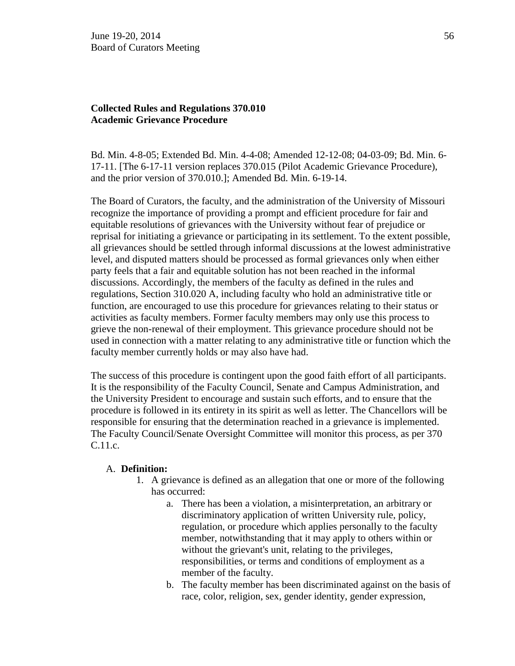## **Collected Rules and Regulations 370.010 Academic Grievance Procedure**

Bd. Min. 4-8-05; Extended Bd. Min. 4-4-08; Amended 12-12-08; 04-03-09; Bd. Min. 6- 17-11. [The 6-17-11 version replaces 370.015 (Pilot Academic Grievance Procedure), and the prior version of 370.010.]; Amended Bd. Min. 6-19-14.

The Board of Curators, the faculty, and the administration of the University of Missouri recognize the importance of providing a prompt and efficient procedure for fair and equitable resolutions of grievances with the University without fear of prejudice or reprisal for initiating a grievance or participating in its settlement. To the extent possible, all grievances should be settled through informal discussions at the lowest administrative level, and disputed matters should be processed as formal grievances only when either party feels that a fair and equitable solution has not been reached in the informal discussions. Accordingly, the members of the faculty as defined in the rules and regulations, Section 310.020 A, including faculty who hold an administrative title or function, are encouraged to use this procedure for grievances relating to their status or activities as faculty members. Former faculty members may only use this process to grieve the non-renewal of their employment. This grievance procedure should not be used in connection with a matter relating to any administrative title or function which the faculty member currently holds or may also have had.

The success of this procedure is contingent upon the good faith effort of all participants. It is the responsibility of the Faculty Council, Senate and Campus Administration, and the University President to encourage and sustain such efforts, and to ensure that the procedure is followed in its entirety in its spirit as well as letter. The Chancellors will be responsible for ensuring that the determination reached in a grievance is implemented. The Faculty Council/Senate Oversight Committee will monitor this process, as per 370 C.11.c.

#### A. **Definition:**

- 1. A grievance is defined as an allegation that one or more of the following has occurred:
	- a. There has been a violation, a misinterpretation, an arbitrary or discriminatory application of written University rule, policy, regulation, or procedure which applies personally to the faculty member, notwithstanding that it may apply to others within or without the grievant's unit, relating to the privileges, responsibilities, or terms and conditions of employment as a member of the faculty.
	- b. The faculty member has been discriminated against on the basis of race, color, religion, sex, gender identity, gender expression,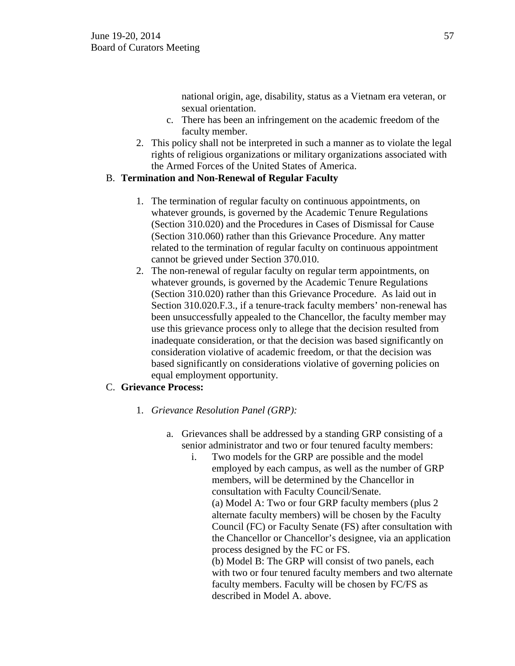national origin, age, disability, status as a Vietnam era veteran, or sexual orientation.

- c. There has been an infringement on the academic freedom of the faculty member.
- 2. This policy shall not be interpreted in such a manner as to violate the legal rights of religious organizations or military organizations associated with the Armed Forces of the United States of America.

## B. **Termination and Non-Renewal of Regular Faculty**

- 1. The termination of regular faculty on continuous appointments, on whatever grounds, is governed by the Academic Tenure Regulations (Section 310.020) and the Procedures in Cases of Dismissal for Cause (Section 310.060) rather than this Grievance Procedure. Any matter related to the termination of regular faculty on continuous appointment cannot be grieved under Section 370.010.
- 2. The non-renewal of regular faculty on regular term appointments, on whatever grounds, is governed by the Academic Tenure Regulations (Section 310.020) rather than this Grievance Procedure. As laid out in Section 310.020.F.3., if a tenure-track faculty members' non-renewal has been unsuccessfully appealed to the Chancellor, the faculty member may use this grievance process only to allege that the decision resulted from inadequate consideration, or that the decision was based significantly on consideration violative of academic freedom, or that the decision was based significantly on considerations violative of governing policies on equal employment opportunity.

# C. **Grievance Process:**

- 1. *Grievance Resolution Panel (GRP):*
	- a. Grievances shall be addressed by a standing GRP consisting of a senior administrator and two or four tenured faculty members:
		- i. Two models for the GRP are possible and the model employed by each campus, as well as the number of GRP members, will be determined by the Chancellor in consultation with Faculty Council/Senate. (a) Model A: Two or four GRP faculty members (plus 2 alternate faculty members) will be chosen by the Faculty Council (FC) or Faculty Senate (FS) after consultation with the Chancellor or Chancellor's designee, via an application process designed by the FC or FS. (b) Model B: The GRP will consist of two panels, each with two or four tenured faculty members and two alternate faculty members. Faculty will be chosen by FC/FS as

described in Model A. above.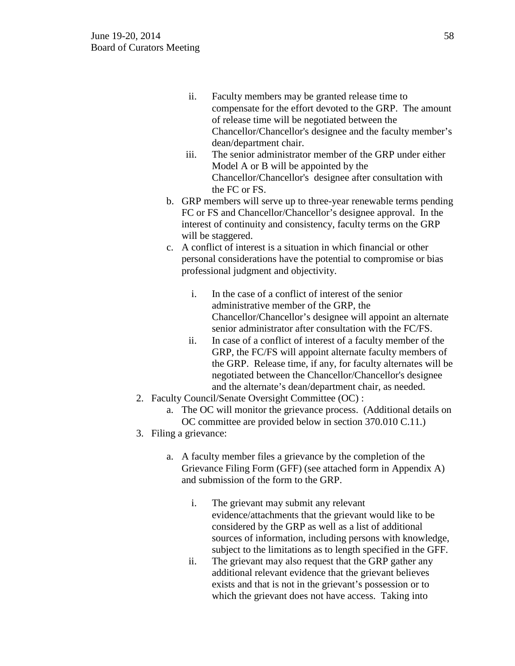- ii. Faculty members may be granted release time to compensate for the effort devoted to the GRP. The amount of release time will be negotiated between the Chancellor/Chancellor's designee and the faculty member's dean/department chair.
- iii. The senior administrator member of the GRP under either Model A or B will be appointed by the Chancellor/Chancellor's designee after consultation with the FC or FS.
- b. GRP members will serve up to three-year renewable terms pending FC or FS and Chancellor/Chancellor's designee approval. In the interest of continuity and consistency, faculty terms on the GRP will be staggered.
- c. A conflict of interest is a situation in which financial or other personal considerations have the potential to compromise or bias professional judgment and objectivity.
	- i. In the case of a conflict of interest of the senior administrative member of the GRP, the Chancellor/Chancellor's designee will appoint an alternate senior administrator after consultation with the FC/FS.
	- ii. In case of a conflict of interest of a faculty member of the GRP, the FC/FS will appoint alternate faculty members of the GRP. Release time, if any, for faculty alternates will be negotiated between the Chancellor/Chancellor's designee and the alternate's dean/department chair, as needed.
- 2. Faculty Council/Senate Oversight Committee (OC) :
	- a. The OC will monitor the grievance process. (Additional details on OC committee are provided below in section 370.010 C.11.)
- 3. Filing a grievance:
	- a. A faculty member files a grievance by the completion of the Grievance Filing Form (GFF) (see attached form in Appendix A) and submission of the form to the GRP.
		- i. The grievant may submit any relevant evidence/attachments that the grievant would like to be considered by the GRP as well as a list of additional sources of information, including persons with knowledge, subject to the limitations as to length specified in the GFF.
		- ii. The grievant may also request that the GRP gather any additional relevant evidence that the grievant believes exists and that is not in the grievant's possession or to which the grievant does not have access. Taking into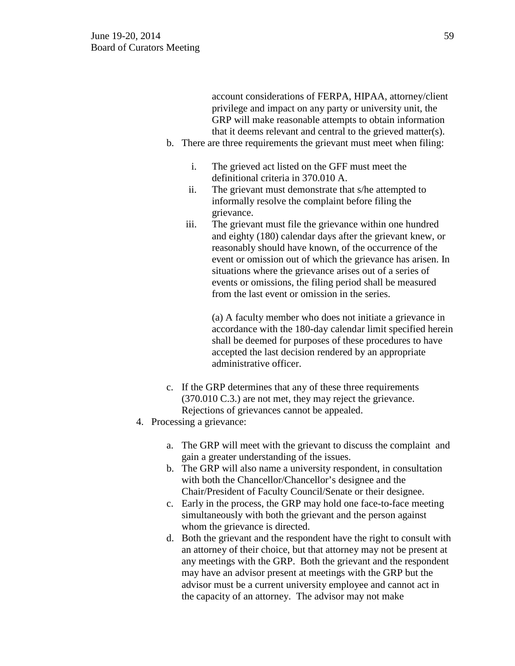account considerations of FERPA, HIPAA, attorney/client privilege and impact on any party or university unit, the GRP will make reasonable attempts to obtain information that it deems relevant and central to the grieved matter(s).

- b. There are three requirements the grievant must meet when filing:
	- i. The grieved act listed on the GFF must meet the definitional criteria in 370.010 A.
	- ii. The grievant must demonstrate that s/he attempted to informally resolve the complaint before filing the grievance.
	- iii. The grievant must file the grievance within one hundred and eighty (180) calendar days after the grievant knew, or reasonably should have known, of the occurrence of the event or omission out of which the grievance has arisen. In situations where the grievance arises out of a series of events or omissions, the filing period shall be measured from the last event or omission in the series.

(a) A faculty member who does not initiate a grievance in accordance with the 180-day calendar limit specified herein shall be deemed for purposes of these procedures to have accepted the last decision rendered by an appropriate administrative officer.

- c. If the GRP determines that any of these three requirements (370.010 C.3.) are not met, they may reject the grievance. Rejections of grievances cannot be appealed.
- 4. Processing a grievance:
	- a. The GRP will meet with the grievant to discuss the complaint and gain a greater understanding of the issues.
	- b. The GRP will also name a university respondent, in consultation with both the Chancellor/Chancellor's designee and the Chair/President of Faculty Council/Senate or their designee.
	- c. Early in the process, the GRP may hold one face-to-face meeting simultaneously with both the grievant and the person against whom the grievance is directed.
	- d. Both the grievant and the respondent have the right to consult with an attorney of their choice, but that attorney may not be present at any meetings with the GRP. Both the grievant and the respondent may have an advisor present at meetings with the GRP but the advisor must be a current university employee and cannot act in the capacity of an attorney. The advisor may not make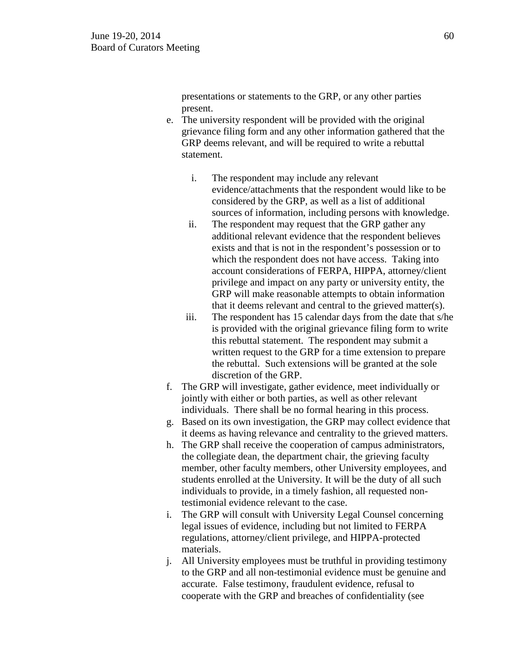presentations or statements to the GRP, or any other parties present.

- e. The university respondent will be provided with the original grievance filing form and any other information gathered that the GRP deems relevant, and will be required to write a rebuttal statement.
	- i. The respondent may include any relevant evidence/attachments that the respondent would like to be considered by the GRP, as well as a list of additional sources of information, including persons with knowledge.
	- ii. The respondent may request that the GRP gather any additional relevant evidence that the respondent believes exists and that is not in the respondent's possession or to which the respondent does not have access. Taking into account considerations of FERPA, HIPPA, attorney/client privilege and impact on any party or university entity, the GRP will make reasonable attempts to obtain information that it deems relevant and central to the grieved matter(s).
	- iii. The respondent has 15 calendar days from the date that s/he is provided with the original grievance filing form to write this rebuttal statement. The respondent may submit a written request to the GRP for a time extension to prepare the rebuttal. Such extensions will be granted at the sole discretion of the GRP.
- f. The GRP will investigate, gather evidence, meet individually or jointly with either or both parties, as well as other relevant individuals. There shall be no formal hearing in this process.
- g. Based on its own investigation, the GRP may collect evidence that it deems as having relevance and centrality to the grieved matters.
- h. The GRP shall receive the cooperation of campus administrators, the collegiate dean, the department chair, the grieving faculty member, other faculty members, other University employees, and students enrolled at the University. It will be the duty of all such individuals to provide, in a timely fashion, all requested nontestimonial evidence relevant to the case.
- i. The GRP will consult with University Legal Counsel concerning legal issues of evidence, including but not limited to FERPA regulations, attorney/client privilege, and HIPPA-protected materials.
- j. All University employees must be truthful in providing testimony to the GRP and all non-testimonial evidence must be genuine and accurate. False testimony, fraudulent evidence, refusal to cooperate with the GRP and breaches of confidentiality (see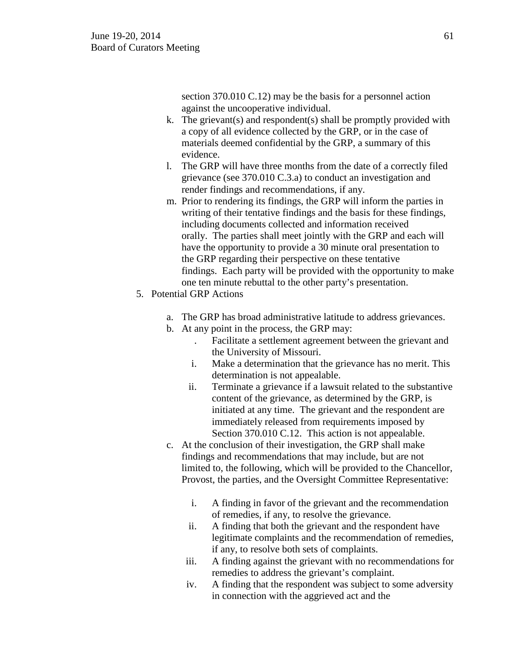section 370.010 C.12) may be the basis for a personnel action against the uncooperative individual.

- k. The grievant(s) and respondent(s) shall be promptly provided with a copy of all evidence collected by the GRP, or in the case of materials deemed confidential by the GRP, a summary of this evidence.
- l. The GRP will have three months from the date of a correctly filed grievance (see 370.010 C.3.a) to conduct an investigation and render findings and recommendations, if any.
- m. Prior to rendering its findings, the GRP will inform the parties in writing of their tentative findings and the basis for these findings, including documents collected and information received orally. The parties shall meet jointly with the GRP and each will have the opportunity to provide a 30 minute oral presentation to the GRP regarding their perspective on these tentative findings. Each party will be provided with the opportunity to make one ten minute rebuttal to the other party's presentation.
- 5. Potential GRP Actions
	- a. The GRP has broad administrative latitude to address grievances.
	- b. At any point in the process, the GRP may:
		- . Facilitate a settlement agreement between the grievant and the University of Missouri.
		- i. Make a determination that the grievance has no merit. This determination is not appealable.
		- ii. Terminate a grievance if a lawsuit related to the substantive content of the grievance, as determined by the GRP, is initiated at any time. The grievant and the respondent are immediately released from requirements imposed by Section 370.010 C.12. This action is not appealable.
	- c. At the conclusion of their investigation, the GRP shall make findings and recommendations that may include, but are not limited to, the following, which will be provided to the Chancellor, Provost, the parties, and the Oversight Committee Representative:
		- i. A finding in favor of the grievant and the recommendation of remedies, if any, to resolve the grievance.
		- ii. A finding that both the grievant and the respondent have legitimate complaints and the recommendation of remedies, if any, to resolve both sets of complaints.
		- iii. A finding against the grievant with no recommendations for remedies to address the grievant's complaint.
		- iv. A finding that the respondent was subject to some adversity in connection with the aggrieved act and the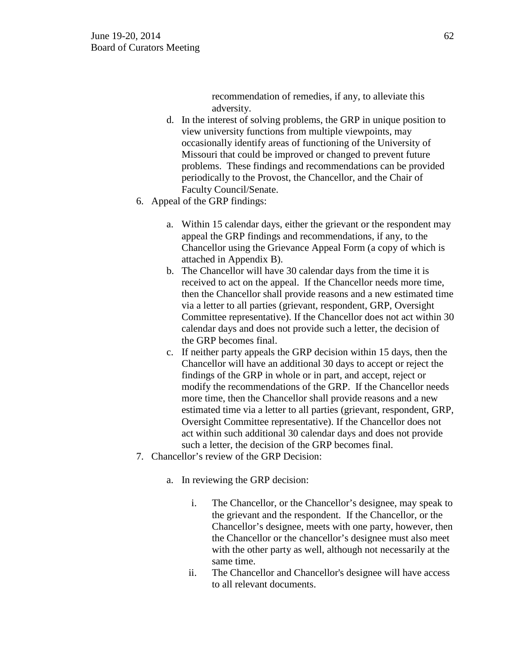recommendation of remedies, if any, to alleviate this adversity.

- d. In the interest of solving problems, the GRP in unique position to view university functions from multiple viewpoints, may occasionally identify areas of functioning of the University of Missouri that could be improved or changed to prevent future problems. These findings and recommendations can be provided periodically to the Provost, the Chancellor, and the Chair of Faculty Council/Senate.
- 6. Appeal of the GRP findings:
	- a. Within 15 calendar days, either the grievant or the respondent may appeal the GRP findings and recommendations, if any, to the Chancellor using the Grievance Appeal Form (a copy of which is attached in Appendix B).
	- b. The Chancellor will have 30 calendar days from the time it is received to act on the appeal. If the Chancellor needs more time, then the Chancellor shall provide reasons and a new estimated time via a letter to all parties (grievant, respondent, GRP, Oversight Committee representative). If the Chancellor does not act within 30 calendar days and does not provide such a letter, the decision of the GRP becomes final.
	- c. If neither party appeals the GRP decision within 15 days, then the Chancellor will have an additional 30 days to accept or reject the findings of the GRP in whole or in part, and accept, reject or modify the recommendations of the GRP. If the Chancellor needs more time, then the Chancellor shall provide reasons and a new estimated time via a letter to all parties (grievant, respondent, GRP, Oversight Committee representative). If the Chancellor does not act within such additional 30 calendar days and does not provide such a letter, the decision of the GRP becomes final.
- 7. Chancellor's review of the GRP Decision:
	- a. In reviewing the GRP decision:
		- i. The Chancellor, or the Chancellor's designee, may speak to the grievant and the respondent. If the Chancellor, or the Chancellor's designee, meets with one party, however, then the Chancellor or the chancellor's designee must also meet with the other party as well, although not necessarily at the same time.
		- ii. The Chancellor and Chancellor's designee will have access to all relevant documents.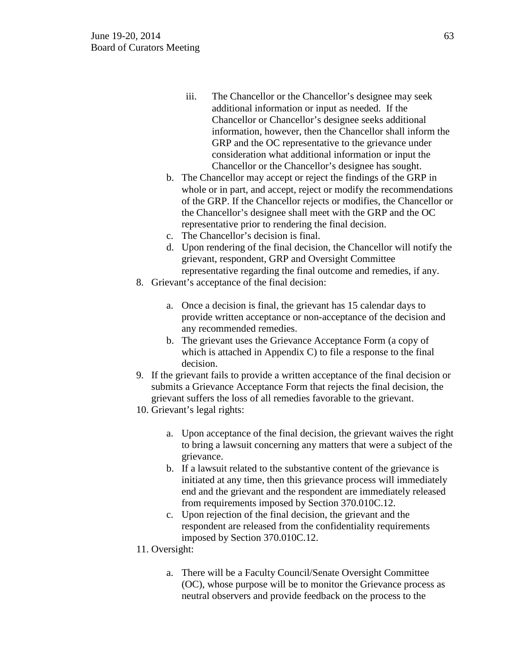- iii. The Chancellor or the Chancellor's designee may seek additional information or input as needed. If the Chancellor or Chancellor's designee seeks additional information, however, then the Chancellor shall inform the GRP and the OC representative to the grievance under consideration what additional information or input the Chancellor or the Chancellor's designee has sought.
- b. The Chancellor may accept or reject the findings of the GRP in whole or in part, and accept, reject or modify the recommendations of the GRP. If the Chancellor rejects or modifies, the Chancellor or the Chancellor's designee shall meet with the GRP and the OC representative prior to rendering the final decision.
- c. The Chancellor's decision is final.
- d. Upon rendering of the final decision, the Chancellor will notify the grievant, respondent, GRP and Oversight Committee representative regarding the final outcome and remedies, if any.
- 8. Grievant's acceptance of the final decision:
	- a. Once a decision is final, the grievant has 15 calendar days to provide written acceptance or non-acceptance of the decision and any recommended remedies.
	- b. The grievant uses the Grievance Acceptance Form (a copy of which is attached in Appendix C) to file a response to the final decision.
- 9. If the grievant fails to provide a written acceptance of the final decision or submits a Grievance Acceptance Form that rejects the final decision, the grievant suffers the loss of all remedies favorable to the grievant.
- 10. Grievant's legal rights:
	- a. Upon acceptance of the final decision, the grievant waives the right to bring a lawsuit concerning any matters that were a subject of the grievance.
	- b. If a lawsuit related to the substantive content of the grievance is initiated at any time, then this grievance process will immediately end and the grievant and the respondent are immediately released from requirements imposed by Section 370.010C.12.
	- c. Upon rejection of the final decision, the grievant and the respondent are released from the confidentiality requirements imposed by Section 370.010C.12.
- 11. Oversight:
	- a. There will be a Faculty Council/Senate Oversight Committee (OC), whose purpose will be to monitor the Grievance process as neutral observers and provide feedback on the process to the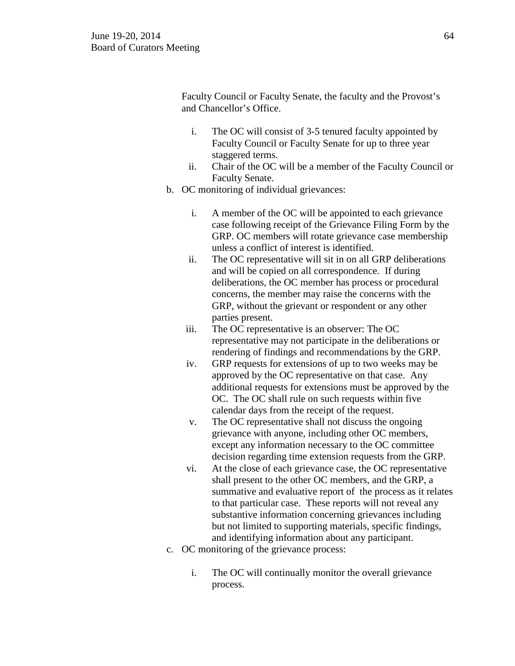Faculty Council or Faculty Senate, the faculty and the Provost's and Chancellor's Office.

- i. The OC will consist of 3-5 tenured faculty appointed by Faculty Council or Faculty Senate for up to three year staggered terms.
- ii. Chair of the OC will be a member of the Faculty Council or Faculty Senate.
- b. OC monitoring of individual grievances:
	- i. A member of the OC will be appointed to each grievance case following receipt of the Grievance Filing Form by the GRP. OC members will rotate grievance case membership unless a conflict of interest is identified.
	- ii. The OC representative will sit in on all GRP deliberations and will be copied on all correspondence. If during deliberations, the OC member has process or procedural concerns, the member may raise the concerns with the GRP, without the grievant or respondent or any other parties present.
	- iii. The OC representative is an observer: The OC representative may not participate in the deliberations or rendering of findings and recommendations by the GRP.
	- iv. GRP requests for extensions of up to two weeks may be approved by the OC representative on that case. Any additional requests for extensions must be approved by the OC. The OC shall rule on such requests within five calendar days from the receipt of the request.
	- v. The OC representative shall not discuss the ongoing grievance with anyone, including other OC members, except any information necessary to the OC committee decision regarding time extension requests from the GRP.
	- vi. At the close of each grievance case, the OC representative shall present to the other OC members, and the GRP, a summative and evaluative report of the process as it relates to that particular case. These reports will not reveal any substantive information concerning grievances including but not limited to supporting materials, specific findings, and identifying information about any participant.
- c. OC monitoring of the grievance process:
	- i. The OC will continually monitor the overall grievance process.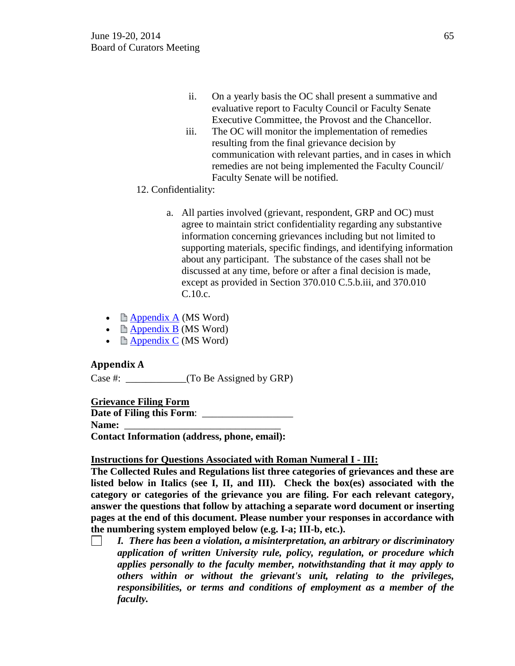- ii. On a yearly basis the OC shall present a summative and evaluative report to Faculty Council or Faculty Senate Executive Committee, the Provost and the Chancellor.
- iii. The OC will monitor the implementation of remedies resulting from the final grievance decision by communication with relevant parties, and in cases in which remedies are not being implemented the Faculty Council/ Faculty Senate will be notified.
- 12. Confidentiality:
	- a. All parties involved (grievant, respondent, GRP and OC) must agree to maintain strict confidentiality regarding any substantive information concerning grievances including but not limited to supporting materials, specific findings, and identifying information about any participant. The substance of the cases shall not be discussed at any time, before or after a final decision is made, except as provided in Section 370.010 C.5.b.iii, and 370.010 C.10.c.
- $\Box$  [Appendix A](http://www.umsystem.edu/media/gc/370.010-Appendix-A.doc) (MS Word)
- $\triangle$  [Appendix B](http://www.umsystem.edu/media/gc/370.010-Appendix-B.doc) (MS Word)
- $\Box$  [Appendix C](http://www.umsystem.edu/media/gc/370.010-Appendix-C.doc) (MS Word)

## **Appendix A**

Case #: \_\_\_\_\_\_\_\_\_\_\_\_(To Be Assigned by GRP)

# **Grievance Filing Form**

**Date of Filing this Form:** Name: **Contact Information (address, phone, email):**

## **Instructions for Questions Associated with Roman Numeral I - III:**

**The Collected Rules and Regulations list three categories of grievances and these are listed below in Italics (see I, II, and III). Check the box(es) associated with the category or categories of the grievance you are filing. For each relevant category, answer the questions that follow by attaching a separate word document or inserting pages at the end of this document. Please number your responses in accordance with the numbering system employed below (e.g. I-a; III-b, etc.).**

*I. There has been a violation, a misinterpretation, an arbitrary or discriminatory application of written University rule, policy, regulation, or procedure which applies personally to the faculty member, notwithstanding that it may apply to others within or without the grievant's unit, relating to the privileges, responsibilities, or terms and conditions of employment as a member of the faculty.*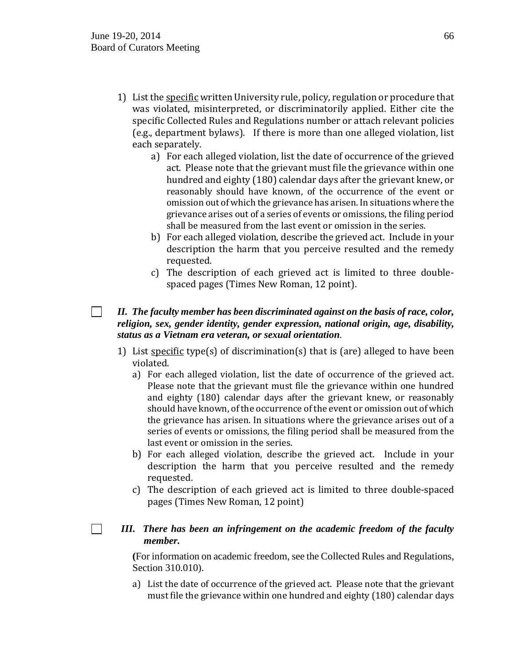$\sim 10$ 

 $\Box$ 

- 1) List the specific written University rule, policy, regulation or procedure that was violated, misinterpreted, or discriminatorily applied. Either cite the specific Collected Rules and Regulations number or attach relevant policies (e.g., department bylaws). If there is more than one alleged violation, list each separately.
	- a) For each alleged violation, list the date of occurrence of the grieved act. Please note that the grievant must file the grievance within one hundred and eighty (180) calendar days after the grievant knew, or reasonably should have known, of the occurrence of the event or omission out of which the grievance has arisen. In situations where the grievance arises out of a series of events or omissions, the filing period shall be measured from the last event or omission in the series.
	- b) For each alleged violation, describe the grieved act. Include in your description the harm that you perceive resulted and the remedy requested.
	- c) The description of each grieved act is limited to three doublespaced pages (Times New Roman, 12 point).

## *II. The faculty member has been discriminated against on the basis of race, color, religion, sex, gender identity, gender expression, national origin, age, disability, status as a Vietnam era veteran, or sexual orientation.*

- 1) List specific type(s) of discrimination(s) that is (are) alleged to have been violated.
	- a) For each alleged violation, list the date of occurrence of the grieved act. Please note that the grievant must file the grievance within one hundred and eighty (180) calendar days after the grievant knew, or reasonably should have known, of the occurrence of the event or omission out of which the grievance has arisen. In situations where the grievance arises out of a series of events or omissions, the filing period shall be measured from the last event or omission in the series.
	- b) For each alleged violation, describe the grieved act. Include in your description the harm that you perceive resulted and the remedy requested.
	- c) The description of each grieved act is limited to three double-spaced pages (Times New Roman, 12 point)

# *III. There has been an infringement on the academic freedom of the faculty member.*

**(**For information on academic freedom, see the Collected Rules and Regulations, Section 310.010).

a) List the date of occurrence of the grieved act. Please note that the grievant must file the grievance within one hundred and eighty (180) calendar days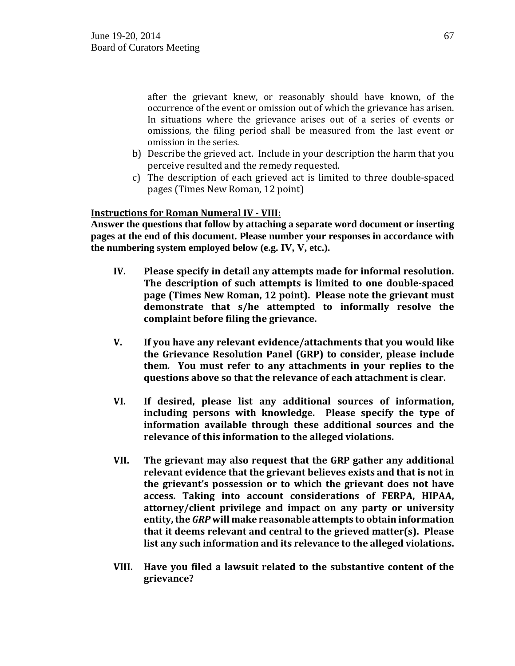after the grievant knew, or reasonably should have known, of the occurrence of the event or omission out of which the grievance has arisen. In situations where the grievance arises out of a series of events or omissions, the filing period shall be measured from the last event or omission in the series.

- b) Describe the grieved act. Include in your description the harm that you perceive resulted and the remedy requested.
- c) The description of each grieved act is limited to three double-spaced pages (Times New Roman, 12 point)

## **Instructions for Roman Numeral IV - VIII:**

**Answer the questions that follow by attaching a separate word document or inserting pages at the end of this document. Please number your responses in accordance with the numbering system employed below (e.g. IV, V, etc.).**

- **IV. Please specify in detail any attempts made for informal resolution. The description of such attempts is limited to one double-spaced page (Times New Roman, 12 point). Please note the grievant must demonstrate that s/he attempted to informally resolve the complaint before filing the grievance.**
- **V. If you have any relevant evidence/attachments that you would like the Grievance Resolution Panel (GRP) to consider, please include them***.* **You must refer to any attachments in your replies to the questions above so that the relevance of each attachment is clear.**
- **VI. If desired, please list any additional sources of information, including persons with knowledge. Please specify the type of information available through these additional sources and the relevance of this information to the alleged violations.**
- **VII. The grievant may also request that the GRP gather any additional relevant evidence that the grievant believes exists and that is not in the grievant's possession or to which the grievant does not have access. Taking into account considerations of FERPA, HIPAA, attorney/client privilege and impact on any party or university entity, the** *GRP* **will make reasonable attempts to obtain information that it deems relevant and central to the grieved matter(s). Please list any such information and its relevance to the alleged violations.**
- **VIII. Have you filed a lawsuit related to the substantive content of the grievance?**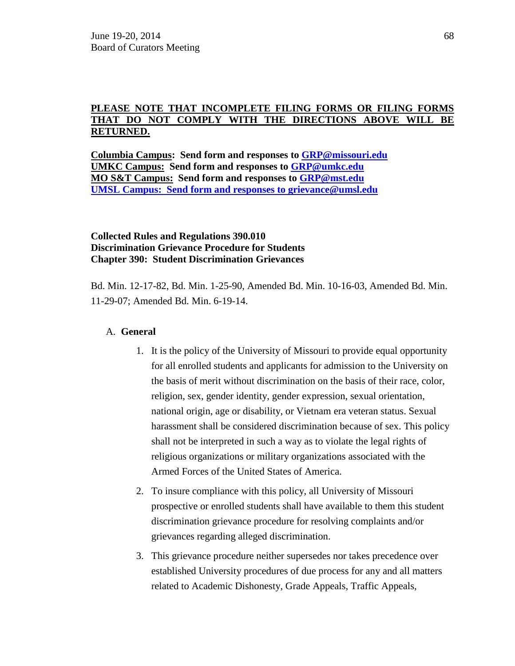## **PLEASE NOTE THAT INCOMPLETE FILING FORMS OR FILING FORMS THAT DO NOT COMPLY WITH THE DIRECTIONS ABOVE WILL BE RETURNED.**

**Columbia Campus: Send form and responses to [GRP@missouri.edu](mailto:GRP@missouri.edu) UMKC Campus: Send form and responses to [GRP@umkc.edu](mailto:GRP@umkc.edu) MO S&T Campus: Send form and responses to [GRP@mst.edu](mailto:GRP@mst.edu) UMSL Campus: Send form and responses to [grievance@umsl.edu](mailto:grievance@umsl.edu)**

## **Collected Rules and Regulations 390.010 Discrimination Grievance Procedure for Students Chapter 390: Student Discrimination Grievances**

Bd. Min. 12-17-82, Bd. Min. 1-25-90, Amended Bd. Min. 10-16-03, Amended Bd. Min. 11-29-07; Amended Bd. Min. 6-19-14.

## A. **General**

- 1. It is the policy of the University of Missouri to provide equal opportunity for all enrolled students and applicants for admission to the University on the basis of merit without discrimination on the basis of their race, color, religion, sex, gender identity, gender expression, sexual orientation, national origin, age or disability, or Vietnam era veteran status. Sexual harassment shall be considered discrimination because of sex. This policy shall not be interpreted in such a way as to violate the legal rights of religious organizations or military organizations associated with the Armed Forces of the United States of America.
- 2. To insure compliance with this policy, all University of Missouri prospective or enrolled students shall have available to them this student discrimination grievance procedure for resolving complaints and/or grievances regarding alleged discrimination.
- 3. This grievance procedure neither supersedes nor takes precedence over established University procedures of due process for any and all matters related to Academic Dishonesty, Grade Appeals, Traffic Appeals,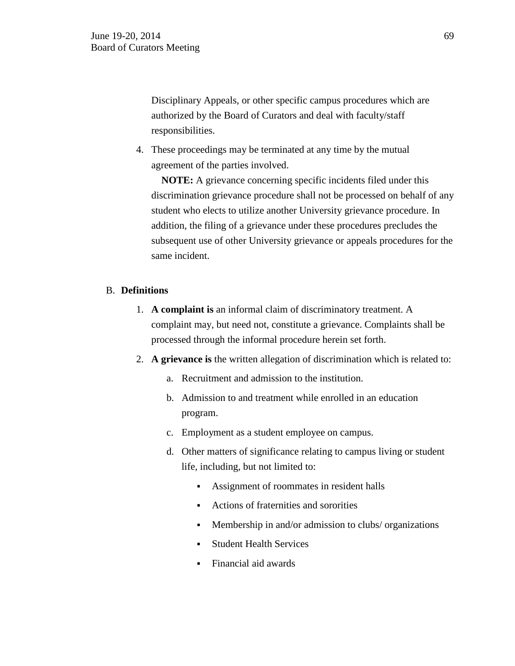Disciplinary Appeals, or other specific campus procedures which are authorized by the Board of Curators and deal with faculty/staff responsibilities.

4. These proceedings may be terminated at any time by the mutual agreement of the parties involved.

 **NOTE:** A grievance concerning specific incidents filed under this discrimination grievance procedure shall not be processed on behalf of any student who elects to utilize another University grievance procedure. In addition, the filing of a grievance under these procedures precludes the subsequent use of other University grievance or appeals procedures for the same incident.

### B. **Definitions**

- 1. **A complaint is** an informal claim of discriminatory treatment. A complaint may, but need not, constitute a grievance. Complaints shall be processed through the informal procedure herein set forth.
- 2. **A grievance is** the written allegation of discrimination which is related to:
	- a. Recruitment and admission to the institution.
	- b. Admission to and treatment while enrolled in an education program.
	- c. Employment as a student employee on campus.
	- d. Other matters of significance relating to campus living or student life, including, but not limited to:
		- Assignment of roommates in resident halls
		- Actions of fraternities and sororities
		- Membership in and/or admission to clubs/ organizations
		- Student Health Services
		- Financial aid awards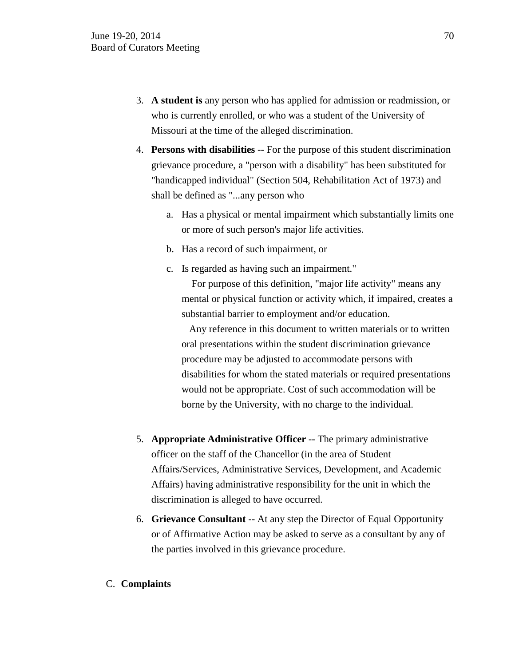- 3. **A student is** any person who has applied for admission or readmission, or who is currently enrolled, or who was a student of the University of Missouri at the time of the alleged discrimination.
- 4. **Persons with disabilities** -- For the purpose of this student discrimination grievance procedure, a "person with a disability" has been substituted for "handicapped individual" (Section 504, Rehabilitation Act of 1973) and shall be defined as "...any person who
	- a. Has a physical or mental impairment which substantially limits one or more of such person's major life activities.
	- b. Has a record of such impairment, or
	- c. Is regarded as having such an impairment."

 For purpose of this definition, "major life activity" means any mental or physical function or activity which, if impaired, creates a substantial barrier to employment and/or education.

 Any reference in this document to written materials or to written oral presentations within the student discrimination grievance procedure may be adjusted to accommodate persons with disabilities for whom the stated materials or required presentations would not be appropriate. Cost of such accommodation will be borne by the University, with no charge to the individual.

- 5. **Appropriate Administrative Officer** -- The primary administrative officer on the staff of the Chancellor (in the area of Student Affairs/Services, Administrative Services, Development, and Academic Affairs) having administrative responsibility for the unit in which the discrimination is alleged to have occurred.
- 6. **Grievance Consultant** -- At any step the Director of Equal Opportunity or of Affirmative Action may be asked to serve as a consultant by any of the parties involved in this grievance procedure.
- C. **Complaints**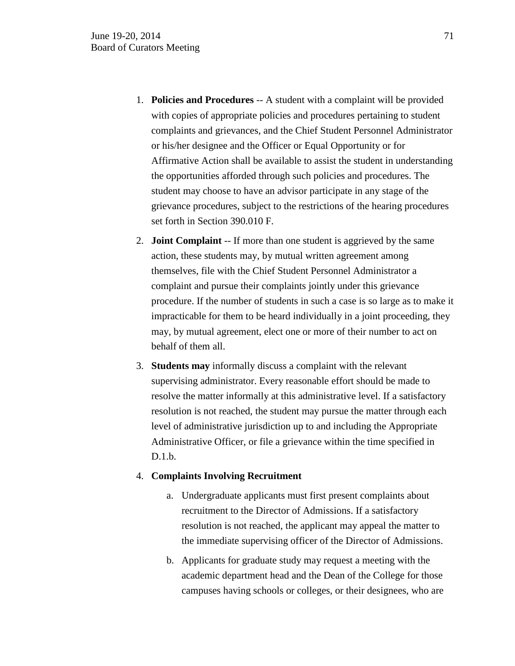- 1. **Policies and Procedures** -- A student with a complaint will be provided with copies of appropriate policies and procedures pertaining to student complaints and grievances, and the Chief Student Personnel Administrator or his/her designee and the Officer or Equal Opportunity or for Affirmative Action shall be available to assist the student in understanding the opportunities afforded through such policies and procedures. The student may choose to have an advisor participate in any stage of the grievance procedures, subject to the restrictions of the hearing procedures set forth in Section 390.010 F.
- 2. **Joint Complaint** -- If more than one student is aggrieved by the same action, these students may, by mutual written agreement among themselves, file with the Chief Student Personnel Administrator a complaint and pursue their complaints jointly under this grievance procedure. If the number of students in such a case is so large as to make it impracticable for them to be heard individually in a joint proceeding, they may, by mutual agreement, elect one or more of their number to act on behalf of them all.
- 3. **Students may** informally discuss a complaint with the relevant supervising administrator. Every reasonable effort should be made to resolve the matter informally at this administrative level. If a satisfactory resolution is not reached, the student may pursue the matter through each level of administrative jurisdiction up to and including the Appropriate Administrative Officer, or file a grievance within the time specified in D.1.b.

### 4. **Complaints Involving Recruitment**

- a. Undergraduate applicants must first present complaints about recruitment to the Director of Admissions. If a satisfactory resolution is not reached, the applicant may appeal the matter to the immediate supervising officer of the Director of Admissions.
- b. Applicants for graduate study may request a meeting with the academic department head and the Dean of the College for those campuses having schools or colleges, or their designees, who are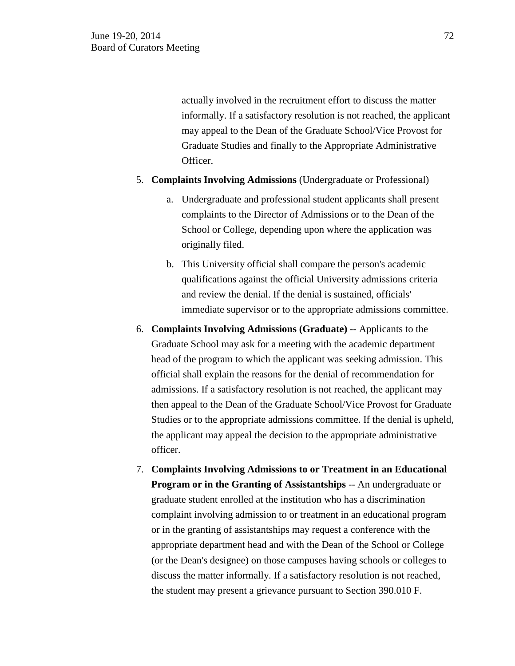actually involved in the recruitment effort to discuss the matter informally. If a satisfactory resolution is not reached, the applicant may appeal to the Dean of the Graduate School/Vice Provost for Graduate Studies and finally to the Appropriate Administrative Officer.

- 5. **Complaints Involving Admissions** (Undergraduate or Professional)
	- a. Undergraduate and professional student applicants shall present complaints to the Director of Admissions or to the Dean of the School or College, depending upon where the application was originally filed.
	- b. This University official shall compare the person's academic qualifications against the official University admissions criteria and review the denial. If the denial is sustained, officials' immediate supervisor or to the appropriate admissions committee.
- 6. **Complaints Involving Admissions (Graduate)** -- Applicants to the Graduate School may ask for a meeting with the academic department head of the program to which the applicant was seeking admission. This official shall explain the reasons for the denial of recommendation for admissions. If a satisfactory resolution is not reached, the applicant may then appeal to the Dean of the Graduate School/Vice Provost for Graduate Studies or to the appropriate admissions committee. If the denial is upheld, the applicant may appeal the decision to the appropriate administrative officer.
- 7. **Complaints Involving Admissions to or Treatment in an Educational Program or in the Granting of Assistantships** -- An undergraduate or graduate student enrolled at the institution who has a discrimination complaint involving admission to or treatment in an educational program or in the granting of assistantships may request a conference with the appropriate department head and with the Dean of the School or College (or the Dean's designee) on those campuses having schools or colleges to discuss the matter informally. If a satisfactory resolution is not reached, the student may present a grievance pursuant to Section 390.010 F.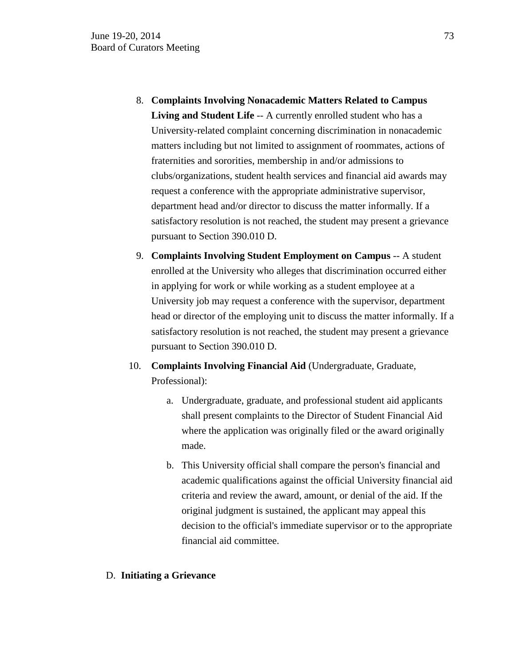- 8. **Complaints Involving Nonacademic Matters Related to Campus**  Living and Student Life -- A currently enrolled student who has a University-related complaint concerning discrimination in nonacademic matters including but not limited to assignment of roommates, actions of fraternities and sororities, membership in and/or admissions to clubs/organizations, student health services and financial aid awards may request a conference with the appropriate administrative supervisor, department head and/or director to discuss the matter informally. If a satisfactory resolution is not reached, the student may present a grievance pursuant to Section 390.010 D.
- 9. **Complaints Involving Student Employment on Campus** -- A student enrolled at the University who alleges that discrimination occurred either in applying for work or while working as a student employee at a University job may request a conference with the supervisor, department head or director of the employing unit to discuss the matter informally. If a satisfactory resolution is not reached, the student may present a grievance pursuant to Section 390.010 D.
- 10. **Complaints Involving Financial Aid** (Undergraduate, Graduate, Professional):
	- a. Undergraduate, graduate, and professional student aid applicants shall present complaints to the Director of Student Financial Aid where the application was originally filed or the award originally made.
	- b. This University official shall compare the person's financial and academic qualifications against the official University financial aid criteria and review the award, amount, or denial of the aid. If the original judgment is sustained, the applicant may appeal this decision to the official's immediate supervisor or to the appropriate financial aid committee.

## D. **Initiating a Grievance**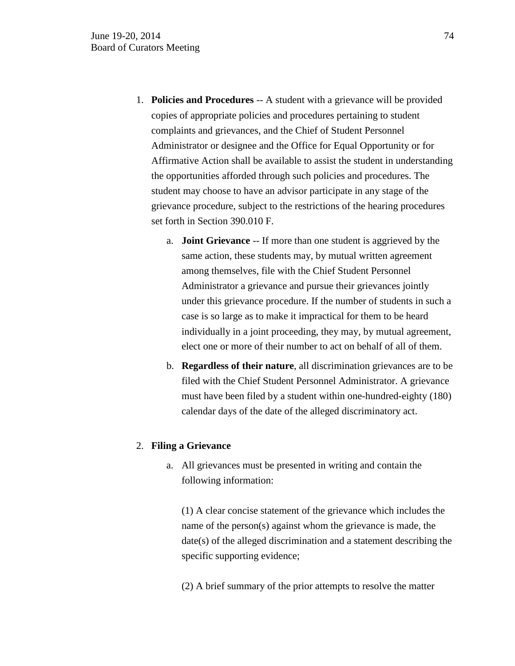- 1. **Policies and Procedures** -- A student with a grievance will be provided copies of appropriate policies and procedures pertaining to student complaints and grievances, and the Chief of Student Personnel Administrator or designee and the Office for Equal Opportunity or for Affirmative Action shall be available to assist the student in understanding the opportunities afforded through such policies and procedures. The student may choose to have an advisor participate in any stage of the grievance procedure, subject to the restrictions of the hearing procedures set forth in Section 390.010 F.
	- a. **Joint Grievance** -- If more than one student is aggrieved by the same action, these students may, by mutual written agreement among themselves, file with the Chief Student Personnel Administrator a grievance and pursue their grievances jointly under this grievance procedure. If the number of students in such a case is so large as to make it impractical for them to be heard individually in a joint proceeding, they may, by mutual agreement, elect one or more of their number to act on behalf of all of them.
	- b. **Regardless of their nature**, all discrimination grievances are to be filed with the Chief Student Personnel Administrator. A grievance must have been filed by a student within one-hundred-eighty (180) calendar days of the date of the alleged discriminatory act.

#### 2. **Filing a Grievance**

a. All grievances must be presented in writing and contain the following information:

(1) A clear concise statement of the grievance which includes the name of the person(s) against whom the grievance is made, the date(s) of the alleged discrimination and a statement describing the specific supporting evidence;

(2) A brief summary of the prior attempts to resolve the matter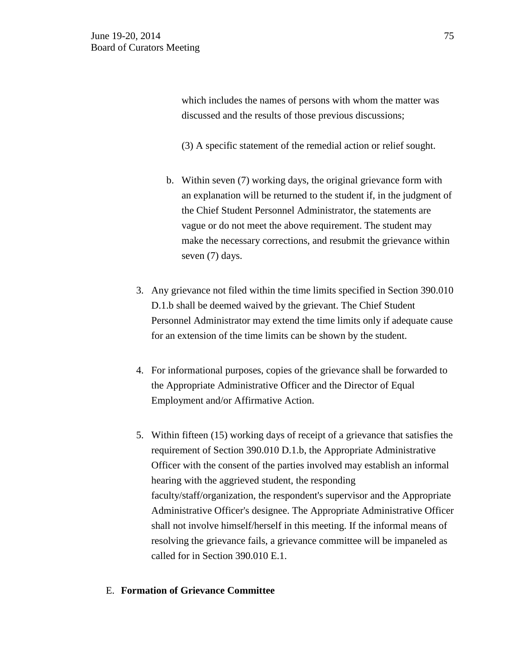which includes the names of persons with whom the matter was discussed and the results of those previous discussions;

(3) A specific statement of the remedial action or relief sought.

- b. Within seven (7) working days, the original grievance form with an explanation will be returned to the student if, in the judgment of the Chief Student Personnel Administrator, the statements are vague or do not meet the above requirement. The student may make the necessary corrections, and resubmit the grievance within seven (7) days.
- 3. Any grievance not filed within the time limits specified in Section 390.010 D.1.b shall be deemed waived by the grievant. The Chief Student Personnel Administrator may extend the time limits only if adequate cause for an extension of the time limits can be shown by the student.
- 4. For informational purposes, copies of the grievance shall be forwarded to the Appropriate Administrative Officer and the Director of Equal Employment and/or Affirmative Action.
- 5. Within fifteen (15) working days of receipt of a grievance that satisfies the requirement of Section 390.010 D.1.b, the Appropriate Administrative Officer with the consent of the parties involved may establish an informal hearing with the aggrieved student, the responding faculty/staff/organization, the respondent's supervisor and the Appropriate Administrative Officer's designee. The Appropriate Administrative Officer shall not involve himself/herself in this meeting. If the informal means of resolving the grievance fails, a grievance committee will be impaneled as called for in Section 390.010 E.1.

#### E. **Formation of Grievance Committee**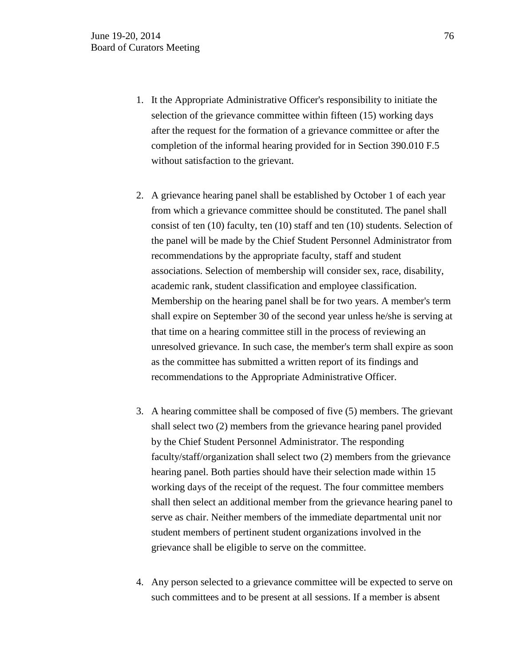- 1. It the Appropriate Administrative Officer's responsibility to initiate the selection of the grievance committee within fifteen (15) working days after the request for the formation of a grievance committee or after the completion of the informal hearing provided for in Section 390.010 F.5 without satisfaction to the grievant.
- 2. A grievance hearing panel shall be established by October 1 of each year from which a grievance committee should be constituted. The panel shall consist of ten (10) faculty, ten (10) staff and ten (10) students. Selection of the panel will be made by the Chief Student Personnel Administrator from recommendations by the appropriate faculty, staff and student associations. Selection of membership will consider sex, race, disability, academic rank, student classification and employee classification. Membership on the hearing panel shall be for two years. A member's term shall expire on September 30 of the second year unless he/she is serving at that time on a hearing committee still in the process of reviewing an unresolved grievance. In such case, the member's term shall expire as soon as the committee has submitted a written report of its findings and recommendations to the Appropriate Administrative Officer.
- 3. A hearing committee shall be composed of five (5) members. The grievant shall select two (2) members from the grievance hearing panel provided by the Chief Student Personnel Administrator. The responding faculty/staff/organization shall select two (2) members from the grievance hearing panel. Both parties should have their selection made within 15 working days of the receipt of the request. The four committee members shall then select an additional member from the grievance hearing panel to serve as chair. Neither members of the immediate departmental unit nor student members of pertinent student organizations involved in the grievance shall be eligible to serve on the committee.
- 4. Any person selected to a grievance committee will be expected to serve on such committees and to be present at all sessions. If a member is absent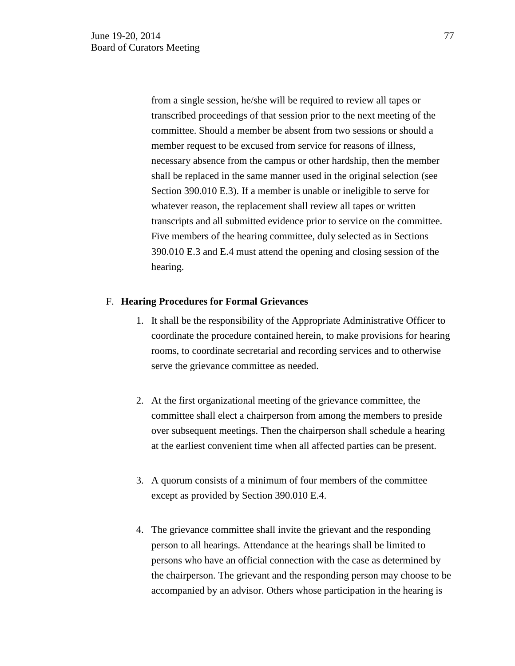from a single session, he/she will be required to review all tapes or transcribed proceedings of that session prior to the next meeting of the committee. Should a member be absent from two sessions or should a member request to be excused from service for reasons of illness, necessary absence from the campus or other hardship, then the member shall be replaced in the same manner used in the original selection (see Section 390.010 E.3). If a member is unable or ineligible to serve for whatever reason, the replacement shall review all tapes or written transcripts and all submitted evidence prior to service on the committee. Five members of the hearing committee, duly selected as in Sections 390.010 E.3 and E.4 must attend the opening and closing session of the hearing.

#### F. **Hearing Procedures for Formal Grievances**

- 1. It shall be the responsibility of the Appropriate Administrative Officer to coordinate the procedure contained herein, to make provisions for hearing rooms, to coordinate secretarial and recording services and to otherwise serve the grievance committee as needed.
- 2. At the first organizational meeting of the grievance committee, the committee shall elect a chairperson from among the members to preside over subsequent meetings. Then the chairperson shall schedule a hearing at the earliest convenient time when all affected parties can be present.
- 3. A quorum consists of a minimum of four members of the committee except as provided by Section 390.010 E.4.
- 4. The grievance committee shall invite the grievant and the responding person to all hearings. Attendance at the hearings shall be limited to persons who have an official connection with the case as determined by the chairperson. The grievant and the responding person may choose to be accompanied by an advisor. Others whose participation in the hearing is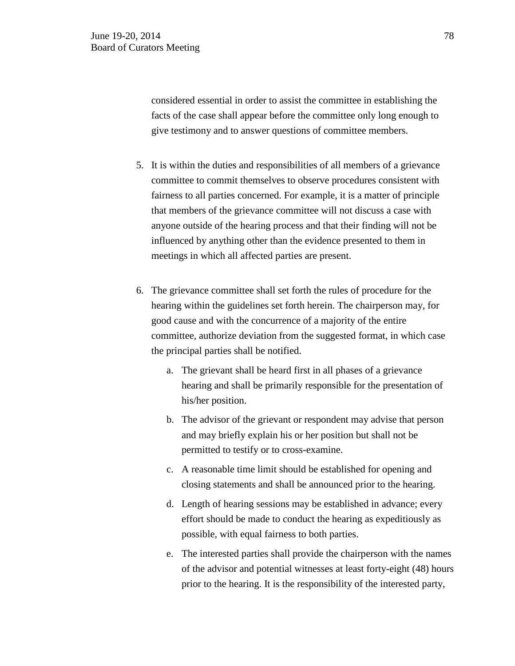considered essential in order to assist the committee in establishing the facts of the case shall appear before the committee only long enough to give testimony and to answer questions of committee members.

- 5. It is within the duties and responsibilities of all members of a grievance committee to commit themselves to observe procedures consistent with fairness to all parties concerned. For example, it is a matter of principle that members of the grievance committee will not discuss a case with anyone outside of the hearing process and that their finding will not be influenced by anything other than the evidence presented to them in meetings in which all affected parties are present.
- 6. The grievance committee shall set forth the rules of procedure for the hearing within the guidelines set forth herein. The chairperson may, for good cause and with the concurrence of a majority of the entire committee, authorize deviation from the suggested format, in which case the principal parties shall be notified.
	- a. The grievant shall be heard first in all phases of a grievance hearing and shall be primarily responsible for the presentation of his/her position.
	- b. The advisor of the grievant or respondent may advise that person and may briefly explain his or her position but shall not be permitted to testify or to cross-examine.
	- c. A reasonable time limit should be established for opening and closing statements and shall be announced prior to the hearing.
	- d. Length of hearing sessions may be established in advance; every effort should be made to conduct the hearing as expeditiously as possible, with equal fairness to both parties.
	- e. The interested parties shall provide the chairperson with the names of the advisor and potential witnesses at least forty-eight (48) hours prior to the hearing. It is the responsibility of the interested party,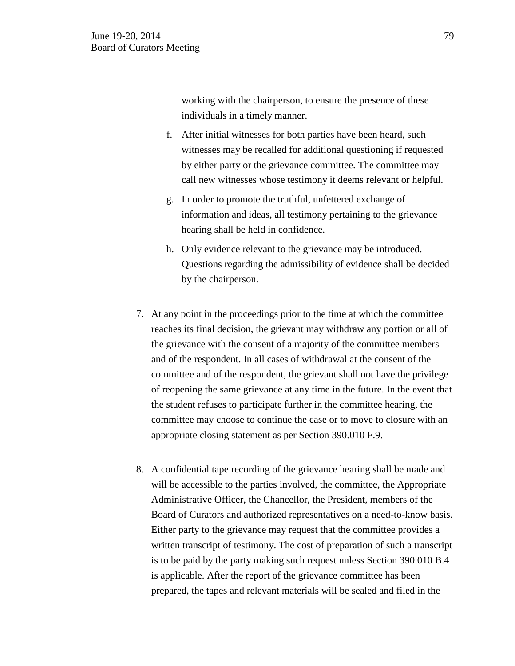working with the chairperson, to ensure the presence of these individuals in a timely manner.

- f. After initial witnesses for both parties have been heard, such witnesses may be recalled for additional questioning if requested by either party or the grievance committee. The committee may call new witnesses whose testimony it deems relevant or helpful.
- g. In order to promote the truthful, unfettered exchange of information and ideas, all testimony pertaining to the grievance hearing shall be held in confidence.
- h. Only evidence relevant to the grievance may be introduced. Questions regarding the admissibility of evidence shall be decided by the chairperson.
- 7. At any point in the proceedings prior to the time at which the committee reaches its final decision, the grievant may withdraw any portion or all of the grievance with the consent of a majority of the committee members and of the respondent. In all cases of withdrawal at the consent of the committee and of the respondent, the grievant shall not have the privilege of reopening the same grievance at any time in the future. In the event that the student refuses to participate further in the committee hearing, the committee may choose to continue the case or to move to closure with an appropriate closing statement as per Section 390.010 F.9.
- 8. A confidential tape recording of the grievance hearing shall be made and will be accessible to the parties involved, the committee, the Appropriate Administrative Officer, the Chancellor, the President, members of the Board of Curators and authorized representatives on a need-to-know basis. Either party to the grievance may request that the committee provides a written transcript of testimony. The cost of preparation of such a transcript is to be paid by the party making such request unless Section 390.010 B.4 is applicable. After the report of the grievance committee has been prepared, the tapes and relevant materials will be sealed and filed in the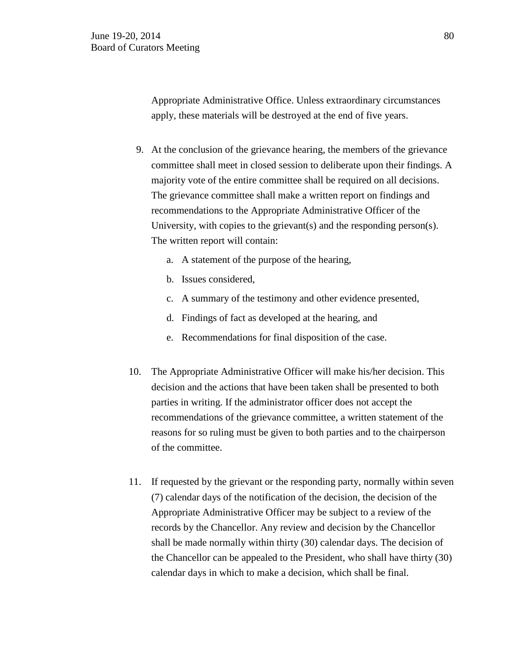Appropriate Administrative Office. Unless extraordinary circumstances apply, these materials will be destroyed at the end of five years.

- 9. At the conclusion of the grievance hearing, the members of the grievance committee shall meet in closed session to deliberate upon their findings. A majority vote of the entire committee shall be required on all decisions. The grievance committee shall make a written report on findings and recommendations to the Appropriate Administrative Officer of the University, with copies to the grievant(s) and the responding person(s). The written report will contain:
	- a. A statement of the purpose of the hearing,
	- b. Issues considered,
	- c. A summary of the testimony and other evidence presented,
	- d. Findings of fact as developed at the hearing, and
	- e. Recommendations for final disposition of the case.
- 10. The Appropriate Administrative Officer will make his/her decision. This decision and the actions that have been taken shall be presented to both parties in writing. If the administrator officer does not accept the recommendations of the grievance committee, a written statement of the reasons for so ruling must be given to both parties and to the chairperson of the committee.
- 11. If requested by the grievant or the responding party, normally within seven (7) calendar days of the notification of the decision, the decision of the Appropriate Administrative Officer may be subject to a review of the records by the Chancellor. Any review and decision by the Chancellor shall be made normally within thirty (30) calendar days. The decision of the Chancellor can be appealed to the President, who shall have thirty (30) calendar days in which to make a decision, which shall be final.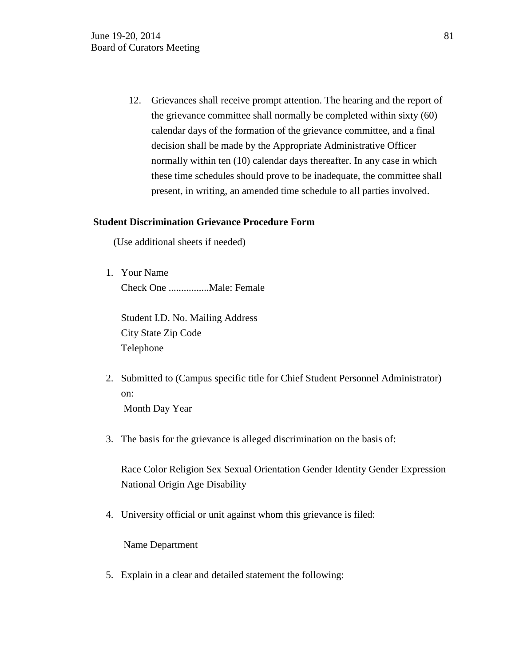12. Grievances shall receive prompt attention. The hearing and the report of the grievance committee shall normally be completed within sixty (60) calendar days of the formation of the grievance committee, and a final decision shall be made by the Appropriate Administrative Officer normally within ten (10) calendar days thereafter. In any case in which these time schedules should prove to be inadequate, the committee shall present, in writing, an amended time schedule to all parties involved.

## **Student Discrimination Grievance Procedure Form**

(Use additional sheets if needed)

1. Your Name Check One ................Male: Female

Student I.D. No. Mailing Address City State Zip Code Telephone

- 2. Submitted to (Campus specific title for Chief Student Personnel Administrator) on: Month Day Year
- 3. The basis for the grievance is alleged discrimination on the basis of:

Race Color Religion Sex Sexual Orientation Gender Identity Gender Expression National Origin Age Disability

4. University official or unit against whom this grievance is filed:

Name Department

5. Explain in a clear and detailed statement the following: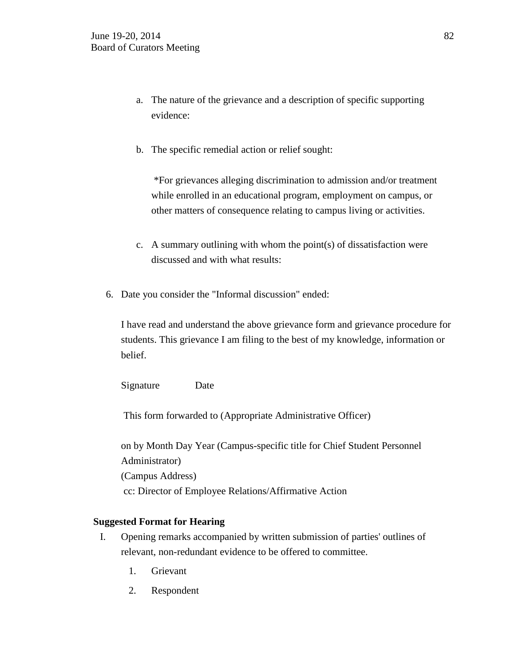- a. The nature of the grievance and a description of specific supporting evidence:
- b. The specific remedial action or relief sought:

\*For grievances alleging discrimination to admission and/or treatment while enrolled in an educational program, employment on campus, or other matters of consequence relating to campus living or activities.

- c. A summary outlining with whom the point(s) of dissatisfaction were discussed and with what results:
- 6. Date you consider the "Informal discussion" ended:

I have read and understand the above grievance form and grievance procedure for students. This grievance I am filing to the best of my knowledge, information or belief.

Signature Date

This form forwarded to (Appropriate Administrative Officer)

on by Month Day Year (Campus-specific title for Chief Student Personnel Administrator) (Campus Address) cc: Director of Employee Relations/Affirmative Action

## **Suggested Format for Hearing**

- I. Opening remarks accompanied by written submission of parties' outlines of relevant, non-redundant evidence to be offered to committee.
	- 1. Grievant
	- 2. Respondent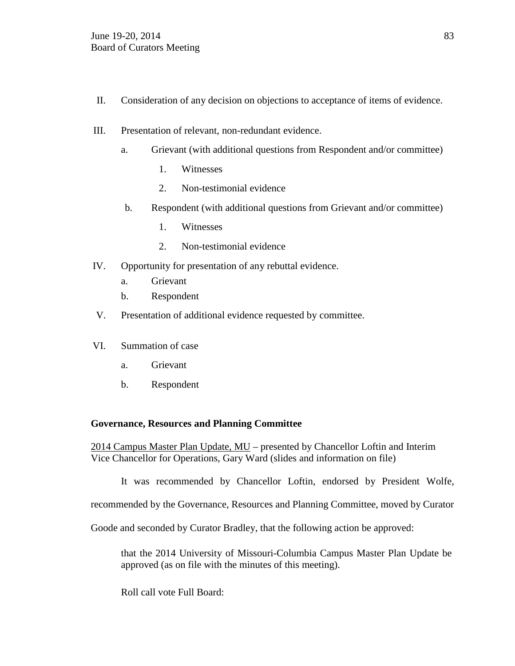- II. Consideration of any decision on objections to acceptance of items of evidence.
- III. Presentation of relevant, non-redundant evidence.
	- a. Grievant (with additional questions from Respondent and/or committee)
		- 1. Witnesses
		- 2. Non-testimonial evidence
	- b. Respondent (with additional questions from Grievant and/or committee)
		- 1. Witnesses
		- 2. Non-testimonial evidence
- IV. Opportunity for presentation of any rebuttal evidence.
	- a. Grievant
	- b. Respondent
- V. Presentation of additional evidence requested by committee.
- VI. Summation of case
	- a. Grievant
	- b. Respondent

## **Governance, Resources and Planning Committee**

2014 Campus Master Plan Update, MU – presented by Chancellor Loftin and Interim Vice Chancellor for Operations, Gary Ward (slides and information on file)

It was recommended by Chancellor Loftin, endorsed by President Wolfe,

recommended by the Governance, Resources and Planning Committee, moved by Curator

Goode and seconded by Curator Bradley, that the following action be approved:

that the 2014 University of Missouri-Columbia Campus Master Plan Update be approved (as on file with the minutes of this meeting).

Roll call vote Full Board: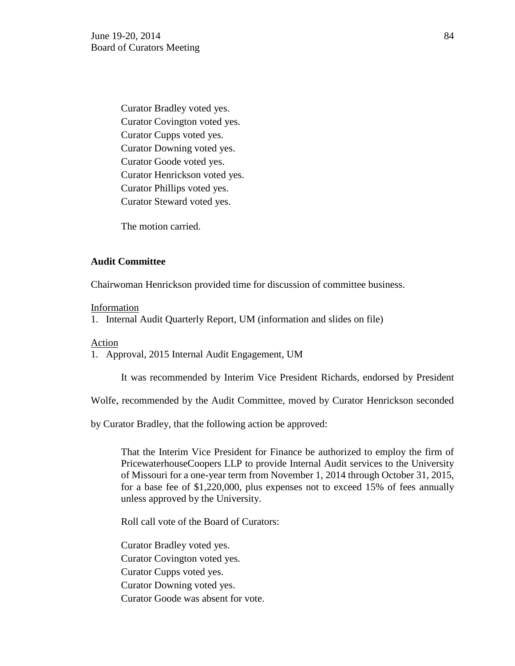Curator Bradley voted yes. Curator Covington voted yes. Curator Cupps voted yes. Curator Downing voted yes. Curator Goode voted yes. Curator Henrickson voted yes. Curator Phillips voted yes. Curator Steward voted yes.

The motion carried.

## **Audit Committee**

Chairwoman Henrickson provided time for discussion of committee business.

#### Information

1. Internal Audit Quarterly Report, UM (information and slides on file)

## Action

1. Approval, 2015 Internal Audit Engagement, UM

It was recommended by Interim Vice President Richards, endorsed by President

Wolfe, recommended by the Audit Committee, moved by Curator Henrickson seconded

by Curator Bradley, that the following action be approved:

That the Interim Vice President for Finance be authorized to employ the firm of PricewaterhouseCoopers LLP to provide Internal Audit services to the University of Missouri for a one-year term from November 1, 2014 through October 31, 2015, for a base fee of \$1,220,000, plus expenses not to exceed 15% of fees annually unless approved by the University.

Roll call vote of the Board of Curators:

Curator Bradley voted yes. Curator Covington voted yes. Curator Cupps voted yes. Curator Downing voted yes. Curator Goode was absent for vote.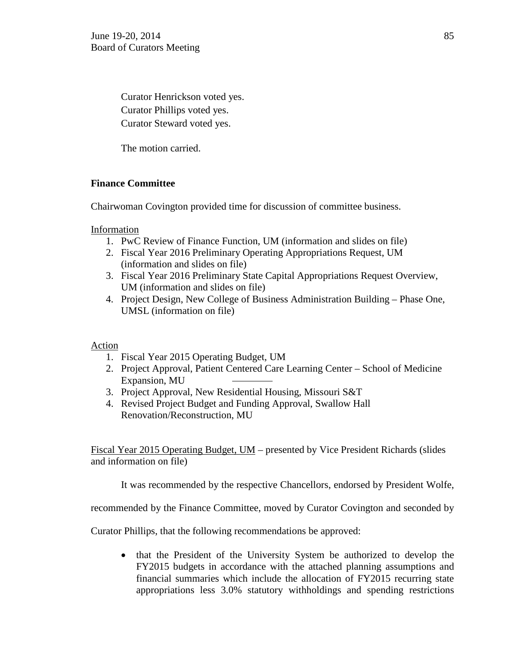Curator Henrickson voted yes. Curator Phillips voted yes. Curator Steward voted yes.

The motion carried.

# **Finance Committee**

Chairwoman Covington provided time for discussion of committee business.

Information

- 1. PwC Review of Finance Function, UM (information and slides on file)
- 2. Fiscal Year 2016 Preliminary Operating Appropriations Request, UM (information and slides on file)
- 3. Fiscal Year 2016 Preliminary State Capital Appropriations Request Overview, UM (information and slides on file)
- 4. Project Design, New College of Business Administration Building Phase One, UMSL (information on file)

Action

- 1. Fiscal Year 2015 Operating Budget, UM
- 2. Project Approval, Patient Centered Care Learning Center School of Medicine Expansion, MU
- 3. Project Approval, New Residential Housing, Missouri S&T
- 4. Revised Project Budget and Funding Approval, Swallow Hall Renovation/Reconstruction, MU

Fiscal Year 2015 Operating Budget, UM – presented by Vice President Richards (slides and information on file)

It was recommended by the respective Chancellors, endorsed by President Wolfe,

recommended by the Finance Committee, moved by Curator Covington and seconded by

Curator Phillips, that the following recommendations be approved:

• that the President of the University System be authorized to develop the FY2015 budgets in accordance with the attached planning assumptions and financial summaries which include the allocation of FY2015 recurring state appropriations less 3.0% statutory withholdings and spending restrictions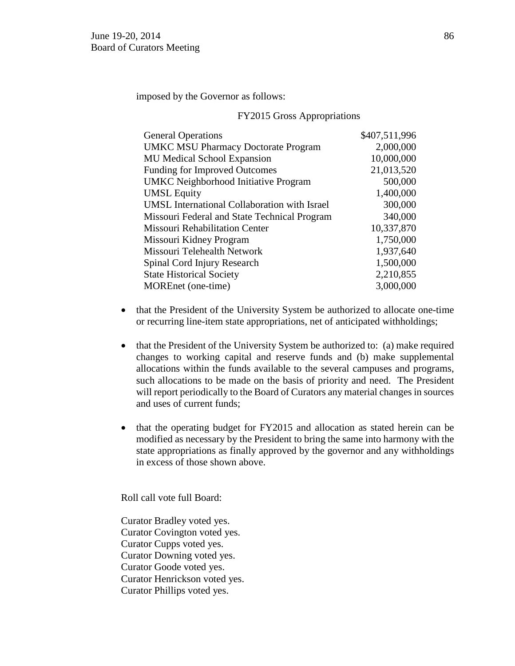imposed by the Governor as follows:

#### FY2015 Gross Appropriations

| <b>General Operations</b>                           | \$407,511,996 |
|-----------------------------------------------------|---------------|
| <b>UMKC MSU Pharmacy Doctorate Program</b>          | 2,000,000     |
| <b>MU Medical School Expansion</b>                  | 10,000,000    |
| <b>Funding for Improved Outcomes</b>                | 21,013,520    |
| <b>UMKC</b> Neighborhood Initiative Program         | 500,000       |
| <b>UMSL Equity</b>                                  | 1,400,000     |
| <b>UMSL</b> International Collaboration with Israel | 300,000       |
| Missouri Federal and State Technical Program        | 340,000       |
| <b>Missouri Rehabilitation Center</b>               | 10,337,870    |
| Missouri Kidney Program                             | 1,750,000     |
| Missouri Telehealth Network                         | 1,937,640     |
| Spinal Cord Injury Research                         | 1,500,000     |
| <b>State Historical Society</b>                     | 2,210,855     |
| MOREnet (one-time)                                  | 3,000,000     |
|                                                     |               |

- that the President of the University System be authorized to allocate one-time or recurring line-item state appropriations, net of anticipated withholdings;
- that the President of the University System be authorized to: (a) make required changes to working capital and reserve funds and (b) make supplemental allocations within the funds available to the several campuses and programs, such allocations to be made on the basis of priority and need. The President will report periodically to the Board of Curators any material changes in sources and uses of current funds;
- that the operating budget for FY2015 and allocation as stated herein can be modified as necessary by the President to bring the same into harmony with the state appropriations as finally approved by the governor and any withholdings in excess of those shown above.

Roll call vote full Board:

Curator Bradley voted yes. Curator Covington voted yes. Curator Cupps voted yes. Curator Downing voted yes. Curator Goode voted yes. Curator Henrickson voted yes. Curator Phillips voted yes.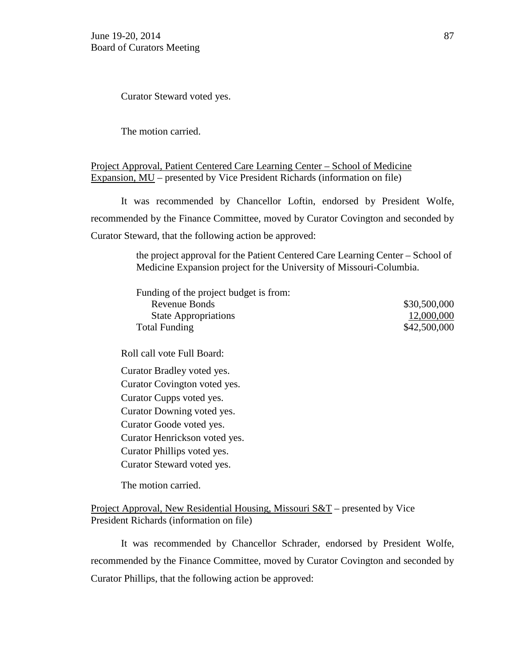Curator Steward voted yes.

The motion carried.

# Project Approval, Patient Centered Care Learning Center – School of Medicine Expansion, MU – presented by Vice President Richards (information on file)

It was recommended by Chancellor Loftin, endorsed by President Wolfe, recommended by the Finance Committee, moved by Curator Covington and seconded by Curator Steward, that the following action be approved:

> the project approval for the Patient Centered Care Learning Center – School of Medicine Expansion project for the University of Missouri-Columbia.

| Funding of the project budget is from: |              |
|----------------------------------------|--------------|
| Revenue Bonds                          | \$30,500,000 |
| <b>State Appropriations</b>            | 12,000,000   |
| <b>Total Funding</b>                   | \$42,500,000 |

Roll call vote Full Board:

Curator Bradley voted yes. Curator Covington voted yes. Curator Cupps voted yes. Curator Downing voted yes. Curator Goode voted yes. Curator Henrickson voted yes. Curator Phillips voted yes. Curator Steward voted yes.

The motion carried.

Project Approval, New Residential Housing, Missouri S&T – presented by Vice President Richards (information on file)

It was recommended by Chancellor Schrader, endorsed by President Wolfe, recommended by the Finance Committee, moved by Curator Covington and seconded by Curator Phillips, that the following action be approved: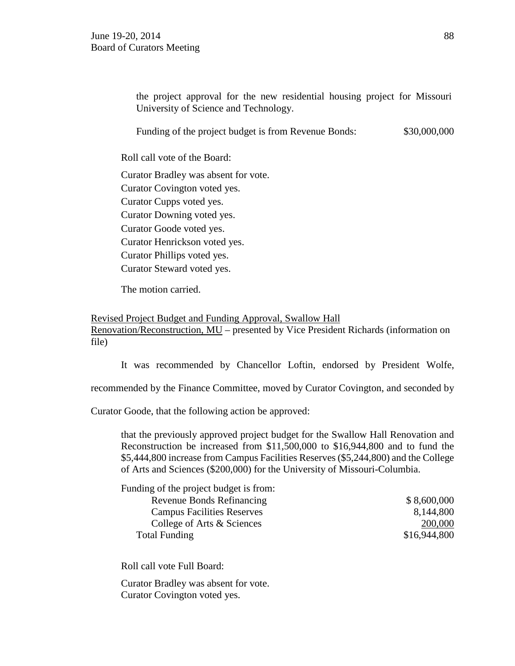the project approval for the new residential housing project for Missouri University of Science and Technology.

Funding of the project budget is from Revenue Bonds: \$30,000,000

Roll call vote of the Board:

Curator Bradley was absent for vote. Curator Covington voted yes. Curator Cupps voted yes. Curator Downing voted yes. Curator Goode voted yes. Curator Henrickson voted yes. Curator Phillips voted yes. Curator Steward voted yes.

The motion carried.

# Revised Project Budget and Funding Approval, Swallow Hall Renovation/Reconstruction, MU – presented by Vice President Richards (information on

file)

It was recommended by Chancellor Loftin, endorsed by President Wolfe,

recommended by the Finance Committee, moved by Curator Covington, and seconded by

Curator Goode, that the following action be approved:

that the previously approved project budget for the Swallow Hall Renovation and Reconstruction be increased from \$11,500,000 to \$16,944,800 and to fund the \$5,444,800 increase from Campus Facilities Reserves (\$5,244,800) and the College of Arts and Sciences (\$200,000) for the University of Missouri-Columbia.

| Funding of the project budget is from: |              |
|----------------------------------------|--------------|
| <b>Revenue Bonds Refinancing</b>       | \$8,600,000  |
| <b>Campus Facilities Reserves</b>      | 8,144,800    |
| College of Arts & Sciences             | 200,000      |
| <b>Total Funding</b>                   | \$16,944,800 |

Roll call vote Full Board:

Curator Bradley was absent for vote. Curator Covington voted yes.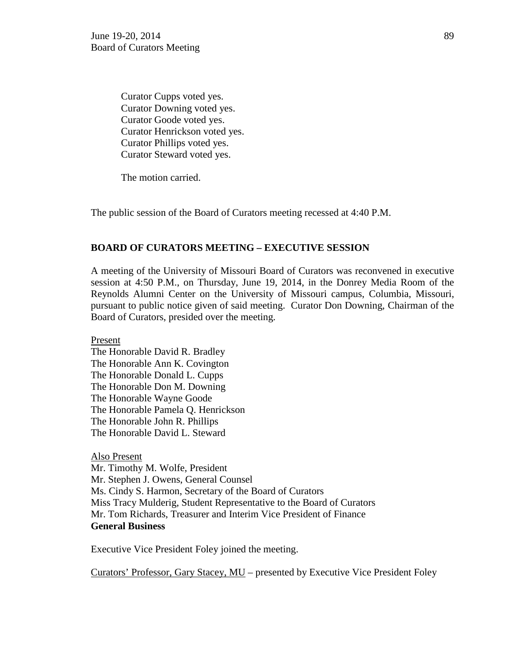Curator Cupps voted yes. Curator Downing voted yes. Curator Goode voted yes. Curator Henrickson voted yes. Curator Phillips voted yes. Curator Steward voted yes.

The motion carried.

The public session of the Board of Curators meeting recessed at 4:40 P.M.

#### **BOARD OF CURATORS MEETING – EXECUTIVE SESSION**

A meeting of the University of Missouri Board of Curators was reconvened in executive session at 4:50 P.M., on Thursday, June 19, 2014, in the Donrey Media Room of the Reynolds Alumni Center on the University of Missouri campus, Columbia, Missouri, pursuant to public notice given of said meeting. Curator Don Downing, Chairman of the Board of Curators, presided over the meeting.

Present

The Honorable David R. Bradley The Honorable Ann K. Covington The Honorable Donald L. Cupps The Honorable Don M. Downing The Honorable Wayne Goode The Honorable Pamela Q. Henrickson The Honorable John R. Phillips The Honorable David L. Steward

Also Present

Mr. Timothy M. Wolfe, President Mr. Stephen J. Owens, General Counsel Ms. Cindy S. Harmon, Secretary of the Board of Curators Miss Tracy Mulderig, Student Representative to the Board of Curators Mr. Tom Richards, Treasurer and Interim Vice President of Finance **General Business**

Executive Vice President Foley joined the meeting.

Curators' Professor, Gary Stacey, MU – presented by Executive Vice President Foley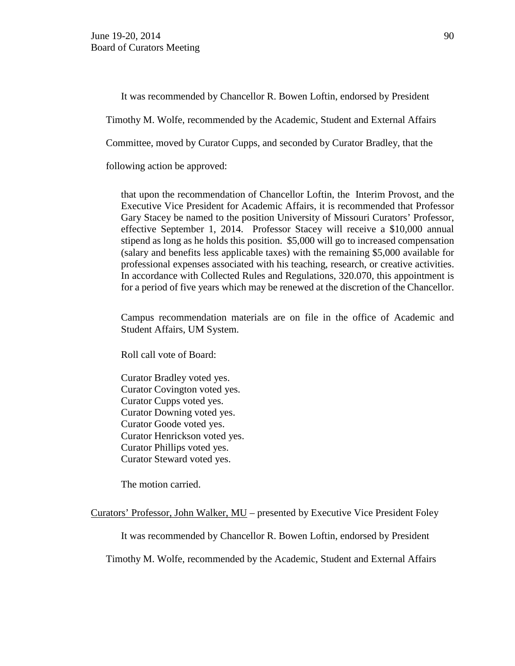It was recommended by Chancellor R. Bowen Loftin, endorsed by President

Timothy M. Wolfe, recommended by the Academic, Student and External Affairs

Committee, moved by Curator Cupps, and seconded by Curator Bradley, that the

following action be approved:

that upon the recommendation of Chancellor Loftin, the Interim Provost, and the Executive Vice President for Academic Affairs, it is recommended that Professor Gary Stacey be named to the position University of Missouri Curators' Professor, effective September 1, 2014. Professor Stacey will receive a \$10,000 annual stipend as long as he holds this position. \$5,000 will go to increased compensation (salary and benefits less applicable taxes) with the remaining \$5,000 available for professional expenses associated with his teaching, research, or creative activities. In accordance with Collected Rules and Regulations, 320.070, this appointment is for a period of five years which may be renewed at the discretion of the Chancellor.

Campus recommendation materials are on file in the office of Academic and Student Affairs, UM System.

Roll call vote of Board:

Curator Bradley voted yes. Curator Covington voted yes. Curator Cupps voted yes. Curator Downing voted yes. Curator Goode voted yes. Curator Henrickson voted yes. Curator Phillips voted yes. Curator Steward voted yes.

The motion carried.

Curators' Professor, John Walker, MU – presented by Executive Vice President Foley

It was recommended by Chancellor R. Bowen Loftin, endorsed by President

Timothy M. Wolfe, recommended by the Academic, Student and External Affairs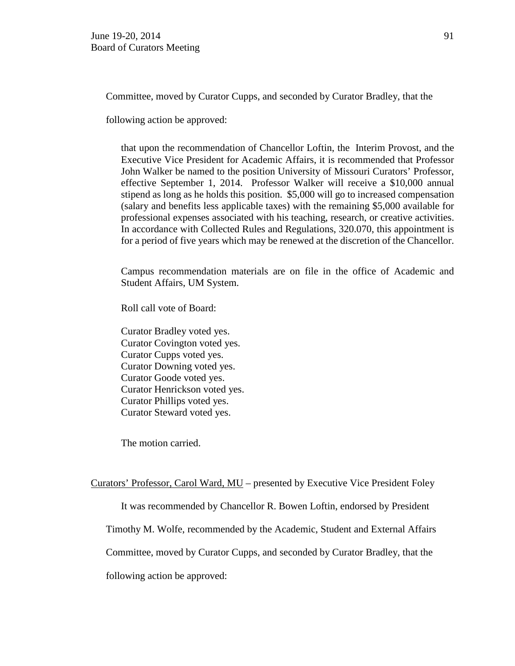Committee, moved by Curator Cupps, and seconded by Curator Bradley, that the

following action be approved:

that upon the recommendation of Chancellor Loftin, the Interim Provost, and the Executive Vice President for Academic Affairs, it is recommended that Professor John Walker be named to the position University of Missouri Curators' Professor, effective September 1, 2014. Professor Walker will receive a \$10,000 annual stipend as long as he holds this position. \$5,000 will go to increased compensation (salary and benefits less applicable taxes) with the remaining \$5,000 available for professional expenses associated with his teaching, research, or creative activities. In accordance with Collected Rules and Regulations, 320.070, this appointment is for a period of five years which may be renewed at the discretion of the Chancellor.

Campus recommendation materials are on file in the office of Academic and Student Affairs, UM System.

Roll call vote of Board:

Curator Bradley voted yes. Curator Covington voted yes. Curator Cupps voted yes. Curator Downing voted yes. Curator Goode voted yes. Curator Henrickson voted yes. Curator Phillips voted yes. Curator Steward voted yes.

The motion carried.

Curators' Professor, Carol Ward, MU – presented by Executive Vice President Foley

It was recommended by Chancellor R. Bowen Loftin, endorsed by President

Timothy M. Wolfe, recommended by the Academic, Student and External Affairs

Committee, moved by Curator Cupps, and seconded by Curator Bradley, that the

following action be approved: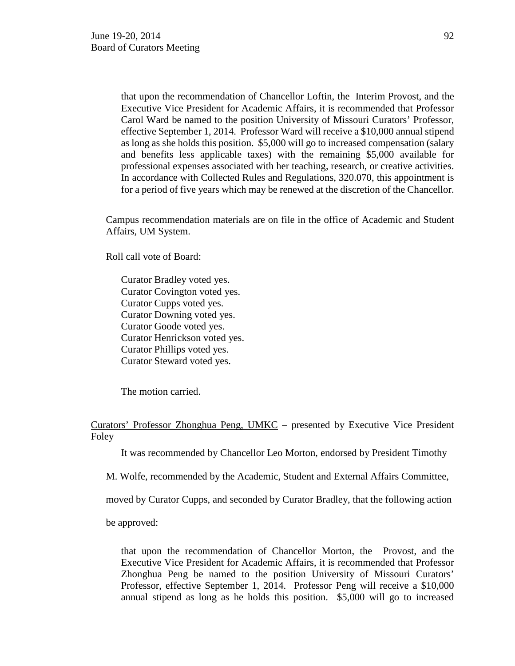that upon the recommendation of Chancellor Loftin, the Interim Provost, and the Executive Vice President for Academic Affairs, it is recommended that Professor Carol Ward be named to the position University of Missouri Curators' Professor, effective September 1, 2014. Professor Ward will receive a \$10,000 annual stipend as long as she holds this position. \$5,000 will go to increased compensation (salary and benefits less applicable taxes) with the remaining \$5,000 available for professional expenses associated with her teaching, research, or creative activities. In accordance with Collected Rules and Regulations, 320.070, this appointment is for a period of five years which may be renewed at the discretion of the Chancellor.

Campus recommendation materials are on file in the office of Academic and Student Affairs, UM System.

Roll call vote of Board:

Curator Bradley voted yes. Curator Covington voted yes. Curator Cupps voted yes. Curator Downing voted yes. Curator Goode voted yes. Curator Henrickson voted yes. Curator Phillips voted yes. Curator Steward voted yes.

The motion carried.

Curators' Professor Zhonghua Peng, UMKC – presented by Executive Vice President Foley

It was recommended by Chancellor Leo Morton, endorsed by President Timothy

M. Wolfe, recommended by the Academic, Student and External Affairs Committee,

moved by Curator Cupps, and seconded by Curator Bradley, that the following action

be approved:

that upon the recommendation of Chancellor Morton, the Provost, and the Executive Vice President for Academic Affairs, it is recommended that Professor Zhonghua Peng be named to the position University of Missouri Curators' Professor, effective September 1, 2014. Professor Peng will receive a \$10,000 annual stipend as long as he holds this position. \$5,000 will go to increased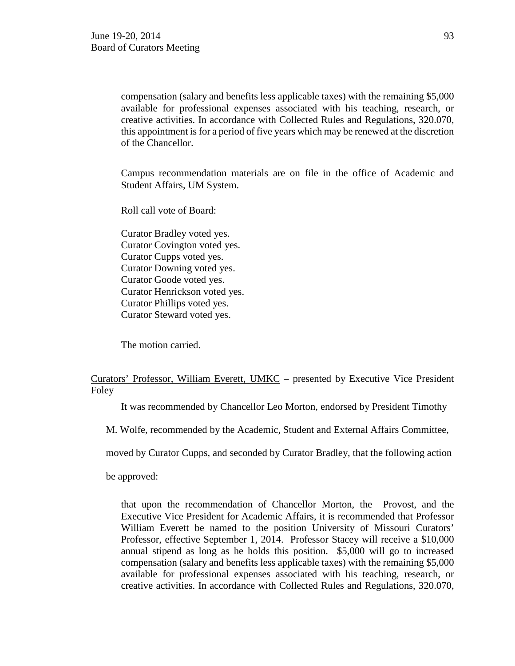compensation (salary and benefits less applicable taxes) with the remaining \$5,000 available for professional expenses associated with his teaching, research, or creative activities. In accordance with Collected Rules and Regulations, 320.070, this appointment is for a period of five years which may be renewed at the discretion of the Chancellor.

Campus recommendation materials are on file in the office of Academic and Student Affairs, UM System.

Roll call vote of Board:

Curator Bradley voted yes. Curator Covington voted yes. Curator Cupps voted yes. Curator Downing voted yes. Curator Goode voted yes. Curator Henrickson voted yes. Curator Phillips voted yes. Curator Steward voted yes.

The motion carried.

# Curators' Professor, William Everett, UMKC – presented by Executive Vice President Foley

It was recommended by Chancellor Leo Morton, endorsed by President Timothy

M. Wolfe, recommended by the Academic, Student and External Affairs Committee,

moved by Curator Cupps, and seconded by Curator Bradley, that the following action

be approved:

that upon the recommendation of Chancellor Morton, the Provost, and the Executive Vice President for Academic Affairs, it is recommended that Professor William Everett be named to the position University of Missouri Curators' Professor, effective September 1, 2014. Professor Stacey will receive a \$10,000 annual stipend as long as he holds this position. \$5,000 will go to increased compensation (salary and benefits less applicable taxes) with the remaining \$5,000 available for professional expenses associated with his teaching, research, or creative activities. In accordance with Collected Rules and Regulations, 320.070,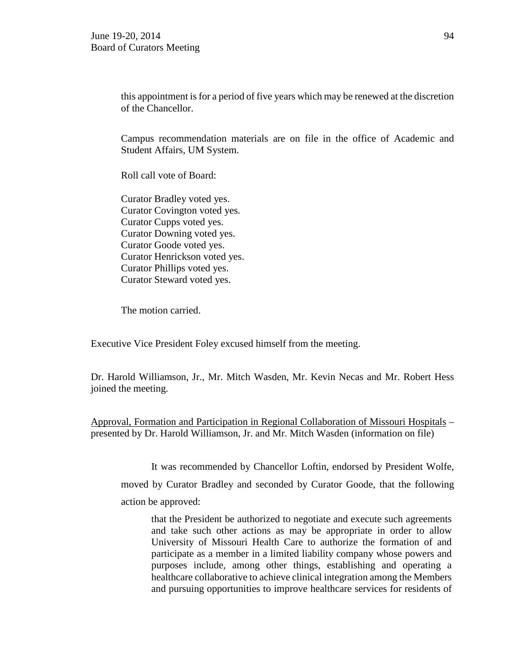this appointment is for a period of five years which may be renewed at the discretion of the Chancellor.

Campus recommendation materials are on file in the office of Academic and Student Affairs, UM System.

Roll call vote of Board:

Curator Bradley voted yes. Curator Covington voted yes. Curator Cupps voted yes. Curator Downing voted yes. Curator Goode voted yes. Curator Henrickson voted yes. Curator Phillips voted yes. Curator Steward voted yes.

The motion carried.

Executive Vice President Foley excused himself from the meeting.

Dr. Harold Williamson, Jr., Mr. Mitch Wasden, Mr. Kevin Necas and Mr. Robert Hess joined the meeting.

Approval, Formation and Participation in Regional Collaboration of Missouri Hospitals – presented by Dr. Harold Williamson, Jr. and Mr. Mitch Wasden (information on file)

It was recommended by Chancellor Loftin, endorsed by President Wolfe,

moved by Curator Bradley and seconded by Curator Goode, that the following

action be approved:

that the President be authorized to negotiate and execute such agreements and take such other actions as may be appropriate in order to allow University of Missouri Health Care to authorize the formation of and participate as a member in a limited liability company whose powers and purposes include, among other things, establishing and operating a healthcare collaborative to achieve clinical integration among the Members and pursuing opportunities to improve healthcare services for residents of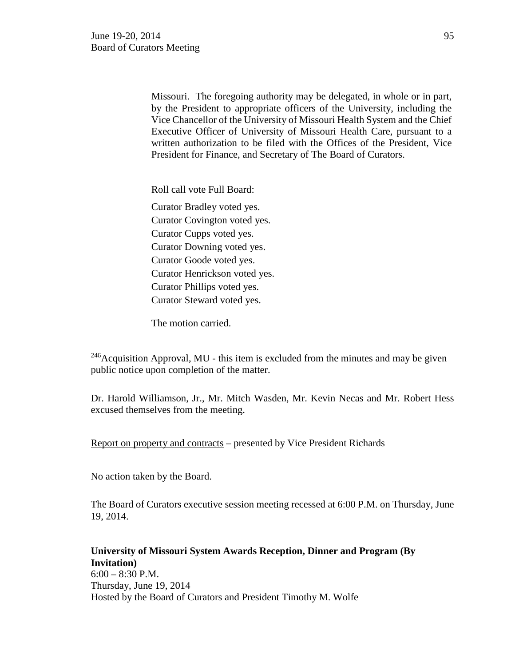Missouri. The foregoing authority may be delegated, in whole or in part, by the President to appropriate officers of the University, including the Vice Chancellor of the University of Missouri Health System and the Chief Executive Officer of University of Missouri Health Care, pursuant to a written authorization to be filed with the Offices of the President, Vice President for Finance, and Secretary of The Board of Curators.

Roll call vote Full Board:

Curator Bradley voted yes. Curator Covington voted yes. Curator Cupps voted yes. Curator Downing voted yes. Curator Goode voted yes. Curator Henrickson voted yes. Curator Phillips voted yes. Curator Steward voted yes.

The motion carried.

 $246$ Acquisition Approval, MU - this item is excluded from the minutes and may be given public notice upon completion of the matter.

Dr. Harold Williamson, Jr., Mr. Mitch Wasden, Mr. Kevin Necas and Mr. Robert Hess excused themselves from the meeting.

Report on property and contracts – presented by Vice President Richards

No action taken by the Board.

The Board of Curators executive session meeting recessed at 6:00 P.M. on Thursday, June 19, 2014.

**University of Missouri System Awards Reception, Dinner and Program (By Invitation)** 6:00 – 8:30 P.M. Thursday, June 19, 2014 Hosted by the Board of Curators and President Timothy M. Wolfe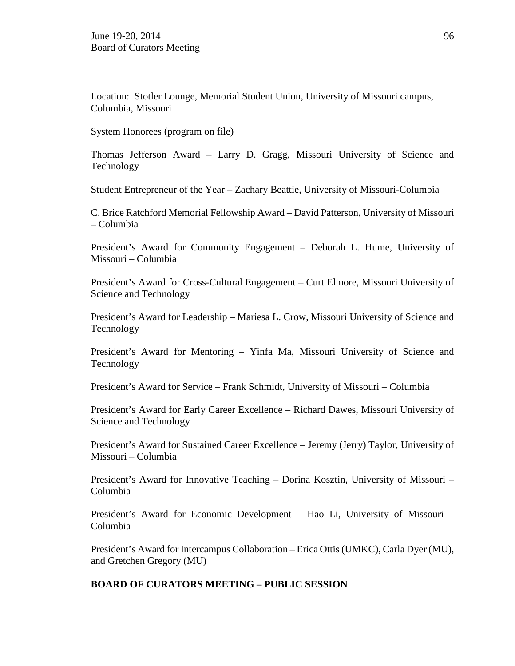Location: Stotler Lounge, Memorial Student Union, University of Missouri campus, Columbia, Missouri

System Honorees (program on file)

Thomas Jefferson Award – Larry D. Gragg, Missouri University of Science and Technology

Student Entrepreneur of the Year – Zachary Beattie, University of Missouri-Columbia

C. Brice Ratchford Memorial Fellowship Award – David Patterson, University of Missouri – Columbia

President's Award for Community Engagement – Deborah L. Hume, University of Missouri – Columbia

President's Award for Cross-Cultural Engagement – Curt Elmore, Missouri University of Science and Technology

President's Award for Leadership – Mariesa L. Crow, Missouri University of Science and Technology

President's Award for Mentoring – Yinfa Ma, Missouri University of Science and Technology

President's Award for Service – Frank Schmidt, University of Missouri – Columbia

President's Award for Early Career Excellence – Richard Dawes, Missouri University of Science and Technology

President's Award for Sustained Career Excellence – Jeremy (Jerry) Taylor, University of Missouri – Columbia

President's Award for Innovative Teaching – Dorina Kosztin, University of Missouri – Columbia

President's Award for Economic Development – Hao Li, University of Missouri – Columbia

President's Award for Intercampus Collaboration – Erica Ottis (UMKC), Carla Dyer (MU), and Gretchen Gregory (MU)

## **BOARD OF CURATORS MEETING – PUBLIC SESSION**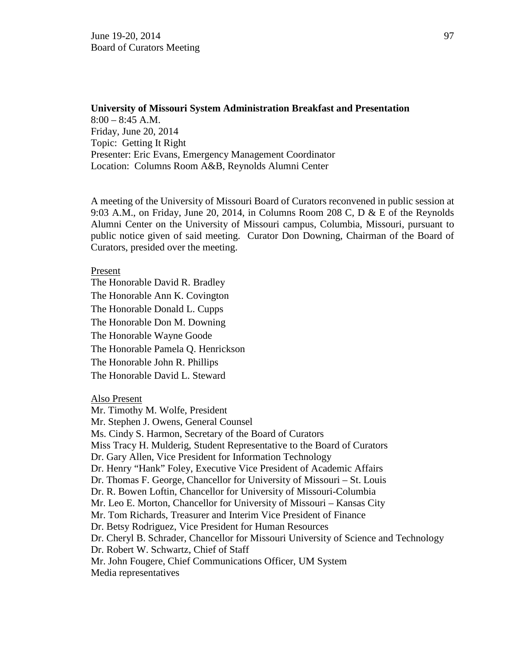# **University of Missouri System Administration Breakfast and Presentation**  $8:00 - 8:45$  A.M. Friday, June 20, 2014 Topic: Getting It Right Presenter: Eric Evans, Emergency Management Coordinator Location: Columns Room A&B, Reynolds Alumni Center

A meeting of the University of Missouri Board of Curators reconvened in public session at 9:03 A.M., on Friday, June 20, 2014, in Columns Room 208 C,  $D \& E$  of the Reynolds Alumni Center on the University of Missouri campus, Columbia, Missouri, pursuant to public notice given of said meeting. Curator Don Downing, Chairman of the Board of Curators, presided over the meeting.

#### Present

The Honorable David R. Bradley The Honorable Ann K. Covington The Honorable Donald L. Cupps The Honorable Don M. Downing The Honorable Wayne Goode The Honorable Pamela Q. Henrickson The Honorable John R. Phillips The Honorable David L. Steward

Also Present

Mr. Timothy M. Wolfe, President Mr. Stephen J. Owens, General Counsel Ms. Cindy S. Harmon, Secretary of the Board of Curators Miss Tracy H. Mulderig, Student Representative to the Board of Curators Dr. Gary Allen, Vice President for Information Technology Dr. Henry "Hank" Foley, Executive Vice President of Academic Affairs Dr. Thomas F. George, Chancellor for University of Missouri – St. Louis Dr. R. Bowen Loftin, Chancellor for University of Missouri-Columbia Mr. Leo E. Morton, Chancellor for University of Missouri – Kansas City Mr. Tom Richards, Treasurer and Interim Vice President of Finance Dr. Betsy Rodriguez, Vice President for Human Resources Dr. Cheryl B. Schrader, Chancellor for Missouri University of Science and Technology Dr. Robert W. Schwartz, Chief of Staff Mr. John Fougere, Chief Communications Officer, UM System Media representatives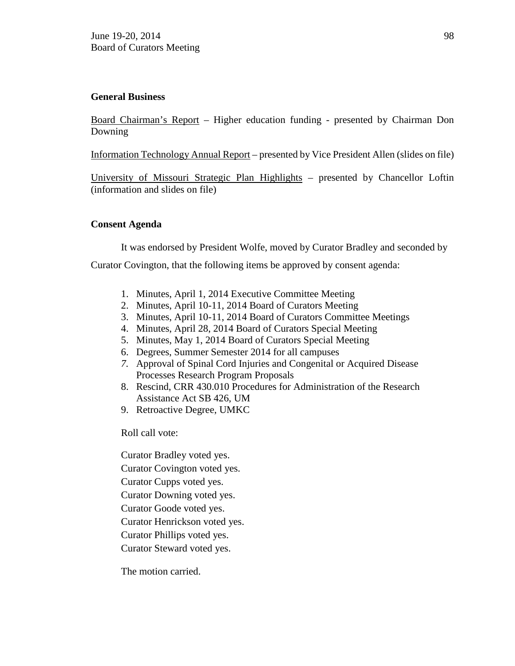# **General Business**

Board Chairman's Report – Higher education funding - presented by Chairman Don Downing

Information Technology Annual Report – presented by Vice President Allen (slides on file)

University of Missouri Strategic Plan Highlights – presented by Chancellor Loftin (information and slides on file)

# **Consent Agenda**

It was endorsed by President Wolfe, moved by Curator Bradley and seconded by

Curator Covington, that the following items be approved by consent agenda:

- 1. Minutes, April 1, 2014 Executive Committee Meeting
- 2. Minutes, April 10-11, 2014 Board of Curators Meeting
- 3. Minutes, April 10-11, 2014 Board of Curators Committee Meetings
- 4. Minutes, April 28, 2014 Board of Curators Special Meeting
- 5. Minutes, May 1, 2014 Board of Curators Special Meeting
- 6. Degrees, Summer Semester 2014 for all campuses
- *7.* Approval of Spinal Cord Injuries and Congenital or Acquired Disease Processes Research Program Proposals
- 8. Rescind, CRR 430.010 Procedures for Administration of the Research Assistance Act SB 426, UM
- 9. Retroactive Degree, UMKC

Roll call vote:

Curator Bradley voted yes. Curator Covington voted yes.

Curator Cupps voted yes.

Curator Downing voted yes.

Curator Goode voted yes.

Curator Henrickson voted yes.

Curator Phillips voted yes.

Curator Steward voted yes.

The motion carried.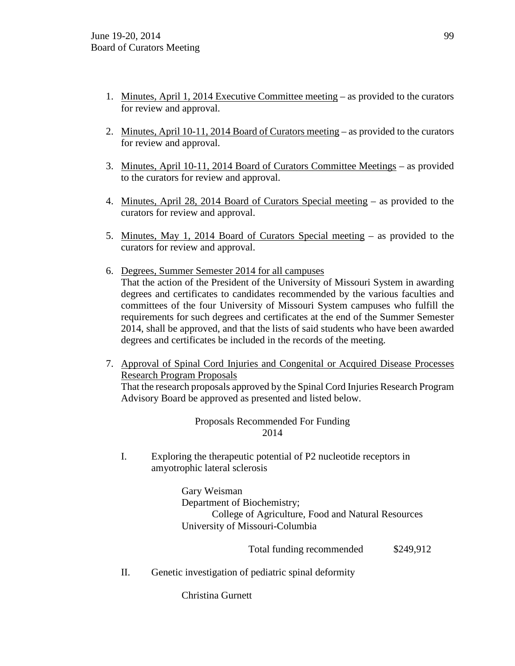- 1. Minutes, April 1, 2014 Executive Committee meeting as provided to the curators for review and approval.
- 2. Minutes, April 10-11, 2014 Board of Curators meeting as provided to the curators for review and approval.
- 3. Minutes, April 10-11, 2014 Board of Curators Committee Meetings as provided to the curators for review and approval.
- 4. Minutes, April 28, 2014 Board of Curators Special meeting as provided to the curators for review and approval.
- 5. Minutes, May 1, 2014 Board of Curators Special meeting as provided to the curators for review and approval.
- 6. Degrees, Summer Semester 2014 for all campuses That the action of the President of the University of Missouri System in awarding degrees and certificates to candidates recommended by the various faculties and committees of the four University of Missouri System campuses who fulfill the requirements for such degrees and certificates at the end of the Summer Semester 2014, shall be approved, and that the lists of said students who have been awarded degrees and certificates be included in the records of the meeting.
- 7. Approval of Spinal Cord Injuries and Congenital or Acquired Disease Processes Research Program Proposals

That the research proposals approved by the Spinal Cord Injuries Research Program Advisory Board be approved as presented and listed below.

# Proposals Recommended For Funding 2014

I. Exploring the therapeutic potential of P2 nucleotide receptors in amyotrophic lateral sclerosis

> Gary Weisman Department of Biochemistry; College of Agriculture, Food and Natural Resources University of Missouri-Columbia

> > Total funding recommended \$249,912

II. Genetic investigation of pediatric spinal deformity

Christina Gurnett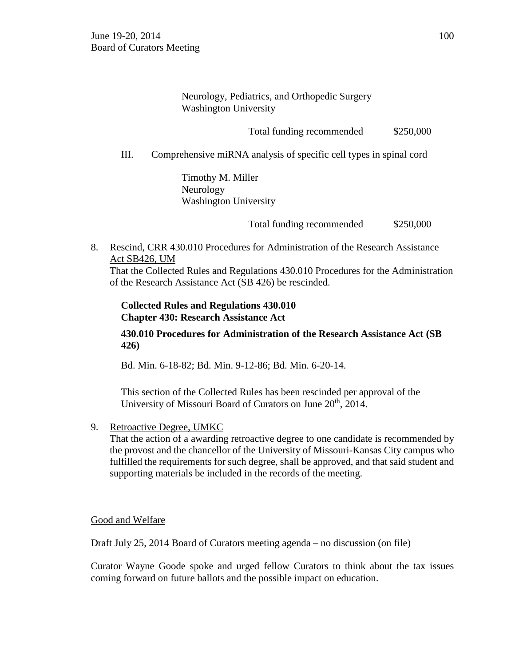Neurology, Pediatrics, and Orthopedic Surgery Washington University

Total funding recommended \$250,000

III. Comprehensive miRNA analysis of specific cell types in spinal cord

 Timothy M. Miller Neurology Washington University

Total funding recommended \$250,000

8. Rescind, CRR 430.010 Procedures for Administration of the Research Assistance Act SB426, UM

That the Collected Rules and Regulations 430.010 Procedures for the Administration of the Research Assistance Act (SB 426) be rescinded.

**Collected Rules and Regulations 430.010 Chapter 430: Research Assistance Act**

**430.010 Procedures for Administration of the Research Assistance Act (SB 426)**

Bd. Min. 6-18-82; Bd. Min. 9-12-86; Bd. Min. 6-20-14.

This section of the Collected Rules has been rescinded per approval of the University of Missouri Board of Curators on June 20<sup>th</sup>, 2014.

9. Retroactive Degree, UMKC

That the action of a awarding retroactive degree to one candidate is recommended by the provost and the chancellor of the University of Missouri-Kansas City campus who fulfilled the requirements for such degree, shall be approved, and that said student and supporting materials be included in the records of the meeting.

Good and Welfare

Draft July 25, 2014 Board of Curators meeting agenda – no discussion (on file)

Curator Wayne Goode spoke and urged fellow Curators to think about the tax issues coming forward on future ballots and the possible impact on education.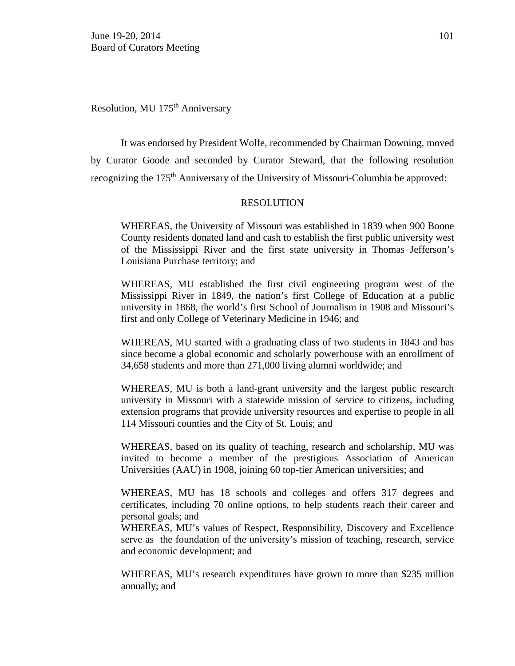Resolution, MU 175<sup>th</sup> Anniversary

It was endorsed by President Wolfe, recommended by Chairman Downing, moved by Curator Goode and seconded by Curator Steward, that the following resolution recognizing the 175<sup>th</sup> Anniversary of the University of Missouri-Columbia be approved:

#### RESOLUTION

WHEREAS, the University of Missouri was established in 1839 when 900 [Boone](http://mizzoumag.missouri.edu/2013/11/humble-families-humble-beginnings/index.php?utm_source=atMizzou&utm_medium=facultyEmail&utm_campaign=atMizzouJan14)  [County residents](http://mizzoumag.missouri.edu/2013/11/humble-families-humble-beginnings/index.php?utm_source=atMizzou&utm_medium=facultyEmail&utm_campaign=atMizzouJan14) donated land and cash to establish the first public university west of the Mississippi River and the first state university in Thomas Jefferson's Louisiana Purchase territory; and

WHEREAS, MU established the first civil engineering program west of the Mississippi River in 1849, the nation's first College of Education at a public university in 1868, the world's first School of Journalism in 1908 and Missouri's first and only College of Veterinary Medicine in 1946; and

WHEREAS, MU started with a graduating class of two students in 1843 and has since become a global economic and scholarly powerhouse with an enrollment of 34,658 students and more than 271,000 living alumni worldwide; and

WHEREAS, MU is both a land-grant university and the largest public research university in Missouri with a statewide mission of service to citizens, including extension programs that provide university resources and expertise to people in all 114 Missouri counties and the City of St. Louis; and

WHEREAS, based on its quality of teaching, research and scholarship, MU was invited to become a member of the prestigious Association of American Universities (AAU) in 1908, joining 60 top-tier American universities; and

WHEREAS, MU has 18 schools and colleges and offers 317 degrees and certificates, including 70 online options, to help students reach their career and personal goals; and

WHEREAS, MU's values of Respect, Responsibility, Discovery and Excellence serve as the foundation of the university's mission of teaching, research, service and economic development; and

WHEREAS, MU's research expenditures have grown to more than \$235 million annually; and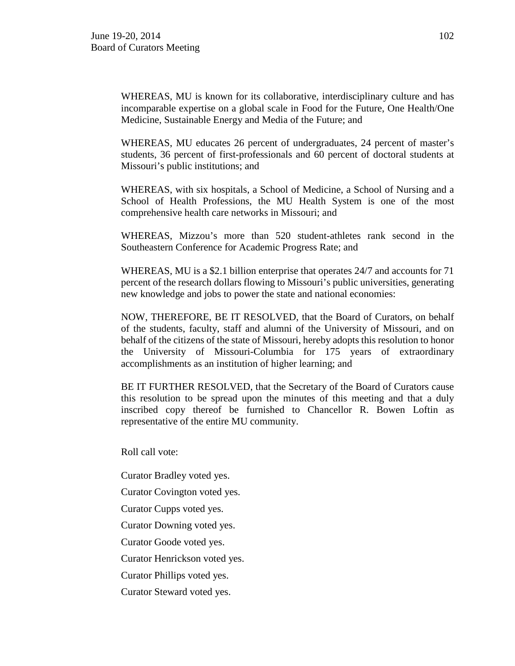WHEREAS, MU is known for its collaborative, interdisciplinary culture and has incomparable expertise on a global scale in Food for the Future, One Health/One Medicine, Sustainable Energy and Media of the Future; and

WHEREAS, MU educates 26 percent of undergraduates, 24 percent of master's students, 36 percent of first-professionals and 60 percent of doctoral students at Missouri's public institutions; and

WHEREAS, with six hospitals, a School of Medicine, a School of Nursing and a School of Health Professions, the MU Health System is one of the most comprehensive health care networks in Missouri; and

WHEREAS, Mizzou's more than 520 student-athletes rank second in the Southeastern Conference for Academic Progress Rate; and

WHEREAS, MU is a \$2.1 billion enterprise that operates 24/7 and accounts for 71 percent of the research dollars flowing to Missouri's public universities, generating new knowledge and jobs to power the state and national economies:

NOW, THEREFORE, BE IT RESOLVED, that the Board of Curators, on behalf of the students, faculty, staff and alumni of the University of Missouri, and on behalf of the citizens of the state of Missouri, hereby adopts this resolution to honor the University of Missouri-Columbia for 175 years of extraordinary accomplishments as an institution of higher learning; and

BE IT FURTHER RESOLVED, that the Secretary of the Board of Curators cause this resolution to be spread upon the minutes of this meeting and that a duly inscribed copy thereof be furnished to Chancellor R. Bowen Loftin as representative of the entire MU community.

Roll call vote:

Curator Bradley voted yes.

Curator Covington voted yes.

Curator Cupps voted yes.

Curator Downing voted yes.

Curator Goode voted yes.

Curator Henrickson voted yes.

Curator Phillips voted yes.

Curator Steward voted yes.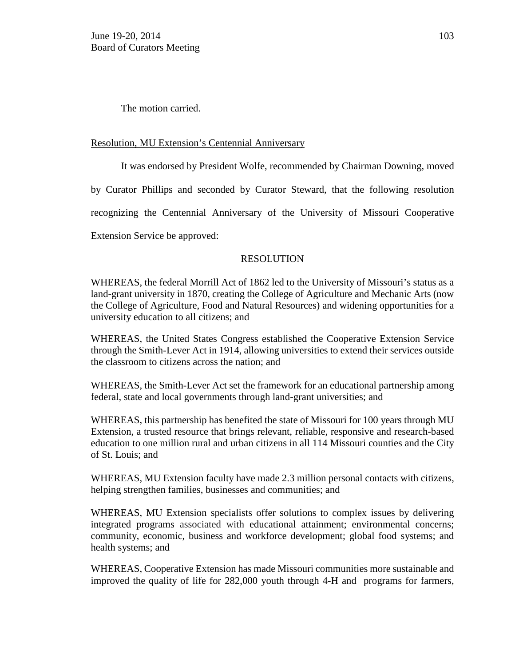The motion carried.

# Resolution, MU Extension's Centennial Anniversary

It was endorsed by President Wolfe, recommended by Chairman Downing, moved by Curator Phillips and seconded by Curator Steward, that the following resolution recognizing the Centennial Anniversary of the University of Missouri Cooperative Extension Service be approved:

# RESOLUTION

WHEREAS, the federal Morrill Act of 1862 led to the University of Missouri's status as a land-grant university in 1870, creating the College of Agriculture and Mechanic Arts (now the College of Agriculture, Food and Natural Resources) and widening opportunities for a university education to all citizens; and

WHEREAS, the United States Congress established the Cooperative Extension Service through the Smith-Lever Act in 1914, allowing universities to extend their services outside the classroom to citizens across the nation; and

WHEREAS, the Smith-Lever Act set the framework for an educational partnership among federal, state and local governments through land-grant universities; and

WHEREAS, this partnership has benefited the state of Missouri for 100 years through MU Extension, a trusted resource that brings relevant, reliable, responsive and research-based education to one million rural and urban citizens in all 114 Missouri counties and the City of St. Louis; and

WHEREAS, MU Extension faculty have made 2.3 million personal contacts with citizens, helping strengthen families, businesses and communities; and

WHEREAS, MU Extension specialists offer solutions to complex issues by delivering integrated programs associated with educational attainment; environmental concerns; community, economic, business and workforce development; global food systems; and health systems; and

WHEREAS, Cooperative Extension has made Missouri communities more sustainable and improved the quality of life for 282,000 youth through 4-H and programs for farmers,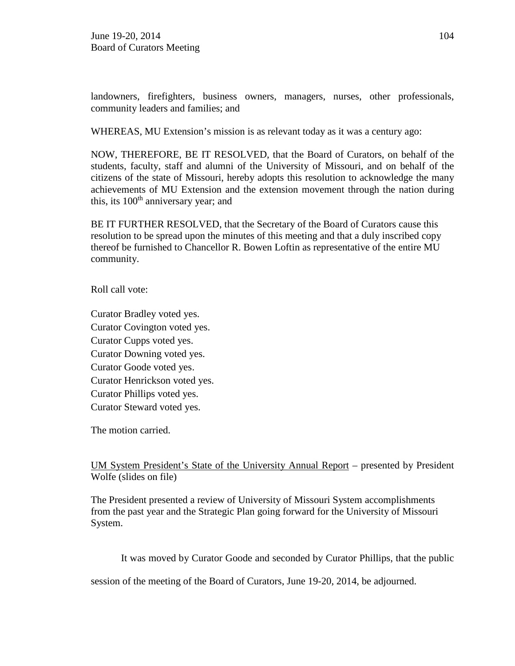landowners, firefighters, business owners, managers, nurses, other professionals, community leaders and families; and

WHEREAS, MU Extension's mission is as relevant today as it was a century ago:

NOW, THEREFORE, BE IT RESOLVED, that the Board of Curators, on behalf of the students, faculty, staff and alumni of the University of Missouri, and on behalf of the citizens of the state of Missouri, hereby adopts this resolution to acknowledge the many achievements of MU Extension and the extension movement through the nation during this, its  $100<sup>th</sup>$  anniversary year; and

BE IT FURTHER RESOLVED, that the Secretary of the Board of Curators cause this resolution to be spread upon the minutes of this meeting and that a duly inscribed copy thereof be furnished to Chancellor R. Bowen Loftin as representative of the entire MU community.

Roll call vote:

Curator Bradley voted yes. Curator Covington voted yes. Curator Cupps voted yes. Curator Downing voted yes. Curator Goode voted yes. Curator Henrickson voted yes. Curator Phillips voted yes. Curator Steward voted yes.

The motion carried.

UM System President's State of the University Annual Report – presented by President Wolfe (slides on file)

The President presented a review of University of Missouri System accomplishments from the past year and the Strategic Plan going forward for the University of Missouri System.

It was moved by Curator Goode and seconded by Curator Phillips, that the public

session of the meeting of the Board of Curators, June 19-20, 2014, be adjourned.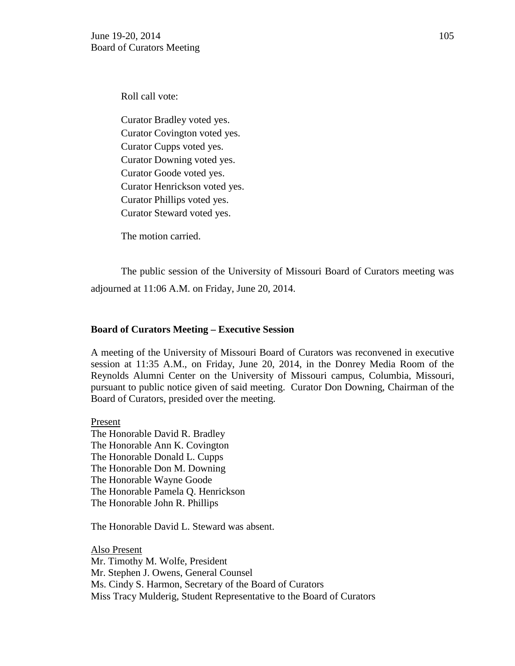Roll call vote:

Curator Bradley voted yes. Curator Covington voted yes. Curator Cupps voted yes. Curator Downing voted yes. Curator Goode voted yes. Curator Henrickson voted yes. Curator Phillips voted yes. Curator Steward voted yes.

The motion carried.

The public session of the University of Missouri Board of Curators meeting was adjourned at 11:06 A.M. on Friday, June 20, 2014.

#### **Board of Curators Meeting – Executive Session**

A meeting of the University of Missouri Board of Curators was reconvened in executive session at 11:35 A.M., on Friday, June 20, 2014, in the Donrey Media Room of the Reynolds Alumni Center on the University of Missouri campus, Columbia, Missouri, pursuant to public notice given of said meeting. Curator Don Downing, Chairman of the Board of Curators, presided over the meeting.

Present The Honorable David R. Bradley The Honorable Ann K. Covington The Honorable Donald L. Cupps The Honorable Don M. Downing The Honorable Wayne Goode The Honorable Pamela Q. Henrickson The Honorable John R. Phillips

The Honorable David L. Steward was absent.

Also Present Mr. Timothy M. Wolfe, President Mr. Stephen J. Owens, General Counsel Ms. Cindy S. Harmon, Secretary of the Board of Curators Miss Tracy Mulderig, Student Representative to the Board of Curators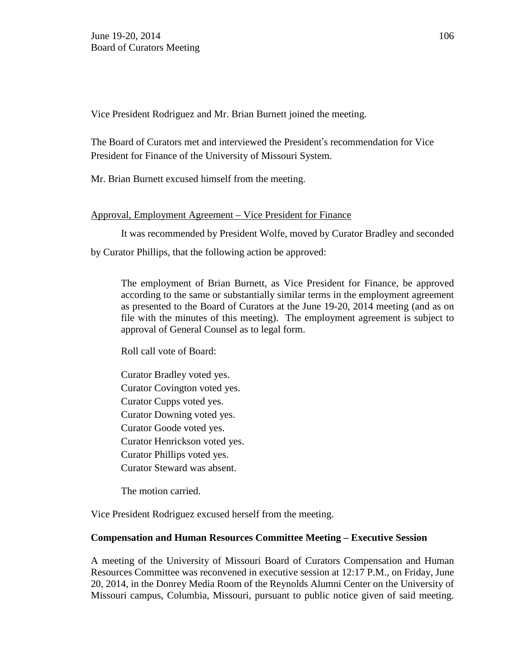Vice President Rodriguez and Mr. Brian Burnett joined the meeting.

The Board of Curators met and interviewed the President's recommendation for Vice President for Finance of the University of Missouri System.

Mr. Brian Burnett excused himself from the meeting.

# Approval, Employment Agreement – Vice President for Finance

It was recommended by President Wolfe, moved by Curator Bradley and seconded by Curator Phillips, that the following action be approved:

The employment of Brian Burnett, as Vice President for Finance, be approved according to the same or substantially similar terms in the employment agreement as presented to the Board of Curators at the June 19-20, 2014 meeting (and as on file with the minutes of this meeting). The employment agreement is subject to approval of General Counsel as to legal form.

Roll call vote of Board:

Curator Bradley voted yes. Curator Covington voted yes. Curator Cupps voted yes. Curator Downing voted yes. Curator Goode voted yes. Curator Henrickson voted yes. Curator Phillips voted yes. Curator Steward was absent.

The motion carried.

Vice President Rodriguez excused herself from the meeting.

## **Compensation and Human Resources Committee Meeting – Executive Session**

A meeting of the University of Missouri Board of Curators Compensation and Human Resources Committee was reconvened in executive session at 12:17 P.M., on Friday, June 20, 2014, in the Donrey Media Room of the Reynolds Alumni Center on the University of Missouri campus, Columbia, Missouri, pursuant to public notice given of said meeting.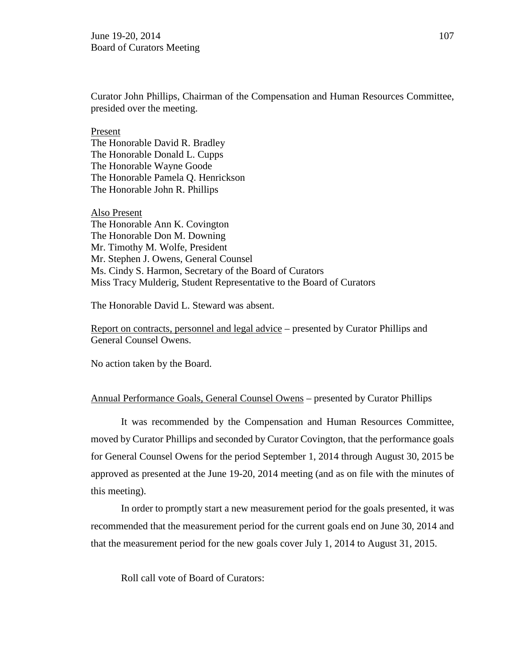Curator John Phillips, Chairman of the Compensation and Human Resources Committee, presided over the meeting.

Present The Honorable David R. Bradley The Honorable Donald L. Cupps The Honorable Wayne Goode The Honorable Pamela Q. Henrickson The Honorable John R. Phillips

Also Present The Honorable Ann K. Covington The Honorable Don M. Downing Mr. Timothy M. Wolfe, President Mr. Stephen J. Owens, General Counsel Ms. Cindy S. Harmon, Secretary of the Board of Curators Miss Tracy Mulderig, Student Representative to the Board of Curators

The Honorable David L. Steward was absent.

Report on contracts, personnel and legal advice – presented by Curator Phillips and General Counsel Owens.

No action taken by the Board.

## Annual Performance Goals, General Counsel Owens – presented by Curator Phillips

It was recommended by the Compensation and Human Resources Committee, moved by Curator Phillips and seconded by Curator Covington, that the performance goals for General Counsel Owens for the period September 1, 2014 through August 30, 2015 be approved as presented at the June 19-20, 2014 meeting (and as on file with the minutes of this meeting).

In order to promptly start a new measurement period for the goals presented, it was recommended that the measurement period for the current goals end on June 30, 2014 and that the measurement period for the new goals cover July 1, 2014 to August 31, 2015.

Roll call vote of Board of Curators: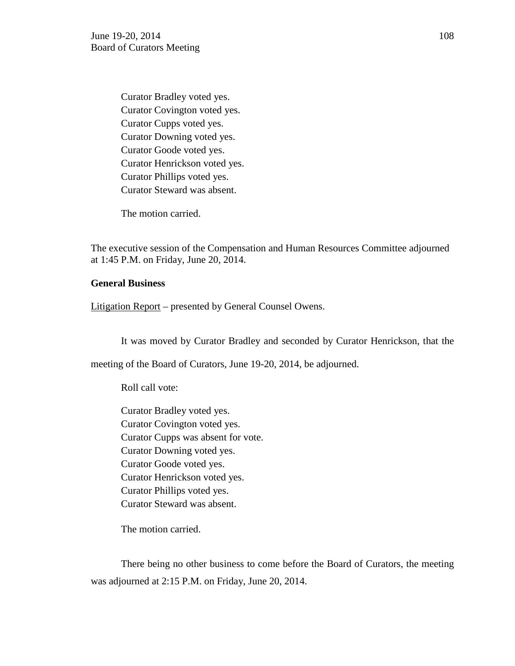Curator Bradley voted yes. Curator Covington voted yes. Curator Cupps voted yes. Curator Downing voted yes. Curator Goode voted yes. Curator Henrickson voted yes. Curator Phillips voted yes. Curator Steward was absent.

The motion carried.

The executive session of the Compensation and Human Resources Committee adjourned at 1:45 P.M. on Friday, June 20, 2014.

# **General Business**

Litigation Report – presented by General Counsel Owens.

It was moved by Curator Bradley and seconded by Curator Henrickson, that the

meeting of the Board of Curators, June 19-20, 2014, be adjourned.

Roll call vote:

Curator Bradley voted yes. Curator Covington voted yes. Curator Cupps was absent for vote. Curator Downing voted yes. Curator Goode voted yes. Curator Henrickson voted yes. Curator Phillips voted yes. Curator Steward was absent.

The motion carried.

There being no other business to come before the Board of Curators, the meeting was adjourned at 2:15 P.M. on Friday, June 20, 2014.